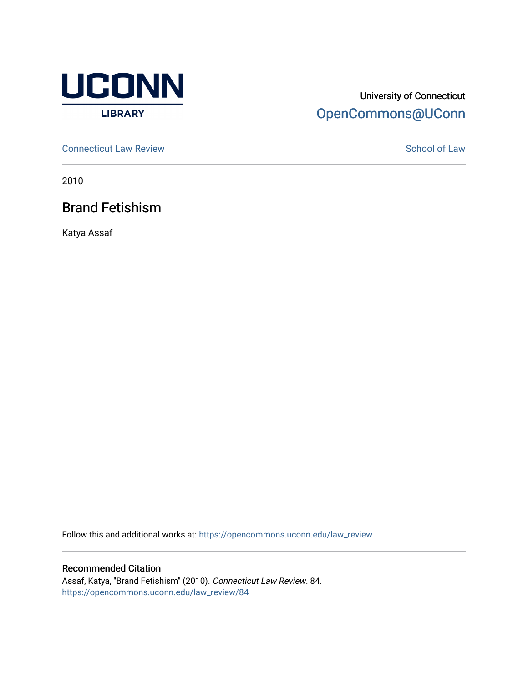

# University of Connecticut [OpenCommons@UConn](https://opencommons.uconn.edu/)

**[Connecticut Law Review](https://opencommons.uconn.edu/law_review) [School of Law](https://opencommons.uconn.edu/sol) Review School of Law School of Law School of Law School of Law School of Law School of Law School of Law School of Law School of Law School of Law School of Law School of Law School of** 

2010

Brand Fetishism

Katya Assaf

Follow this and additional works at: [https://opencommons.uconn.edu/law\\_review](https://opencommons.uconn.edu/law_review?utm_source=opencommons.uconn.edu%2Flaw_review%2F84&utm_medium=PDF&utm_campaign=PDFCoverPages)

Recommended Citation

Assaf, Katya, "Brand Fetishism" (2010). Connecticut Law Review. 84. [https://opencommons.uconn.edu/law\\_review/84](https://opencommons.uconn.edu/law_review/84?utm_source=opencommons.uconn.edu%2Flaw_review%2F84&utm_medium=PDF&utm_campaign=PDFCoverPages)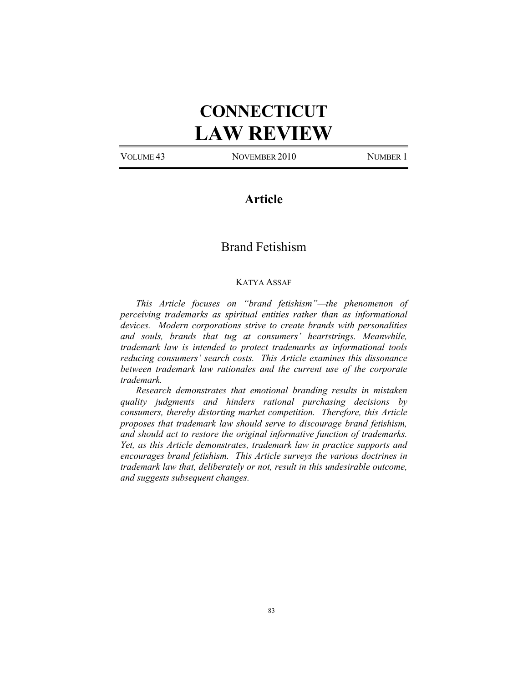# **CONNECTICUT LAW REVIEW**

VOLUME 43 NOVEMBER 2010 NUMBER 1

# **Article**

# Brand Fetishism

# KATYA ASSAF

*This Article focuses on "brand fetishism"—the phenomenon of perceiving trademarks as spiritual entities rather than as informational devices. Modern corporations strive to create brands with personalities and souls, brands that tug at consumers' heartstrings. Meanwhile, trademark law is intended to protect trademarks as informational tools reducing consumers' search costs. This Article examines this dissonance between trademark law rationales and the current use of the corporate trademark.* 

*Research demonstrates that emotional branding results in mistaken quality judgments and hinders rational purchasing decisions by consumers, thereby distorting market competition. Therefore, this Article proposes that trademark law should serve to discourage brand fetishism, and should act to restore the original informative function of trademarks. Yet, as this Article demonstrates, trademark law in practice supports and encourages brand fetishism. This Article surveys the various doctrines in trademark law that, deliberately or not, result in this undesirable outcome, and suggests subsequent changes.*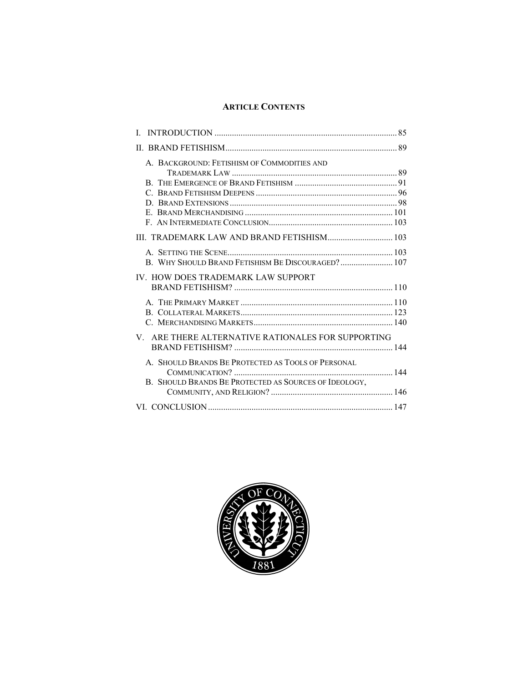# **ARTICLE CONTENTS**

| L                                                     |  |
|-------------------------------------------------------|--|
|                                                       |  |
| A. BACKGROUND: FETISHISM OF COMMODITIES AND           |  |
|                                                       |  |
|                                                       |  |
|                                                       |  |
|                                                       |  |
|                                                       |  |
|                                                       |  |
|                                                       |  |
|                                                       |  |
| B. WHY SHOULD BRAND FETISHISM BE DISCOURAGED? 107     |  |
| IV. HOW DOES TRADEMARK LAW SUPPORT                    |  |
|                                                       |  |
|                                                       |  |
|                                                       |  |
|                                                       |  |
| V. ARE THERE ALTERNATIVE RATIONALES FOR SUPPORTING    |  |
|                                                       |  |
| A. SHOULD BRANDS BE PROTECTED AS TOOLS OF PERSONAL    |  |
|                                                       |  |
| B. SHOULD BRANDS BE PROTECTED AS SOURCES OF IDEOLOGY, |  |
|                                                       |  |
|                                                       |  |
|                                                       |  |

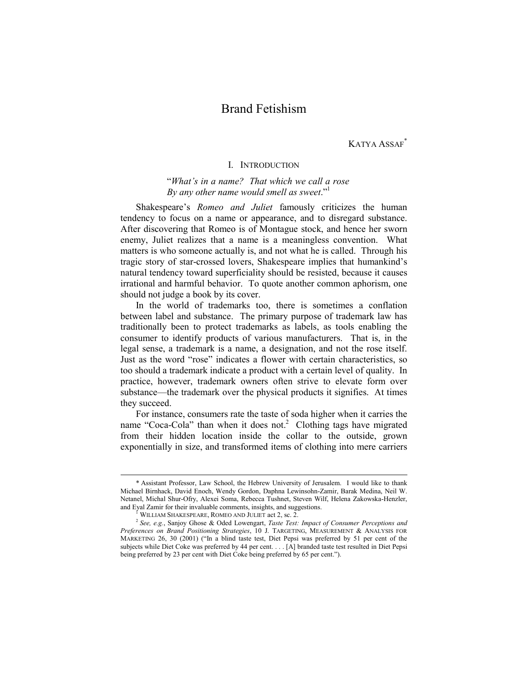# Brand Fetishism

KATYA ASSAF\*

# I. INTRODUCTION

"*What's in a name? That which we call a rose By any other name would smell as sweet*."1

Shakespeare's *Romeo and Juliet* famously criticizes the human tendency to focus on a name or appearance, and to disregard substance. After discovering that Romeo is of Montague stock, and hence her sworn enemy, Juliet realizes that a name is a meaningless convention. What matters is who someone actually is, and not what he is called. Through his tragic story of star-crossed lovers, Shakespeare implies that humankind's natural tendency toward superficiality should be resisted, because it causes irrational and harmful behavior. To quote another common aphorism, one should not judge a book by its cover.

In the world of trademarks too, there is sometimes a conflation between label and substance. The primary purpose of trademark law has traditionally been to protect trademarks as labels, as tools enabling the consumer to identify products of various manufacturers. That is, in the legal sense, a trademark is a name, a designation, and not the rose itself. Just as the word "rose" indicates a flower with certain characteristics, so too should a trademark indicate a product with a certain level of quality. In practice, however, trademark owners often strive to elevate form over substance—the trademark over the physical products it signifies. At times they succeed.

For instance, consumers rate the taste of soda higher when it carries the name "Coca-Cola" than when it does not.<sup>2</sup> Clothing tags have migrated from their hidden location inside the collar to the outside, grown exponentially in size, and transformed items of clothing into mere carriers

 <sup>\*</sup> Assistant Professor, Law School, the Hebrew University of Jerusalem. I would like to thank Michael Birnhack, David Enoch, Wendy Gordon, Daphna Lewinsohn-Zamir, Barak Medina, Neil W. Netanel, Michal Shur-Ofry, Alexei Soma, Rebecca Tushnet, Steven Wilf, Helena Zakowska-Henzler, and Eyal Zamir for their invaluable comments, insights, and suggestions.<br><sup>1</sup> WILLIAM SHAKESPEARE, ROMEO AND JULIET act 2, sc. 2.

<sup>&</sup>lt;sup>2</sup> See, e.g., Sanjoy Ghose & Oded Lowengart, *Taste Test: Impact of Consumer Perceptions and Preferences on Brand Positioning Strategies*, 10 J. TARGETING, MEASUREMENT & ANALYSIS FOR MARKETING 26, 30 (2001) ("In a blind taste test, Diet Pepsi was preferred by 51 per cent of the subjects while Diet Coke was preferred by 44 per cent. . . . [A] branded taste test resulted in Diet Pepsi being preferred by 23 per cent with Diet Coke being preferred by 65 per cent.").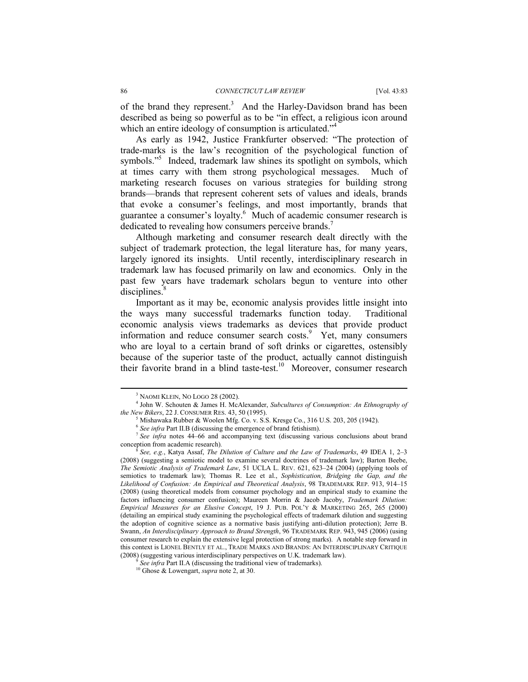of the brand they represent.<sup>3</sup> And the Harley-Davidson brand has been described as being so powerful as to be "in effect, a religious icon around which an entire ideology of consumption is articulated."<sup>4</sup>

As early as 1942, Justice Frankfurter observed: "The protection of trade-marks is the law's recognition of the psychological function of symbols."<sup>5</sup> Indeed, trademark law shines its spotlight on symbols, which at times carry with them strong psychological messages. Much of marketing research focuses on various strategies for building strong brands—brands that represent coherent sets of values and ideals, brands that evoke a consumer's feelings, and most importantly, brands that guarantee a consumer's loyalty.<sup>6</sup> Much of academic consumer research is dedicated to revealing how consumers perceive brands.<sup>7</sup>

Although marketing and consumer research dealt directly with the subject of trademark protection, the legal literature has, for many years, largely ignored its insights. Until recently, interdisciplinary research in trademark law has focused primarily on law and economics. Only in the past few years have trademark scholars begun to venture into other  $disciplines.$ <sup>8</sup>

Important as it may be, economic analysis provides little insight into the ways many successful trademarks function today. Traditional economic analysis views trademarks as devices that provide product information and reduce consumer search costs.<sup>9</sup> Yet, many consumers who are loyal to a certain brand of soft drinks or cigarettes, ostensibly because of the superior taste of the product, actually cannot distinguish their favorite brand in a blind taste-test.<sup>10</sup> Moreover, consumer research

 <sup>3</sup> <sup>5</sup> NAOMI KLEIN, NO LOGO 28 (2002).

John W. Schouten & James H. McAlexander, *Subcultures of Consumption: An Ethnography of the New Bikers*, 22 J. CONSUMER RES. 43, 50 (1995).

 $^5$  Mishawaka Rubber & Woolen Mfg. Co. v. S.S. Kresge Co., 316 U.S. 203, 205 (1942).  $^6$  *See infra* Part II.B (discussing the emergence of brand fetishism).

<sup>&</sup>lt;sup>7</sup> See infra notes 44–66 and accompanying text (discussing various conclusions about brand conception from academic research)*.*

<sup>8</sup> *See, e.g.*, Katya Assaf, *The Dilution of Culture and the Law of Trademarks*, 49 IDEA 1, 2–3 (2008) (suggesting a semiotic model to examine several doctrines of trademark law); Barton Beebe, *The Semiotic Analysis of Trademark Law*, 51 UCLA L. REV. 621, 623–24 (2004) (applying tools of semiotics to trademark law); Thomas R. Lee et al., *Sophistication, Bridging the Gap, and the Likelihood of Confusion: An Empirical and Theoretical Analysis*, 98 TRADEMARK REP. 913, 914–15 (2008) (using theoretical models from consumer psychology and an empirical study to examine the factors influencing consumer confusion); Maureen Morrin & Jacob Jacoby, *Trademark Dilution: Empirical Measures for an Elusive Concept*, 19 J. PUB. POL'Y & MARKETING 265, 265 (2000) (detailing an empirical study examining the psychological effects of trademark dilution and suggesting the adoption of cognitive science as a normative basis justifying anti-dilution protection); Jerre B. Swann, *An Interdisciplinary Approach to Brand Strength*, 96 TRADEMARK REP. 943, 945 (2006) (using consumer research to explain the extensive legal protection of strong marks). A notable step forward in this context is LIONEL BENTLY ET AL., TRADE MARKS AND BRANDS: AN INTERDISCIPLINARY CRITIQUE (2008) (suggesting various interdisciplinary perspectives on U.K. trademark law). 9 *See infra* Part II.A (discussing the traditional view of trademarks). 10 Ghose & Lowengart, *supra* note 2, at 30.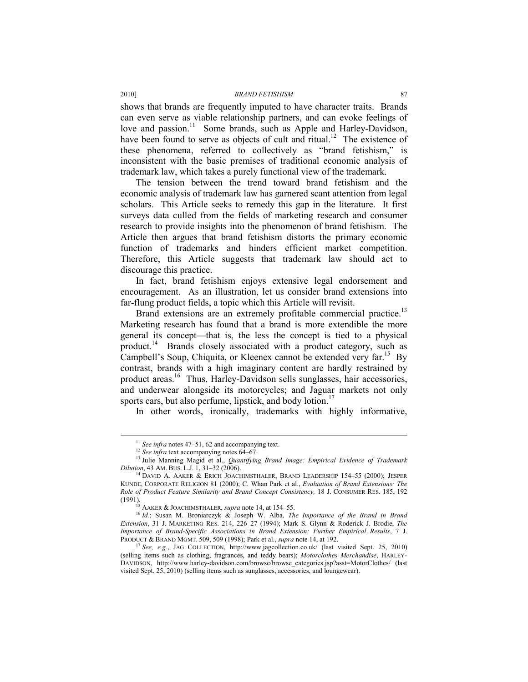shows that brands are frequently imputed to have character traits. Brands can even serve as viable relationship partners, and can evoke feelings of love and passion.<sup>11</sup> Some brands, such as Apple and Harley-Davidson, have been found to serve as objects of cult and ritual.<sup>12</sup> The existence of these phenomena, referred to collectively as "brand fetishism," is inconsistent with the basic premises of traditional economic analysis of trademark law, which takes a purely functional view of the trademark.

The tension between the trend toward brand fetishism and the economic analysis of trademark law has garnered scant attention from legal scholars. This Article seeks to remedy this gap in the literature. It first surveys data culled from the fields of marketing research and consumer research to provide insights into the phenomenon of brand fetishism. The Article then argues that brand fetishism distorts the primary economic function of trademarks and hinders efficient market competition. Therefore, this Article suggests that trademark law should act to discourage this practice.

In fact, brand fetishism enjoys extensive legal endorsement and encouragement. As an illustration, let us consider brand extensions into far-flung product fields, a topic which this Article will revisit.

Brand extensions are an extremely profitable commercial practice.<sup>13</sup> Marketing research has found that a brand is more extendible the more general its concept—that is, the less the concept is tied to a physical product.<sup>14</sup> Brands closely associated with a product category, such as Campbell's Soup, Chiquita, or Kleenex cannot be extended very far.<sup>15</sup> By contrast, brands with a high imaginary content are hardly restrained by product areas.<sup>16</sup> Thus, Harley-Davidson sells sunglasses, hair accessories, and underwear alongside its motorcycles; and Jaguar markets not only sports cars, but also perfume, lipstick, and body lotion.<sup>17</sup>

In other words, ironically, trademarks with highly informative,

<sup>&</sup>lt;sup>11</sup> *See infra* notes 47–51, 62 and accompanying text.<br><sup>12</sup> *See infra* text accompanying notes 64–67.<br><sup>13</sup> Julie Manning Magid et al., *Quantifying Brand Image: Empirical Evidence of Trademark Dilution*, 43 AM. BUS. L.J.

<sup>&</sup>lt;sup>14</sup> DAVID A. AAKER & ERICH JOACHIMSTHALER, BRAND LEADERSHIP 154–55 (2000); JESPER KUNDE, CORPORATE RELIGION 81 (2000); C. Whan Park et al., *Evaluation of Brand Extensions: The Role of Product Feature Similarity and Brand Concept Consistency,* 18 J. CONSUMER RES. 185, 192 (1991). 15 AAKER & JOACHIMSTHALER, *supra* note 14, at 154–55. 16 *Id.*; Susan M. Broniarczyk & Joseph W. Alba, *The Importance of the Brand in Brand* 

*Extension*, 31 J. MARKETING RES. 214, 226–27 (1994); Mark S. Glynn & Roderick J. Brodie, *The Importance of Brand-Specific Associations in Brand Extension: Further Empirical Results*, 7 J. PRODUCT & BRAND MGMT. 509, 509 (1998); Park et al., *supra* note 14, at 192.

<sup>&</sup>lt;sup>7</sup> See, e.g., JAG COLLECTION, http://www.jagcollection.co.uk/ (last visited Sept. 25, 2010) (selling items such as clothing, fragrances, and teddy bears); *Motorclothes Merchandise*, HARLEY-DAVIDSON, http://www.harley-davidson.com/browse/browse\_categories.jsp?asst=MotorClothes/ (last visited Sept. 25, 2010) (selling items such as sunglasses, accessories, and loungewear).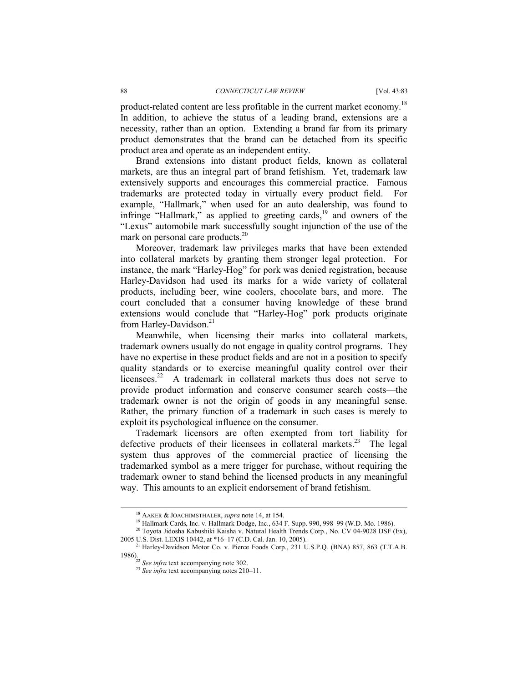product-related content are less profitable in the current market economy.<sup>18</sup> In addition, to achieve the status of a leading brand, extensions are a necessity, rather than an option. Extending a brand far from its primary product demonstrates that the brand can be detached from its specific product area and operate as an independent entity.

Brand extensions into distant product fields, known as collateral markets, are thus an integral part of brand fetishism. Yet, trademark law extensively supports and encourages this commercial practice. Famous trademarks are protected today in virtually every product field. For example, "Hallmark," when used for an auto dealership, was found to infringe "Hallmark," as applied to greeting cards, $19$  and owners of the "Lexus" automobile mark successfully sought injunction of the use of the mark on personal care products.20

Moreover, trademark law privileges marks that have been extended into collateral markets by granting them stronger legal protection. For instance, the mark "Harley-Hog" for pork was denied registration, because Harley-Davidson had used its marks for a wide variety of collateral products, including beer, wine coolers, chocolate bars, and more. The court concluded that a consumer having knowledge of these brand extensions would conclude that "Harley-Hog" pork products originate from Harley-Davidson.<sup>21</sup>

Meanwhile, when licensing their marks into collateral markets, trademark owners usually do not engage in quality control programs. They have no expertise in these product fields and are not in a position to specify quality standards or to exercise meaningful quality control over their licensees.<sup>22</sup> A trademark in collateral markets thus does not serve to provide product information and conserve consumer search costs—the trademark owner is not the origin of goods in any meaningful sense. Rather, the primary function of a trademark in such cases is merely to exploit its psychological influence on the consumer.

Trademark licensors are often exempted from tort liability for defective products of their licensees in collateral markets.23 The legal system thus approves of the commercial practice of licensing the trademarked symbol as a mere trigger for purchase, without requiring the trademark owner to stand behind the licensed products in any meaningful way. This amounts to an explicit endorsement of brand fetishism.

<sup>&</sup>lt;sup>18</sup> AAKER & JOACHIMSTHALER, *supra* note 14, at 154.<br><sup>19</sup> Hallmark Cards, Inc. v. Hallmark Dodge, Inc., 634 F. Supp. 990, 998–99 (W.D. Mo. 1986).

<sup>&</sup>lt;sup>20</sup> Toyota Jidosha Kabushiki Kaisha v. Natural Health Trends Corp., No. CV 04-9028 DSF (Ex), 2005 U.S. Dist. LEXIS 10442, at \*16-17 (C.D. Cal. Jan. 10, 2005).

<sup>&</sup>lt;sup>21</sup> Harley-Davidson Motor Co. v. Pierce Foods Corp., 231 U.S.P.Q. (BNA) 857, 863 (T.T.A.B. 1986). 22 *See infra* text accompanying note 302. 23 *See infra* text accompanying notes 210–11.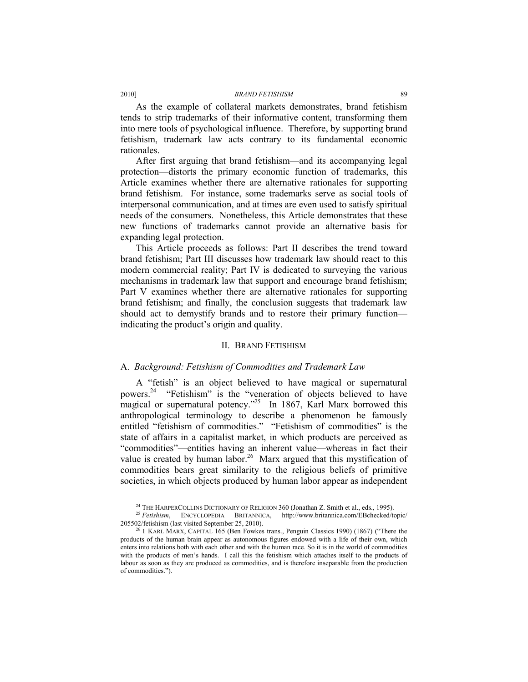As the example of collateral markets demonstrates, brand fetishism tends to strip trademarks of their informative content, transforming them into mere tools of psychological influence. Therefore, by supporting brand fetishism, trademark law acts contrary to its fundamental economic rationales.

After first arguing that brand fetishism—and its accompanying legal protection—distorts the primary economic function of trademarks, this Article examines whether there are alternative rationales for supporting brand fetishism. For instance, some trademarks serve as social tools of interpersonal communication, and at times are even used to satisfy spiritual needs of the consumers. Nonetheless, this Article demonstrates that these new functions of trademarks cannot provide an alternative basis for expanding legal protection.

This Article proceeds as follows: Part II describes the trend toward brand fetishism; Part III discusses how trademark law should react to this modern commercial reality; Part IV is dedicated to surveying the various mechanisms in trademark law that support and encourage brand fetishism; Part V examines whether there are alternative rationales for supporting brand fetishism; and finally, the conclusion suggests that trademark law should act to demystify brands and to restore their primary function indicating the product's origin and quality.

#### II. BRAND FETISHISM

#### A. *Background: Fetishism of Commodities and Trademark Law*

A "fetish" is an object believed to have magical or supernatural powers.24 "Fetishism" is the "veneration of objects believed to have magical or supernatural potency."<sup>25</sup> In 1867, Karl Marx borrowed this anthropological terminology to describe a phenomenon he famously entitled "fetishism of commodities." "Fetishism of commodities" is the state of affairs in a capitalist market, in which products are perceived as "commodities"—entities having an inherent value—whereas in fact their value is created by human labor.<sup>26</sup> Marx argued that this mystification of commodities bears great similarity to the religious beliefs of primitive societies, in which objects produced by human labor appear as independent

<sup>&</sup>lt;sup>24</sup> THE HARPERCOLLINS DICTIONARY OF RELIGION 360 (Jonathan Z. Smith et al., eds., 1995).<br><sup>25</sup> *Fetishism*, ENCYCLOPEDIA BRITANNICA, http://www.britannica.com/EBchecked/topic/

<sup>205502/</sup>fetishism (last visited September 25, 2010). 26 1 KARL MARX, CAPITAL 165 (Ben Fowkes trans., Penguin Classics 1990) (1867) ("There the products of the human brain appear as autonomous figures endowed with a life of their own, which enters into relations both with each other and with the human race. So it is in the world of commodities with the products of men's hands. I call this the fetishism which attaches itself to the products of labour as soon as they are produced as commodities, and is therefore inseparable from the production of commodities.").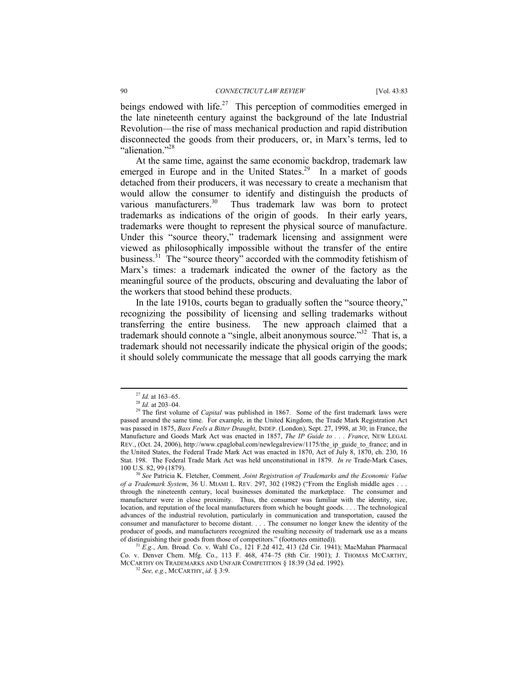beings endowed with life.<sup>27</sup> This perception of commodities emerged in the late nineteenth century against the background of the late Industrial Revolution—the rise of mass mechanical production and rapid distribution disconnected the goods from their producers, or, in Marx's terms, led to "alienation."<sup>28</sup>

At the same time, against the same economic backdrop, trademark law emerged in Europe and in the United States.<sup>29</sup> In a market of goods detached from their producers, it was necessary to create a mechanism that would allow the consumer to identify and distinguish the products of various manufacturers.<sup>30</sup> Thus trademark law was born to protect trademarks as indications of the origin of goods. In their early years, trademarks were thought to represent the physical source of manufacture. Under this "source theory," trademark licensing and assignment were viewed as philosophically impossible without the transfer of the entire business.<sup>31</sup> The "source theory" accorded with the commodity fetishism of Marx's times: a trademark indicated the owner of the factory as the meaningful source of the products, obscuring and devaluating the labor of the workers that stood behind these products.

In the late 1910s, courts began to gradually soften the "source theory," recognizing the possibility of licensing and selling trademarks without transferring the entire business. The new approach claimed that a trademark should connote a "single, albeit anonymous source."32That is, a trademark should not necessarily indicate the physical origin of the goods; it should solely communicate the message that all goods carrying the mark

Co. v. Denver Chem. Mfg. Co., 113 F. 468, 474–75 (8th Cir. 1901); J. THOMAS MCCARTHY, MCCARTHY ON TRADEMARKS AND UNFAIR COMPETITION § 18:39 (3d ed. 1992).  $32$  *See, e.g.*, MCCARTHY, *id.* § 3:9.

<sup>27</sup> *Id.* at 163–65. 28 *Id.* at 203–04. 29 The first volume of *Capital* was published in 1867. Some of the first trademark laws were passed around the same time. For example, in the United Kingdom, the Trade Mark Registration Act was passed in 1875, *Bass Feels a Bitter Draught*, INDEP. (London), Sept. 27, 1998, at 30; in France, the Manufacture and Goods Mark Act was enacted in 1857, *The IP Guide to . . . France*, NEW LEGAL REV., (Oct. 24, 2006), http://www.cpaglobal.com/newlegalreview/1175/the\_ip\_guide\_to\_france; and in the United States, the Federal Trade Mark Act was enacted in 1870, Act of July 8, 1870, ch. 230, 16 Stat. 198. The Federal Trade Mark Act was held unconstitutional in 1879. *In re* Trade-Mark Cases,

<sup>&</sup>lt;sup>30</sup> See Patricia K. Fletcher, Comment, Joint Registration of Trademarks and the Economic Value *of a Trademark System*, 36 U. MIAMI L. REV. 297, 302 (1982) ("From the English middle ages . . . through the nineteenth century, local businesses dominated the marketplace. The consumer and manufacturer were in close proximity. Thus, the consumer was familiar with the identity, size, location, and reputation of the local manufacturers from which he bought goods. . . . The technological advances of the industrial revolution, particularly in communication and transportation, caused the consumer and manufacturer to become distant. . . . The consumer no longer knew the identity of the producer of goods, and manufacturers recognized the resulting necessity of trademark use as a means of distinguishing their goods from those of competitors." (footnotes omitted)). of distinguishing their goods from those of competitors." (footnotes omitted)). 31 *E.g.*, Am. Broad. Co. v. Wahl Co., 121 F.2d 412, 413 (2d Cir. 1941); MacMahan Pharmacal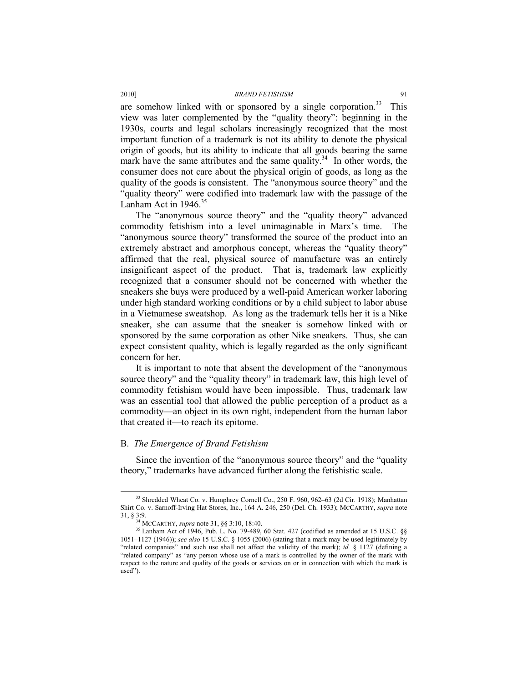are somehow linked with or sponsored by a single corporation.<sup>33</sup> This view was later complemented by the "quality theory": beginning in the 1930s, courts and legal scholars increasingly recognized that the most important function of a trademark is not its ability to denote the physical origin of goods, but its ability to indicate that all goods bearing the same mark have the same attributes and the same quality.<sup>34</sup> In other words, the consumer does not care about the physical origin of goods, as long as the quality of the goods is consistent. The "anonymous source theory" and the "quality theory" were codified into trademark law with the passage of the Lanham Act in  $1946$ <sup>35</sup>

The "anonymous source theory" and the "quality theory" advanced commodity fetishism into a level unimaginable in Marx's time. The "anonymous source theory" transformed the source of the product into an extremely abstract and amorphous concept, whereas the "quality theory" affirmed that the real, physical source of manufacture was an entirely insignificant aspect of the product. That is, trademark law explicitly recognized that a consumer should not be concerned with whether the sneakers she buys were produced by a well-paid American worker laboring under high standard working conditions or by a child subject to labor abuse in a Vietnamese sweatshop. As long as the trademark tells her it is a Nike sneaker, she can assume that the sneaker is somehow linked with or sponsored by the same corporation as other Nike sneakers. Thus, she can expect consistent quality, which is legally regarded as the only significant concern for her.

It is important to note that absent the development of the "anonymous source theory" and the "quality theory" in trademark law, this high level of commodity fetishism would have been impossible. Thus, trademark law was an essential tool that allowed the public perception of a product as a commodity—an object in its own right, independent from the human labor that created it—to reach its epitome.

# B. *The Emergence of Brand Fetishism*

Since the invention of the "anonymous source theory" and the "quality theory," trademarks have advanced further along the fetishistic scale.

<sup>&</sup>lt;sup>33</sup> Shredded Wheat Co. v. Humphrey Cornell Co., 250 F. 960, 962–63 (2d Cir. 1918); Manhattan Shirt Co. v. Sarnoff-Irving Hat Stores, Inc., 164 A. 246, 250 (Del. Ch. 1933); MCCARTHY, *supra* note

<sup>&</sup>lt;sup>35</sup> Lanham Act of 1946, Pub. L. No. 79-489, 60 Stat. 427 (codified as amended at 15 U.S.C. §§ 1051–1127 (1946)); *see also* 15 U.S.C. § 1055 (2006) (stating that a mark may be used legitimately by "related companies" and such use shall not affect the validity of the mark); *id.* § 1127 (defining a "related company" as "any person whose use of a mark is controlled by the owner of the mark with respect to the nature and quality of the goods or services on or in connection with which the mark is used").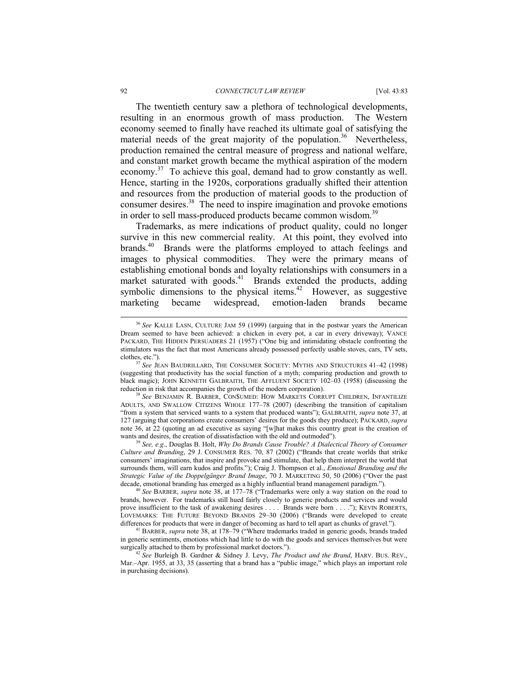#### 92 *CONNECTICUT LAW REVIEW* [Vol. 43:83

The twentieth century saw a plethora of technological developments, resulting in an enormous growth of mass production. The Western economy seemed to finally have reached its ultimate goal of satisfying the material needs of the great majority of the population.<sup>36</sup> Nevertheless, production remained the central measure of progress and national welfare, and constant market growth became the mythical aspiration of the modern economy.37 To achieve this goal, demand had to grow constantly as well. Hence, starting in the 1920s, corporations gradually shifted their attention and resources from the production of material goods to the production of consumer desires.38 The need to inspire imagination and provoke emotions in order to sell mass-produced products became common wisdom.<sup>39</sup>

Trademarks, as mere indications of product quality, could no longer survive in this new commercial reality. At this point, they evolved into brands.<sup>40</sup> Brands were the platforms employed to attach feelings and images to physical commodities. They were the primary means of establishing emotional bonds and loyalty relationships with consumers in a market saturated with goods.<sup>41</sup> Brands extended the products, adding symbolic dimensions to the physical items.<sup>42</sup> However, as suggestive marketing became widespread, emotion-laden brands became

 <sup>36</sup> *See* KALLE LASN, CULTURE JAM 59 (1999) (arguing that in the postwar years the American Dream seemed to have been achieved: a chicken in every pot, a car in every driveway); VANCE PACKARD, THE HIDDEN PERSUADERS 21 (1957) ("One big and intimidating obstacle confronting the stimulators was the fact that most Americans already possessed perfectly usable stoves, cars, TV sets, clothes, etc."). 37 *See* JEAN BAUDRILLARD, THE CONSUMER SOCIETY: MYTHS AND STRUCTURES 41–42 (1998)

<sup>(</sup>suggesting that productivity has the social function of a myth; comparing production and growth to black magic); JOHN KENNETH GALBRAITH, THE AFFLUENT SOCIETY 102–03 (1958) (discussing the

reduction in risk that accompanies the growth of the modern corporation). 38 *See* BENJAMIN R. BARBER, CON\$UMED: HOW MARKETS CORRUPT CHILDREN, INFANTILIZE ADULTS, AND SWALLOW CITIZENS WHOLE 177–78 (2007) (describing the transition of capitalism "from a system that serviced wants to a system that produced wants"); GALBRAITH, *supra* note 37, at 127 (arguing that corporations create consumers' desires for the goods they produce); PACKARD, *supra* note 36, at 22 (quoting an ad executive as saying "[w]hat makes this country great is the creation of wants and desires, the creation of dissatisfaction with the old and outmoded").

<sup>&</sup>lt;sup>39</sup> See, e.g., Douglas B. Holt, *Why Do Brands Cause Trouble? A Dialectical Theory of Consumer Culture and Branding*, 29 J. CONSUMER RES. 70, 87 (2002) ("Brands that create worlds that strike consumers' imaginations, that inspire and provoke and stimulate, that help them interpret the world that surrounds them, will earn kudos and profits."); Craig J. Thompson et al., *Emotional Branding and the Strategic Value of the Doppelgänger Brand Image*, 70 J. MARKETING 50, 50 (2006) ("Over the past decade, emotional branding has emerged as a highly influential brand management paradigm."). 40 *See* BARBER, *supra* note 38, at 177–78 ("Trademarks were only a way station on the road to

brands, however. For trademarks still hued fairly closely to generic products and services and would prove insufficient to the task of awakening desires . . . . Brands were born . . . ."); KEVIN ROBERTS, LOVEMARKS: THE FUTURE BEYOND BRANDS 29–30 (2006) ("Brands were developed to create differences for products that were in danger of becoming as hard to tell apart as chunks of gravel."). 41 BARBER, *supra* note 38, at 178–79 ("Where trademarks traded in generic goods, brands traded

in generic sentiments, emotions which had little to do with the goods and services themselves but were surgically attached to them by professional market doctors."). 42 *See* Burleigh B. Gardner & Sidney J. Levy, *The Product and the Brand*, HARV. BUS. REV.,

Mar.–Apr. 1955, at 33, 35 (asserting that a brand has a "public image," which plays an important role in purchasing decisions).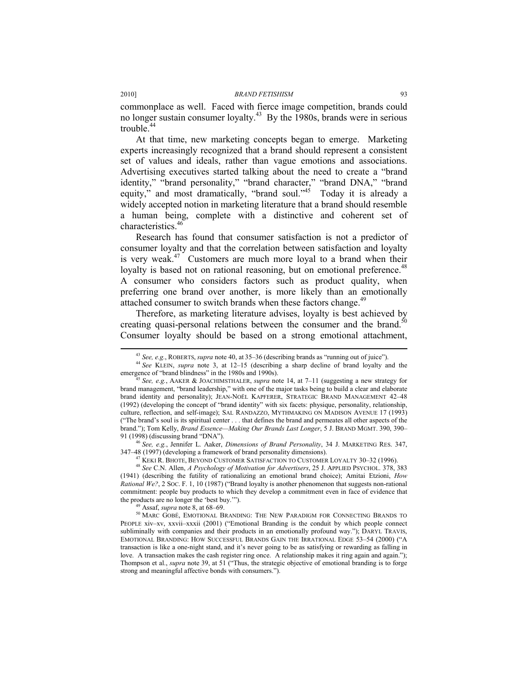commonplace as well. Faced with fierce image competition, brands could no longer sustain consumer loyalty.43 By the 1980s, brands were in serious trouble.<sup>44</sup>

At that time, new marketing concepts began to emerge. Marketing experts increasingly recognized that a brand should represent a consistent set of values and ideals, rather than vague emotions and associations. Advertising executives started talking about the need to create a "brand identity," "brand personality," "brand character," "brand DNA," "brand equity," and most dramatically, "brand soul."<sup>45</sup> Today it is already a widely accepted notion in marketing literature that a brand should resemble a human being, complete with a distinctive and coherent set of characteristics.46

Research has found that consumer satisfaction is not a predictor of consumer loyalty and that the correlation between satisfaction and loyalty is very weak.<sup>47</sup> Customers are much more loyal to a brand when their loyalty is based not on rational reasoning, but on emotional preference.<sup>48</sup> A consumer who considers factors such as product quality, when preferring one brand over another, is more likely than an emotionally attached consumer to switch brands when these factors change.<sup>49</sup>

Therefore, as marketing literature advises, loyalty is best achieved by creating quasi-personal relations between the consumer and the brand.<sup>50</sup> Consumer loyalty should be based on a strong emotional attachment,

<sup>46</sup> *See, e.g.*, Jennifer L. Aaker, *Dimensions of Brand Personality*, 34 J. MARKETING RES. 347, 347–48 (1997) (developing a framework of brand personality dimensions).<br><sup>47</sup> KEKI R. BHOTE, BEYOND CUSTOMER SATISFACTION TO CUSTOMER LOYALTY 30–32 (1996).<br><sup>48</sup> See C.N. Allen, *A Psychology of Motivation for Advertisers*,

(1941) (describing the futility of rationalizing an emotional brand choice); Amitai Etzioni, *How Rational We?*, 2 SOC. F. 1, 10 (1987) ("Brand loyalty is another phenomenon that suggests non-rational commitment: people buy products to which they develop a commitment even in face of evidence that

the products are no longer the 'best buy.'").<br><sup>49</sup> Assaf, *supra* note 8, at 68–69.<br><sup>50</sup> MARC GOBÉ, EMOTIONAL BRANDING: THE NEW PARADIGM FOR CONNECTING BRANDS TO PEOPLE xiv–xv, xxvii–xxxii (2001) ("Emotional Branding is the conduit by which people connect subliminally with companies and their products in an emotionally profound way."); DARYL TRAVIS, EMOTIONAL BRANDING: HOW SUCCESSFUL BRANDS GAIN THE IRRATIONAL EDGE 53–54 (2000) ("A transaction is like a one-night stand, and it's never going to be as satisfying or rewarding as falling in love. A transaction makes the cash register ring once. A relationship makes it ring again and again."); Thompson et al., *supra* note 39, at 51 ("Thus, the strategic objective of emotional branding is to forge strong and meaningful affective bonds with consumers.").

<sup>&</sup>lt;sup>43</sup> *See, e.g.*, ROBERTS, *supra* note 40, at 35–36 (describing brands as "running out of juice").<br><sup>44</sup> *See* KLEIN, *supra* note 3, at 12–15 (describing a sharp decline of brand loyalty and the emergence of "brand blindn

<sup>&</sup>lt;sup>45</sup> See, e.g., AAKER & JOACHIMSTHALER, *supra* note 14, at 7–11 (suggesting a new strategy for brand management, "brand leadership," with one of the major tasks being to build a clear and elaborate brand identity and personality); JEAN-NOËL KAPFERER, STRATEGIC BRAND MANAGEMENT 42–48 (1992) (developing the concept of "brand identity" with six facets: physique, personality, relationship, culture, reflection, and self-image); SAL RANDAZZO, MYTHMAKING ON MADISON AVENUE 17 (1993) ("The brand's soul is its spiritual center . . . that defines the brand and permeates all other aspects of the brand."); Tom Kelly, *Brand Essence—Making Our Brands Last Longer*, 5 J. BRAND MGMT. 390, 390– 91 (1998) (discussing brand "DNA").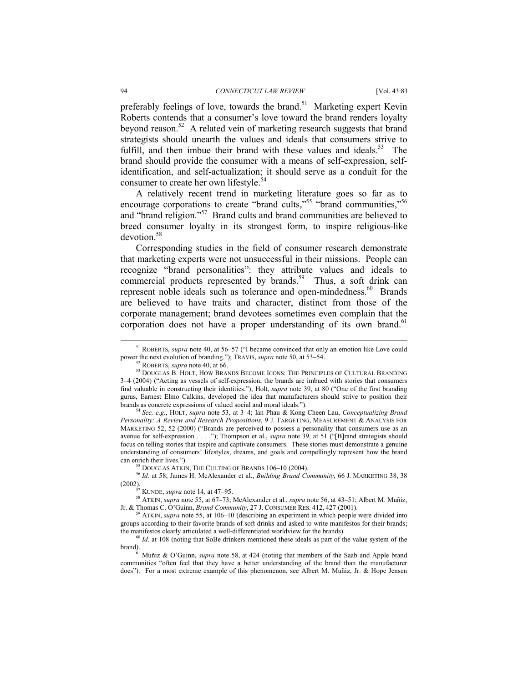preferably feelings of love, towards the brand.<sup>51</sup> Marketing expert Kevin Roberts contends that a consumer's love toward the brand renders loyalty beyond reason.52 A related vein of marketing research suggests that brand strategists should unearth the values and ideals that consumers strive to fulfill, and then imbue their brand with these values and ideals.<sup>53</sup> The brand should provide the consumer with a means of self-expression, selfidentification, and self-actualization; it should serve as a conduit for the consumer to create her own lifestyle.<sup>54</sup>

A relatively recent trend in marketing literature goes so far as to encourage corporations to create "brand cults,"<sup>55</sup> "brand communities,"<sup>56</sup> and "brand religion."<sup>57</sup> Brand cults and brand communities are believed to breed consumer loyalty in its strongest form, to inspire religious-like devotion.58

Corresponding studies in the field of consumer research demonstrate that marketing experts were not unsuccessful in their missions. People can recognize "brand personalities": they attribute values and ideals to commercial products represented by brands.<sup>59</sup> Thus, a soft drink can represent noble ideals such as tolerance and open-mindedness.<sup>60</sup> Brands are believed to have traits and character, distinct from those of the corporate management; brand devotees sometimes even complain that the corporation does not have a proper understanding of its own brand.<sup>61</sup>

 <sup>51</sup> ROBERTS, *supra* note 40, at 56–57 ("I became convinced that only an emotion like Love could

power the next evolution of branding."); TRAVIS, *supra* note 50, at 53–54.<br><sup>52</sup> ROBERTS, *supra* note 40, at 66. <sup>53</sup> DOUGLAS B. HOLT, HOW BRANDS BECOME ICONS: THE PRINCIPLES OF CULTURAL BRANDING 3–4 (2004) ("Acting as vessels of self-expression, the brands are imbued with stories that consumers find valuable in constructing their identities."); Holt, *supra* note 39, at 80 ("One of the first branding gurus, Earnest Elmo Calkins, developed the idea that manufacturers should strive to position their brands as concrete expressions of valued social and moral ideals."). 54 *See, e.g.*, HOLT, *supra* note 53, at 3–4; Ian Phau & Kong Cheen Lau, *Conceptualizing Brand* 

*Personality: A Review and Research Propositions*, 9 J. TARGETING, MEASUREMENT & ANALYSIS FOR MARKETING 52, 52 (2000) ("Brands are perceived to possess a personality that consumers use as an avenue for self-expression . . . ."); Thompson et al., *supra* note 39, at 51 ("[B]rand strategists should focus on telling stories that inspire and captivate consumers. These stories must demonstrate a genuine understanding of consumers' lifestyles, dreams, and goals and compellingly represent how the brand

<sup>&</sup>lt;sup>55</sup> DOUGLAS ATKIN, THE CULTING OF BRANDS 106–10 (2004).<br><sup>56</sup> *Id.* at 58; James H. McAlexander et al., *Building Brand Community*, 66 J. MARKETING 38, 38<br>(2002).<br><sup>57</sup> KUNDE, *supra* note 14, at 47–95.

<sup>&</sup>lt;sup>58</sup> ATKIN, *supra* note 55, at 67–73; McAlexander et al., *supra* note 56, at 43–51; Albert M. Muñiz, Jr. & Thomas C. O'Guinn, *Brand Community*, 27 J. CONSUMER RES. 412, 427 (2001).

ATKIN, *supra* note 55, at 106-10 (describing an experiment in which people were divided into groups according to their favorite brands of soft drinks and asked to write manifestos for their brands; the manifestos clearly articulated a well-differentiated worldview for the brands).<br><sup>60</sup> *Id.* at 108 (noting that SoBe drinkers mentioned these ideals as part of the value system of the

brand). 61 Muñiz & O'Guinn, *supra* note 58, at 424 (noting that members of the Saab and Apple brand

communities "often feel that they have a better understanding of the brand than the manufacturer does"). For a most extreme example of this phenomenon, see Albert M. Muñiz, Jr. & Hope Jensen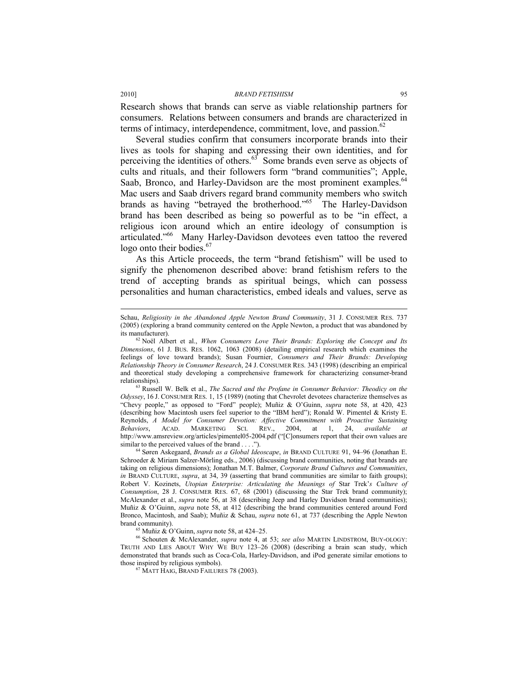Research shows that brands can serve as viable relationship partners for consumers. Relations between consumers and brands are characterized in terms of intimacy, interdependence, commitment, love, and passion. $62$ 

Several studies confirm that consumers incorporate brands into their lives as tools for shaping and expressing their own identities, and for perceiving the identities of others. $63^{\circ}$  Some brands even serve as objects of cults and rituals, and their followers form "brand communities"; Apple, Saab, Bronco, and Harley-Davidson are the most prominent examples.<sup>64</sup> Mac users and Saab drivers regard brand community members who switch brands as having "betrayed the brotherhood."<sup>65</sup> The Harley-Davidson brand has been described as being so powerful as to be "in effect, a religious icon around which an entire ideology of consumption is articulated."66 Many Harley-Davidson devotees even tattoo the revered logo onto their bodies.<sup>67</sup>

As this Article proceeds, the term "brand fetishism" will be used to signify the phenomenon described above: brand fetishism refers to the trend of accepting brands as spiritual beings, which can possess personalities and human characteristics, embed ideals and values, serve as

*Odyssey*, 16 J. CONSUMER RES. 1, 15 (1989) (noting that Chevrolet devotees characterize themselves as "Chevy people," as opposed to "Ford" people); Muñiz & O'Guinn, *supra* note 58, at 420, 423 (describing how Macintosh users feel superior to the "IBM herd"); Ronald W. Pimentel & Kristy E. Reynolds, *A Model for Consumer Devotion: Affective Commitment with Proactive Sustaining Behaviors*, ACAD. MARKETING SCI. REV., 2004, at 1, 24, *available at*  http://www.amsreview.org/articles/pimentel05-2004.pdf ("[C]onsumers report that their own values are similar to the perceived values of the brand . . . .").

<sup>64</sup> Søren Askegaard, *Brands as a Global Ideoscape*, *in* BRAND CULTURE 91, 94–96 (Jonathan E. Schroeder & Miriam Salzer-Mörling eds., 2006) (discussing brand communities, noting that brands are taking on religious dimensions); Jonathan M.T. Balmer, *Corporate Brand Cultures and Communities*, *in* BRAND CULTURE, *supra*, at 34, 39 (asserting that brand communities are similar to faith groups); Robert V. Kozinets, *Utopian Enterprise: Articulating the Meanings of* Star Trek'*s Culture of Consumption*, 28 J. CONSUMER RES. 67, 68 (2001) (discussing the Star Trek brand community); McAlexander et al., *supra* note 56, at 38 (describing Jeep and Harley Davidson brand communities); Muñiz & O'Guinn, *supra* note 58, at 412 (describing the brand communities centered around Ford Bronco, Macintosh, and Saab); Muñiz & Schau, *supra* note 61, at 737 (describing the Apple Newton brand community).<br><sup>65</sup> Muñiz & O'Guinn, *supra* note 58, at 424–25.<br><sup>66</sup> Schouten & McAlexander, *supra* note 4, at 53; *see also* MARTIN LINDSTROM, BUY-OLOGY:

TRUTH AND LIES ABOUT WHY WE BUY 123–26 (2008) (describing a brain scan study, which demonstrated that brands such as Coca-Cola, Harley-Davidson, and iPod generate similar emotions to those inspired by religious symbols). 67 MATT HAIG, BRAND FAILURES 78 (2003).

l

Schau, *Religiosity in the Abandoned Apple Newton Brand Community*, 31 J. CONSUMER RES. 737 (2005) (exploring a brand community centered on the Apple Newton, a product that was abandoned by its manufacturer). 62 Noël Albert et al., *When Consumers Love Their Brands: Exploring the Concept and Its* 

*Dimensions*, 61 J. BUS. RES. 1062, 1063 (2008) (detailing empirical research which examines the feelings of love toward brands); Susan Fournier, *Consumers and Their Brands: Developing Relationship Theory in Consumer Research*, 24 J. CONSUMER RES. 343 (1998) (describing an empirical and theoretical study developing a comprehensive framework for characterizing consumer-brand relationships). 63 Russell W. Belk et al., *The Sacred and the Profane in Consumer Behavior: Theodicy on the*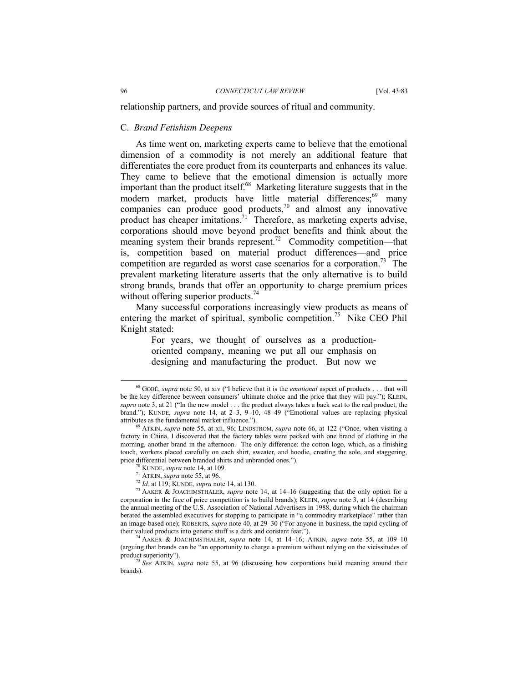relationship partners, and provide sources of ritual and community.

### C. *Brand Fetishism Deepens*

As time went on, marketing experts came to believe that the emotional dimension of a commodity is not merely an additional feature that differentiates the core product from its counterparts and enhances its value. They came to believe that the emotional dimension is actually more important than the product itself.<sup>68</sup> Marketing literature suggests that in the modern market, products have little material differences;<sup>69</sup> many companies can produce good products,<sup>70</sup> and almost any innovative product has cheaper imitations.<sup>71</sup> Therefore, as marketing experts advise, corporations should move beyond product benefits and think about the meaning system their brands represent.<sup>72</sup> Commodity competition—that is, competition based on material product differences—and price competition are regarded as worst case scenarios for a corporation.<sup>73</sup> The prevalent marketing literature asserts that the only alternative is to build strong brands, brands that offer an opportunity to charge premium prices without offering superior products.<sup>74</sup>

Many successful corporations increasingly view products as means of entering the market of spiritual, symbolic competition.<sup>75</sup> Nike CEO Phil Knight stated:

> For years, we thought of ourselves as a productionoriented company, meaning we put all our emphasis on designing and manufacturing the product. But now we

 <sup>68</sup> GOBÉ, *supra* note 50, at xiv ("I believe that it is the *emotional* aspect of products . . . that will be the key difference between consumers' ultimate choice and the price that they will pay."); KLEIN, *supra* note 3, at 21 ("In the new model . . . the product always takes a back seat to the real product, the brand."); KUNDE, *supra* note 14, at 2-3, 9-10, 48-49 ("Emotional values are replacing physical attributes as the fundamental market influence.").

ATKIN, *supra* note 55, at xii, 96; LINDSTROM, *supra* note 66, at 122 ("Once, when visiting a factory in China, I discovered that the factory tables were packed with one brand of clothing in the morning, another brand in the afternoon. The only difference: the cotton logo, which, as a finishing touch, workers placed carefully on each shirt, sweater, and hoodie, creating the sole, and staggering, price differential between branded shirts and unbranded ones.").

<sup>&</sup>lt;sup>70</sup> KUNDE, *supra* note 14, at 109.<br><sup>71</sup> ATKIN, *supra* note 55, at 96.<br><sup>72</sup> *Id.* at 119; KUNDE, *supra* note 14, at 130.<br><sup>73</sup> AAKER & JOACHIMSTHALER, *supra* note 14, at 14–16 (suggesting that the only option for a corporation in the face of price competition is to build brands); KLEIN, *supra* note 3, at 14 (describing the annual meeting of the U.S. Association of National Advertisers in 1988, during which the chairman berated the assembled executives for stopping to participate in "a commodity marketplace" rather than an image-based one); ROBERTS, *supra* note 40, at 29–30 ("For anyone in business, the rapid cycling of their valued products into generic stuff is a dark and constant fear."). 74 AAKER & JOACHIMSTHALER, *supra* note 14, at 14–16; ATKIN, *supra* note 55, at 109–10

<sup>(</sup>arguing that brands can be "an opportunity to charge a premium without relying on the vicissitudes of

<sup>&</sup>lt;sup>75</sup> See ATKIN, *supra* note 55, at 96 (discussing how corporations build meaning around their brands).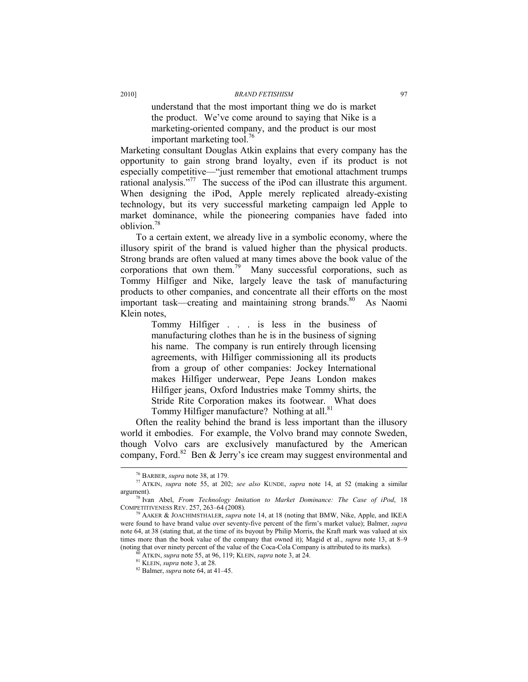understand that the most important thing we do is market the product. We've come around to saying that Nike is a marketing-oriented company, and the product is our most important marketing tool. $\frac{76}{6}$ 

Marketing consultant Douglas Atkin explains that every company has the opportunity to gain strong brand loyalty, even if its product is not especially competitive—"just remember that emotional attachment trumps rational analysis."77 The success of the iPod can illustrate this argument. When designing the iPod, Apple merely replicated already-existing technology, but its very successful marketing campaign led Apple to market dominance, while the pioneering companies have faded into oblivion.78

To a certain extent, we already live in a symbolic economy, where the illusory spirit of the brand is valued higher than the physical products. Strong brands are often valued at many times above the book value of the corporations that own them.<sup>79</sup> Many successful corporations, such as Tommy Hilfiger and Nike, largely leave the task of manufacturing products to other companies, and concentrate all their efforts on the most important task—creating and maintaining strong brands.<sup>80</sup> As Naomi Klein notes,

> Tommy Hilfiger . . . is less in the business of manufacturing clothes than he is in the business of signing his name. The company is run entirely through licensing agreements, with Hilfiger commissioning all its products from a group of other companies: Jockey International makes Hilfiger underwear, Pepe Jeans London makes Hilfiger jeans, Oxford Industries make Tommy shirts, the Stride Rite Corporation makes its footwear. What does Tommy Hilfiger manufacture? Nothing at all.<sup>81</sup>

Often the reality behind the brand is less important than the illusory world it embodies. For example, the Volvo brand may connote Sweden, though Volvo cars are exclusively manufactured by the American company, Ford.<sup>82</sup> Ben & Jerry's ice cream may suggest environmental and

 <sup>76</sup> BARBER, *supra* note 38, at 179. 77 ATKIN, *supra* note 55, at 202; *see also* KUNDE, *supra* note 14, at 52 (making a similar

argument).<br><sup>78</sup> Ivan Abel, *From Technology Imitation to Market Dominance: The Case of iPod*, 18<br>COMPETITIVENESS REV. 257, 263–64 (2008).

AAKER & JOACHIMSTHALER, *supra* note 14, at 18 (noting that BMW, Nike, Apple, and IKEA were found to have brand value over seventy-five percent of the firm's market value); Balmer, *supra* note 64, at 38 (stating that, at the time of its buyout by Philip Morris, the Kraft mark was valued at six times more than the book value of the company that owned it); Magid et al., *supra* note 13, at 8–9 (noting that over ninety percent of the value of the Coca-Cola Company is attributed to its marks).<br><sup>80</sup> ATKIN, *supra* note 55, at 96, 119; KLEIN, *supra* note 3, at 24.<br><sup>81</sup> KLEIN, *supra* note 3, at 28.<br><sup>82</sup> Balmer, *s*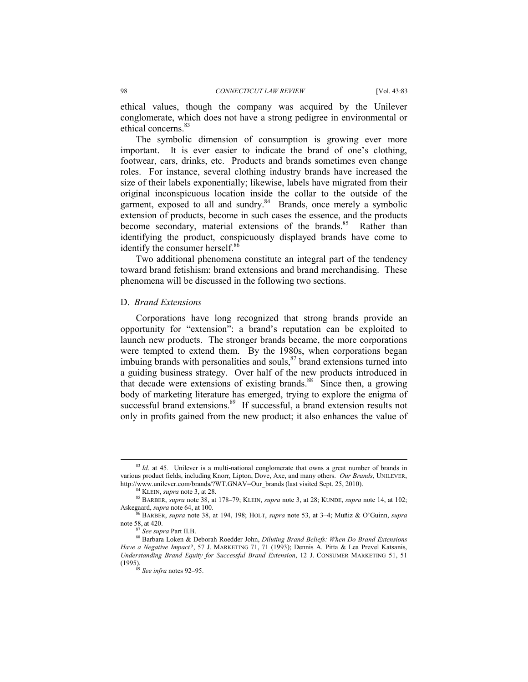ethical values, though the company was acquired by the Unilever conglomerate, which does not have a strong pedigree in environmental or ethical concerns.<sup>83</sup>

The symbolic dimension of consumption is growing ever more important. It is ever easier to indicate the brand of one's clothing, footwear, cars, drinks, etc. Products and brands sometimes even change roles. For instance, several clothing industry brands have increased the size of their labels exponentially; likewise, labels have migrated from their original inconspicuous location inside the collar to the outside of the garment, exposed to all and sundry.<sup>84</sup> Brands, once merely a symbolic extension of products, become in such cases the essence, and the products become secondary, material extensions of the brands.<sup>85</sup> Rather than identifying the product, conspicuously displayed brands have come to identify the consumer herself.<sup>86</sup>

Two additional phenomena constitute an integral part of the tendency toward brand fetishism: brand extensions and brand merchandising. These phenomena will be discussed in the following two sections.

#### D. *Brand Extensions*

Corporations have long recognized that strong brands provide an opportunity for "extension": a brand's reputation can be exploited to launch new products. The stronger brands became, the more corporations were tempted to extend them. By the 1980s, when corporations began imbuing brands with personalities and souls, $87$  brand extensions turned into a guiding business strategy. Over half of the new products introduced in that decade were extensions of existing brands.<sup>88</sup> Since then, a growing body of marketing literature has emerged, trying to explore the enigma of successful brand extensions.<sup>89</sup> If successful, a brand extension results not only in profits gained from the new product; it also enhances the value of

<sup>&</sup>lt;sup>83</sup> *Id.* at 45. Unilever is a multi-national conglomerate that owns a great number of brands in various product fields, including Knorr, Lipton, Dove, Axe, and many others. *Our Brands*, UNILEVER, http://www.unilever.com/brands/?WT.GNAV=Our\_brands (last visited Sept. 25, 2010).<br><sup>84</sup> KLEIN, *supra* note 3, at 28.<br><sup>85</sup> BARBER, *supra* note 38, at 178–79; KLEIN, *supra* note 3, at 28; KUNDE, *supra* note 14, at 102;

Askegaard, *supra* note 64, at 100. 86 BARBER, *supra* note 38, at 194, 198; HOLT, *supra* note 53, at 3–4; Muñiz & O'Guinn, *supra*

note 58, at 420.<br><sup>87</sup> *See supra* Part II.B.<br><sup>88</sup> Barbara Loken & Deborah Roedder John, *Diluting Brand Beliefs: When Do Brand Extensions Have a Negative Impact?*, 57 J. MARKETING 71, 71 (1993); Dennis A. Pitta & Lea Prevel Katsanis, *Understanding Brand Equity for Successful Brand Extension*, 12 J. CONSUMER MARKETING 51, 51

<sup>&</sup>lt;sup>89</sup> See infra notes 92–95.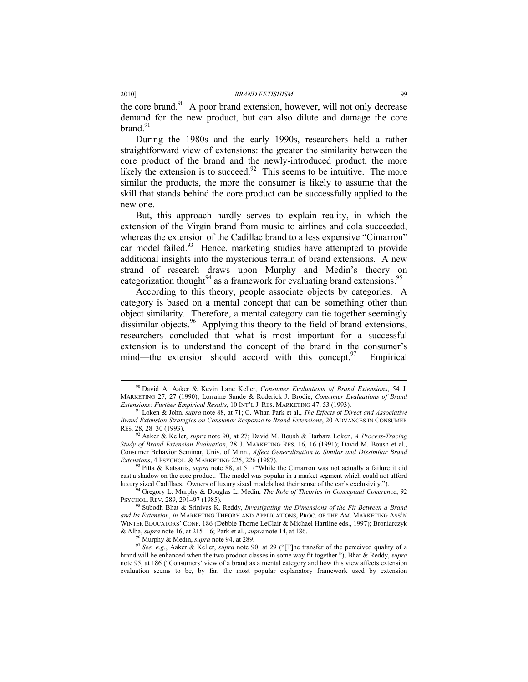the core brand.<sup>90</sup> A poor brand extension, however, will not only decrease demand for the new product, but can also dilute and damage the core  $brand.<sup>91</sup>$ 

During the 1980s and the early 1990s, researchers held a rather straightforward view of extensions: the greater the similarity between the core product of the brand and the newly-introduced product, the more likely the extension is to succeed.<sup>92</sup> This seems to be intuitive. The more similar the products, the more the consumer is likely to assume that the skill that stands behind the core product can be successfully applied to the new one.

But, this approach hardly serves to explain reality, in which the extension of the Virgin brand from music to airlines and cola succeeded, whereas the extension of the Cadillac brand to a less expensive "Cimarron" car model failed.<sup>93</sup> Hence, marketing studies have attempted to provide additional insights into the mysterious terrain of brand extensions. A new strand of research draws upon Murphy and Medin's theory on categorization thought<sup>94</sup> as a framework for evaluating brand extensions.<sup>95</sup>

According to this theory, people associate objects by categories. A category is based on a mental concept that can be something other than object similarity. Therefore, a mental category can tie together seemingly dissimilar objects.<sup>96</sup> Applying this theory to the field of brand extensions, researchers concluded that what is most important for a successful extension is to understand the concept of the brand in the consumer's mind—the extension should accord with this concept.<sup>97</sup> Empirical

 <sup>90</sup> David A. Aaker & Kevin Lane Keller, *Consumer Evaluations of Brand Extensions*, 54 J. MARKETING 27, 27 (1990); Lorraine Sunde & Roderick J. Brodie, *Consumer Evaluations of Brand* 

*Extensions: Further Empirical Results*, 10 INT'L J. RES. MARKETING 47, 53 (1993).<br><sup>91</sup> Loken & John, *supra* note 88, at 71; C. Whan Park et al., *The Effects of Direct and Associative Brand Extension Strategies on Consumer Response to Brand Extensions*, 20 ADVANCES IN CONSUMER RES. 28, 28–30 (1993).

<sup>92</sup> Aaker & Keller, *supra* note 90, at 27; David M. Boush & Barbara Loken, *A Process-Tracing Study of Brand Extension Evaluation*, 28 J. MARKETING RES. 16, 16 (1991); David M. Boush et al., Consumer Behavior Seminar, Univ. of Minn., *Affect Generalization to Similar and Dissimilar Brand Extensions*, 4 PSYCHOL. & MARKETING 225, 226 (1987). 93 Pitta & Katsanis, *supra* note 88, at 51 ("While the Cimarron was not actually a failure it did

cast a shadow on the core product. The model was popular in a market segment which could not afford luxury sized Cadillacs. Owners of luxury sized models lost their sense of the car's exclusivity.").

Gregory L. Murphy & Douglas L. Medin, The Role of Theories in Conceptual Coherence, 92 PSYCHOL. REV. 289, 291–97 (1985). 95 Subodh Bhat & Srinivas K. Reddy, *Investigating the Dimensions of the Fit Between a Brand* 

*and Its Extension*, *in* MARKETING THEORY AND APPLICATIONS, PROC. OF THE AM. MARKETING ASS'N WINTER EDUCATORS' CONF. 186 (Debbie Thorne LeClair & Michael Hartline eds., 1997); Broniarczyk & Alba, *supra* note 16, at 215–16; Park et al., *supra* note 14, at 186.<br><sup>96</sup> Murphy & Medin, *supra* note 94, at 289.<br><sup>97</sup> See, e.g., Aaker & Keller, *supra* note 90, at 29 ("[T]he transfer of the perceived quality of a

brand will be enhanced when the two product classes in some way fit together."); Bhat & Reddy, *supra* note 95, at 186 ("Consumers' view of a brand as a mental category and how this view affects extension evaluation seems to be, by far, the most popular explanatory framework used by extension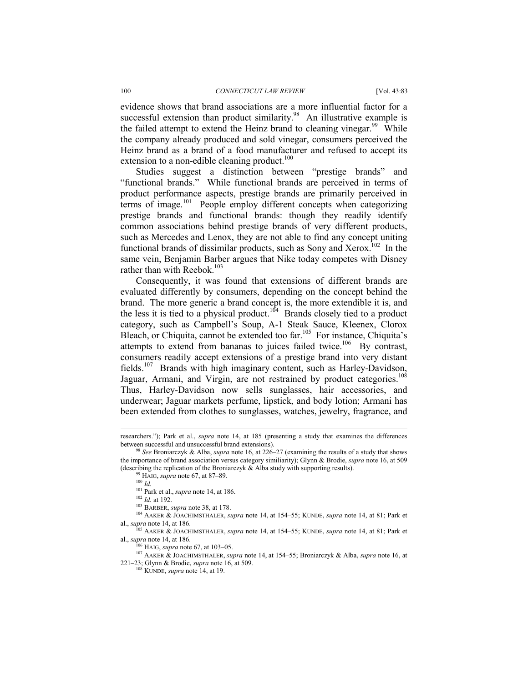evidence shows that brand associations are a more influential factor for a successful extension than product similarity.<sup>98</sup> An illustrative example is the failed attempt to extend the Heinz brand to cleaning vinegar.<sup>99</sup> While the company already produced and sold vinegar, consumers perceived the Heinz brand as a brand of a food manufacturer and refused to accept its extension to a non-edible cleaning product. $100$ 

Studies suggest a distinction between "prestige brands" and "functional brands." While functional brands are perceived in terms of product performance aspects, prestige brands are primarily perceived in terms of image.<sup>101</sup> People employ different concepts when categorizing prestige brands and functional brands: though they readily identify common associations behind prestige brands of very different products, such as Mercedes and Lenox, they are not able to find any concept uniting functional brands of dissimilar products, such as Sony and Xerox.<sup>102</sup> In the same vein, Benjamin Barber argues that Nike today competes with Disney rather than with Reebok.<sup>103</sup>

Consequently, it was found that extensions of different brands are evaluated differently by consumers, depending on the concept behind the brand. The more generic a brand concept is, the more extendible it is, and the less it is tied to a physical product.<sup>104</sup> Brands closely tied to a product category, such as Campbell's Soup, A-1 Steak Sauce, Kleenex, Clorox Bleach, or Chiquita, cannot be extended too far.<sup>105</sup> For instance, Chiquita's attempts to extend from bananas to juices failed twice.<sup>106</sup> By contrast, consumers readily accept extensions of a prestige brand into very distant fields.107 Brands with high imaginary content, such as Harley-Davidson, Jaguar, Armani, and Virgin, are not restrained by product categories.<sup>108</sup> Thus, Harley-Davidson now sells sunglasses, hair accessories, and underwear; Jaguar markets perfume, lipstick, and body lotion; Armani has been extended from clothes to sunglasses, watches, jewelry, fragrance, and

l

<sup>106</sup> HAIG, *supra* note 67, at 103–05.<br><sup>107</sup> AAKER & JOACHIMSTHALER, *supra* note 14, at 154–55; Broniarczyk & Alba, *supra* note 16, at 221–23; Glynn & Brodie, *supra* note 16, at 509. 108 KUNDE, *supra* note 14, at 19.

researchers."); Park et al., *supra* note 14, at 185 (presenting a study that examines the differences

<sup>&</sup>lt;sup>98</sup> *See* Broniarczyk & Alba, *supra* note 16, at 226–27 (examining the results of a study that shows the importance of brand association versus category similiarity); Glynn & Brodie, *supra* note 16, at 509 (describing the replication of the Broniarczyk & Alba study with supporting results).<br><sup>99</sup> HAIG, *supra* note 67, at 87–89.<br><sup>100</sup> *Id.*<br><sup>101</sup> Park et al., *supra* note 14, at 186.

<sup>102</sup> *Id.* at 192.<br><sup>102</sup> *Id.* at 192.<br><sup>103</sup> BARBER, *supra* note 38, at 178.<br><sup>104</sup> AAKER & JOACHIMSTHALER, *supra* note 14, at 154–55; KUNDE, *supra* note 14, at 81; Park et al., *supra* note 14, at 186.

al., *supra* note 14, at 186. 105 AAKER & JOACHIMSTHALER, *supra* note 14, at 154–55; KUNDE, *supra* note 14, at 81; Park et al., *supra* note 14, at 186.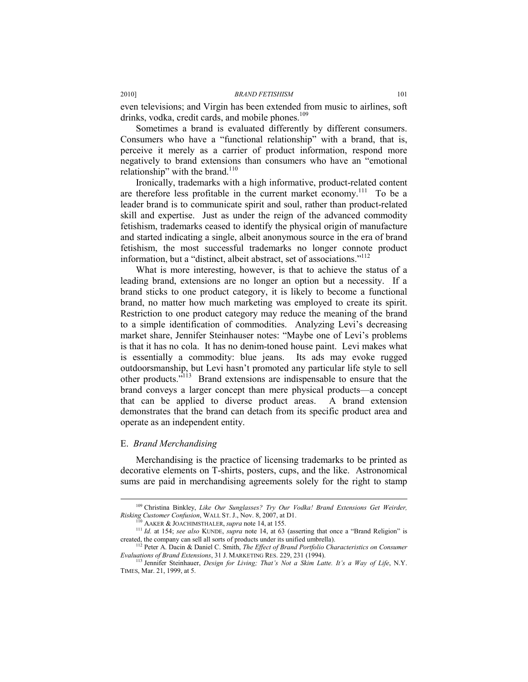even televisions; and Virgin has been extended from music to airlines, soft drinks, vodka, credit cards, and mobile phones.<sup>109</sup>

Sometimes a brand is evaluated differently by different consumers. Consumers who have a "functional relationship" with a brand, that is, perceive it merely as a carrier of product information, respond more negatively to brand extensions than consumers who have an "emotional relationship" with the brand. $110$ 

Ironically, trademarks with a high informative, product-related content are therefore less profitable in the current market economy.<sup>111</sup> To be a leader brand is to communicate spirit and soul, rather than product-related skill and expertise. Just as under the reign of the advanced commodity fetishism, trademarks ceased to identify the physical origin of manufacture and started indicating a single, albeit anonymous source in the era of brand fetishism, the most successful trademarks no longer connote product information, but a "distinct, albeit abstract, set of associations."112

What is more interesting, however, is that to achieve the status of a leading brand, extensions are no longer an option but a necessity. If a brand sticks to one product category, it is likely to become a functional brand, no matter how much marketing was employed to create its spirit. Restriction to one product category may reduce the meaning of the brand to a simple identification of commodities. Analyzing Levi's decreasing market share, Jennifer Steinhauser notes: "Maybe one of Levi's problems is that it has no cola. It has no denim-toned house paint. Levi makes what is essentially a commodity: blue jeans. Its ads may evoke rugged outdoorsmanship, but Levi hasn't promoted any particular life style to sell other products."113 Brand extensions are indispensable to ensure that the brand conveys a larger concept than mere physical products—a concept that can be applied to diverse product areas. A brand extension demonstrates that the brand can detach from its specific product area and operate as an independent entity.

#### E. *Brand Merchandising*

Merchandising is the practice of licensing trademarks to be printed as decorative elements on T-shirts, posters, cups, and the like. Astronomical sums are paid in merchandising agreements solely for the right to stamp

<sup>&</sup>lt;sup>109</sup> Christina Binkley, *Like Our Sunglasses? Try Our Vodka! Brand Extensions Get Weirder, Risking Customer Confusion*, WALL ST. J., Nov. 8, 2007, at D1.

<sup>&</sup>lt;sup>110</sup> AAKER & JOACHIMSTHALER, *supra* note 14, at 155.<br><sup>111</sup> *Id.* at 154; *see also* KUNDE, *supra* note 14, at 63 (asserting that once a "Brand Religion" is created, the company can sell all sorts of products under its

<sup>&</sup>lt;sup>112</sup> Peter A. Dacin & Daniel C. Smith, *The Effect of Brand Portfolio Characteristics on Consumer Evaluations of Brand Extensions, 31 J. MARKETING RES. 229, 231 (1994).* 

<sup>&</sup>lt;sup>113</sup> Jennifer Steinhauer, *Design for Living; That's Not a Skim Latte. It's a Way of Life*, N.Y. TIMES, Mar. 21, 1999, at 5.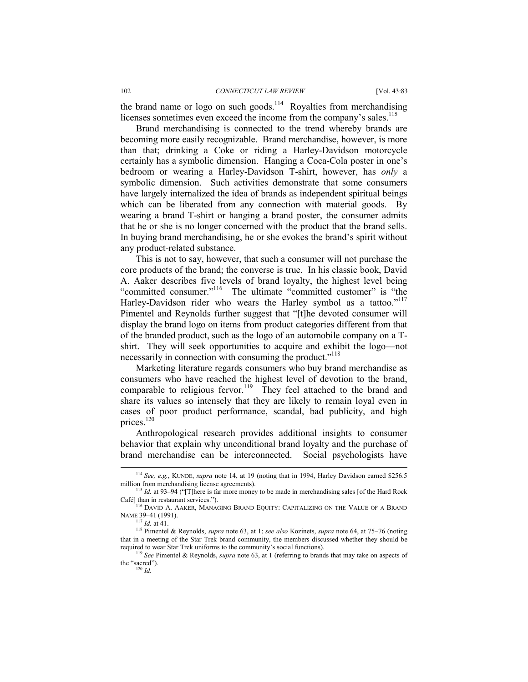the brand name or logo on such goods.<sup>114</sup> Royalties from merchandising licenses sometimes even exceed the income from the company's sales.<sup>115</sup>

Brand merchandising is connected to the trend whereby brands are becoming more easily recognizable. Brand merchandise, however, is more than that; drinking a Coke or riding a Harley-Davidson motorcycle certainly has a symbolic dimension. Hanging a Coca-Cola poster in one's bedroom or wearing a Harley-Davidson T-shirt, however, has *only* a symbolic dimension. Such activities demonstrate that some consumers have largely internalized the idea of brands as independent spiritual beings which can be liberated from any connection with material goods. By wearing a brand T-shirt or hanging a brand poster, the consumer admits that he or she is no longer concerned with the product that the brand sells. In buying brand merchandising, he or she evokes the brand's spirit without any product-related substance.

This is not to say, however, that such a consumer will not purchase the core products of the brand; the converse is true. In his classic book, David A. Aaker describes five levels of brand loyalty, the highest level being "committed consumer."<sup>116</sup> The ultimate "committed customer" is "the Harley-Davidson rider who wears the Harley symbol as a tattoo."<sup>117</sup> Pimentel and Reynolds further suggest that "[t]he devoted consumer will display the brand logo on items from product categories different from that of the branded product, such as the logo of an automobile company on a Tshirt. They will seek opportunities to acquire and exhibit the logo—not necessarily in connection with consuming the product."<sup>118</sup>

Marketing literature regards consumers who buy brand merchandise as consumers who have reached the highest level of devotion to the brand, comparable to religious fervor.<sup>119</sup> They feel attached to the brand and share its values so intensely that they are likely to remain loyal even in cases of poor product performance, scandal, bad publicity, and high prices.<sup>120</sup>

Anthropological research provides additional insights to consumer behavior that explain why unconditional brand loyalty and the purchase of brand merchandise can be interconnected. Social psychologists have

 <sup>114</sup> *See, e.g.*, KUNDE, *supra* note 14, at 19 (noting that in 1994, Harley Davidson earned \$256.5 million from merchandising license agreements).<br><sup>115</sup> *Id.* at 93–94 ("[T]here is far more money to be made in merchandising sales [of the Hard Rock

Café] than in restaurant services.").<br><sup>116</sup> DAVID A. AAKER, MANAGING BRAND EQUITY: CAPITALIZING ON THE VALUE OF A BRAND NAME 39–41 (1991).<br><sup>117</sup> *Id.* at 41.

<sup>&</sup>lt;sup>118</sup> Pimentel & Reynolds, *supra* note 63, at 1; *see also* Kozinets, *supra* note 64, at 75–76 (noting that in a meeting of the Star Trek brand community, the members discussed whether they should be required to wear Star Trek uniforms to the community's social functions). 119 *See* Pimentel & Reynolds, *supra* note 63, at 1 (referring to brands that may take on aspects of

the "sacred").<br> $\frac{120}{Id}$ .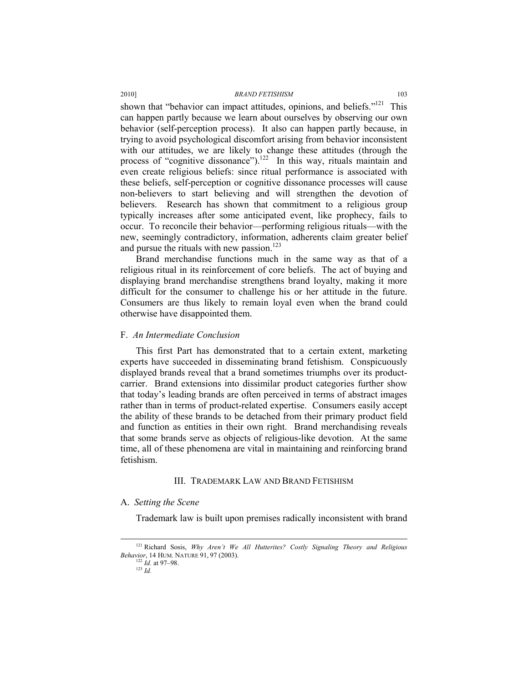shown that "behavior can impact attitudes, opinions, and beliefs."<sup>121</sup> This can happen partly because we learn about ourselves by observing our own behavior (self-perception process). It also can happen partly because, in trying to avoid psychological discomfort arising from behavior inconsistent with our attitudes, we are likely to change these attitudes (through the process of "cognitive dissonance").<sup>122</sup> In this way, rituals maintain and even create religious beliefs: since ritual performance is associated with these beliefs, self-perception or cognitive dissonance processes will cause non-believers to start believing and will strengthen the devotion of believers. Research has shown that commitment to a religious group typically increases after some anticipated event, like prophecy, fails to occur. To reconcile their behavior—performing religious rituals—with the new, seemingly contradictory, information, adherents claim greater belief and pursue the rituals with new passion. $123$ 

Brand merchandise functions much in the same way as that of a religious ritual in its reinforcement of core beliefs. The act of buying and displaying brand merchandise strengthens brand loyalty, making it more difficult for the consumer to challenge his or her attitude in the future. Consumers are thus likely to remain loyal even when the brand could otherwise have disappointed them.

### F. *An Intermediate Conclusion*

This first Part has demonstrated that to a certain extent, marketing experts have succeeded in disseminating brand fetishism. Conspicuously displayed brands reveal that a brand sometimes triumphs over its productcarrier. Brand extensions into dissimilar product categories further show that today's leading brands are often perceived in terms of abstract images rather than in terms of product-related expertise. Consumers easily accept the ability of these brands to be detached from their primary product field and function as entities in their own right. Brand merchandising reveals that some brands serve as objects of religious-like devotion. At the same time, all of these phenomena are vital in maintaining and reinforcing brand fetishism.

# III. TRADEMARK LAW AND BRAND FETISHISM

#### A. *Setting the Scene*

Trademark law is built upon premises radically inconsistent with brand

 <sup>121</sup> Richard Sosis, *Why Aren't We All Hutterites? Costly Signaling Theory and Religious Behavior*, 14 HUM. NATURE 91, 97 (2003).<br><sup>122</sup> *Id.* at 97–98.<br><sup>123</sup> *Id*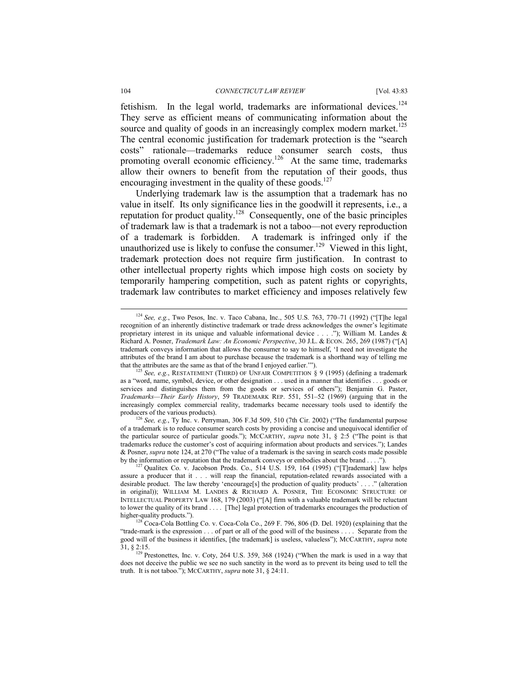#### 104 *CONNECTICUT LAW REVIEW* [Vol. 43:83

fetishism. In the legal world, trademarks are informational devices.<sup>124</sup> They serve as efficient means of communicating information about the source and quality of goods in an increasingly complex modern market.<sup>125</sup> The central economic justification for trademark protection is the "search costs" rationale—trademarks reduce consumer search costs, thus promoting overall economic efficiency.<sup>126</sup> At the same time, trademarks allow their owners to benefit from the reputation of their goods, thus encouraging investment in the quality of these goods.<sup>127</sup>

Underlying trademark law is the assumption that a trademark has no value in itself. Its only significance lies in the goodwill it represents, i.e., a reputation for product quality.<sup>128</sup> Consequently, one of the basic principles of trademark law is that a trademark is not a taboo—not every reproduction of a trademark is forbidden. A trademark is infringed only if the unauthorized use is likely to confuse the consumer.<sup>129</sup> Viewed in this light, trademark protection does not require firm justification. In contrast to other intellectual property rights which impose high costs on society by temporarily hampering competition, such as patent rights or copyrights, trademark law contributes to market efficiency and imposes relatively few

<sup>126</sup> See, e.g., Ty Inc. v. Perryman, 306 F.3d 509, 510 (7th Cir. 2002) ("The fundamental purpose of a trademark is to reduce consumer search costs by providing a concise and unequivocal identifier of the particular source of particular goods."); MCCARTHY, *supra* note 31, § 2:5 ("The point is that trademarks reduce the customer's cost of acquiring information about products and services."); Landes & Posner, *supra* note 124, at 270 ("The value of a trademark is the saving in search costs made possible by the information or reputation that the trademark conveys or embodies about the brand ....").

 <sup>124</sup> *See, e.g.*, Two Pesos, Inc. v. Taco Cabana, Inc., 505 U.S. 763, 770–71 (1992) ("[T]he legal recognition of an inherently distinctive trademark or trade dress acknowledges the owner's legitimate proprietary interest in its unique and valuable informational device . . . ."); William M. Landes & Richard A. Posner, *Trademark Law: An Economic Perspective*, 30 J.L. & ECON. 265, 269 (1987) ("[A] trademark conveys information that allows the consumer to say to himself, 'I need not investigate the attributes of the brand I am about to purchase because the trademark is a shorthand way of telling me that the attributes are the same as that of the brand I enjoyed earlier."").

See, e.g., RESTATEMENT (THIRD) OF UNFAIR COMPETITION § 9 (1995) (defining a trademark as a "word, name, symbol, device, or other designation . . . used in a manner that identifies . . . goods or services and distinguishes them from the goods or services of others"); Benjamin G. Paster, *Trademarks—Their Early History*, 59 TRADEMARK REP. 551, 551–52 (1969) (arguing that in the increasingly complex commercial reality, trademarks became necessary tools used to identify the

 $h^{127}$  Qualitex Co. v. Jacobson Prods. Co., 514 U.S. 159, 164 (1995) ("[T]rademark] law helps assure a producer that it . . . will reap the financial, reputation-related rewards associated with a desirable product. The law thereby 'encourage[s] the production of quality products' . . . ." (alteration in original)); WILLIAM M. LANDES & RICHARD A. POSNER, THE ECONOMIC STRUCTURE OF INTELLECTUAL PROPERTY LAW 168, 179 (2003) ("[A] firm with a valuable trademark will be reluctant to lower the quality of its brand . . . . [The] legal protection of trademarks encourages the production of higher-quality products.").

 $\frac{1}{2}$  Coca-Cola Bottling Co. v. Coca-Cola Co., 269 F. 796, 806 (D. Del. 1920) (explaining that the "trade-mark is the expression . . . of part or all of the good will of the business . . . . Separate from the good will of the business it identifies, [the trademark] is useless, valueless"); MCCARTHY, *supra* note 31, § 2:15.<br><sup>129</sup> Prestonettes, Inc. v. Coty, 264 U.S. 359, 368 (1924) ("When the mark is used in a way that

does not deceive the public we see no such sanctity in the word as to prevent its being used to tell the truth. It is not taboo."); MCCARTHY, *supra* note 31, § 24:11.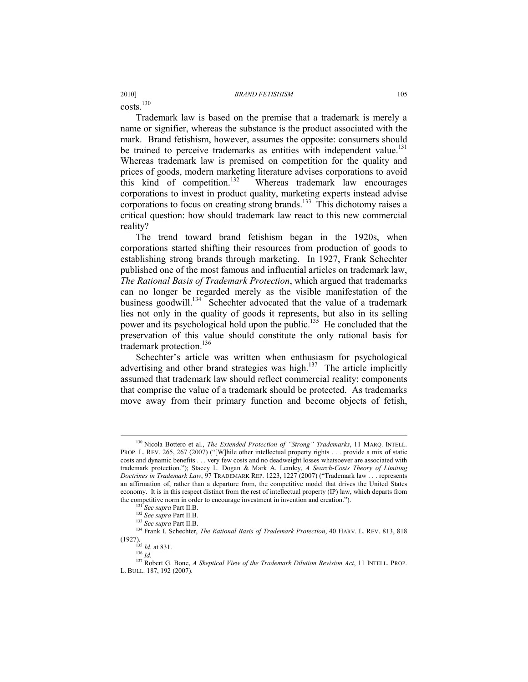$costs$ <sup>130</sup>

Trademark law is based on the premise that a trademark is merely a name or signifier, whereas the substance is the product associated with the mark. Brand fetishism, however, assumes the opposite: consumers should be trained to perceive trademarks as entities with independent value.<sup>131</sup> Whereas trademark law is premised on competition for the quality and prices of goods, modern marketing literature advises corporations to avoid this kind of competition.<sup>132</sup>Whereas trademark law encourages corporations to invest in product quality, marketing experts instead advise corporations to focus on creating strong brands.133This dichotomy raises a critical question: how should trademark law react to this new commercial reality?

The trend toward brand fetishism began in the 1920s, when corporations started shifting their resources from production of goods to establishing strong brands through marketing. In 1927, Frank Schechter published one of the most famous and influential articles on trademark law, *The Rational Basis of Trademark Protection*, which argued that trademarks can no longer be regarded merely as the visible manifestation of the business goodwill.<sup>134</sup> Schechter advocated that the value of a trademark lies not only in the quality of goods it represents, but also in its selling power and its psychological hold upon the public.<sup>135</sup> He concluded that the preservation of this value should constitute the only rational basis for trademark protection.<sup>136</sup>

Schechter's article was written when enthusiasm for psychological advertising and other brand strategies was high.<sup>137</sup> The article implicitly assumed that trademark law should reflect commercial reality: components that comprise the value of a trademark should be protected. As trademarks move away from their primary function and become objects of fetish,

 <sup>130</sup> Nicola Bottero et al., *The Extended Protection of "Strong" Trademarks*, 11 MARQ. INTELL. PROP. L. REV. 265, 267 (2007) ("[W]hile other intellectual property rights . . . provide a mix of static costs and dynamic benefits . . . very few costs and no deadweight losses whatsoever are associated with trademark protection."); Stacey L. Dogan & Mark A. Lemley, *A Search-Costs Theory of Limiting Doctrines in Trademark Law*, 97 TRADEMARK REP. 1223, 1227 (2007) ("Trademark law . . . represents an affirmation of, rather than a departure from, the competitive model that drives the United States economy. It is in this respect distinct from the rest of intellectual property (IP) law, which departs from the competitive norm in order to encourage investment in invention and creation.").<br>
<sup>131</sup> *See supra* Part II.B.<br>
<sup>132</sup> *See supra* Part II.B.<br>
<sup>133</sup> *See supra* Part II.B.

<sup>&</sup>lt;sup>134</sup> Frank I. Schechter, *The Rational Basis of Trademark Protection*, 40 HARV. L. REV. 813, 818 (1927). 135 *Id.* at 831. 136 *Id.*

<sup>137</sup> Robert G. Bone, *A Skeptical View of the Trademark Dilution Revision Act*, 11 INTELL. PROP. L. BULL. 187, 192 (2007).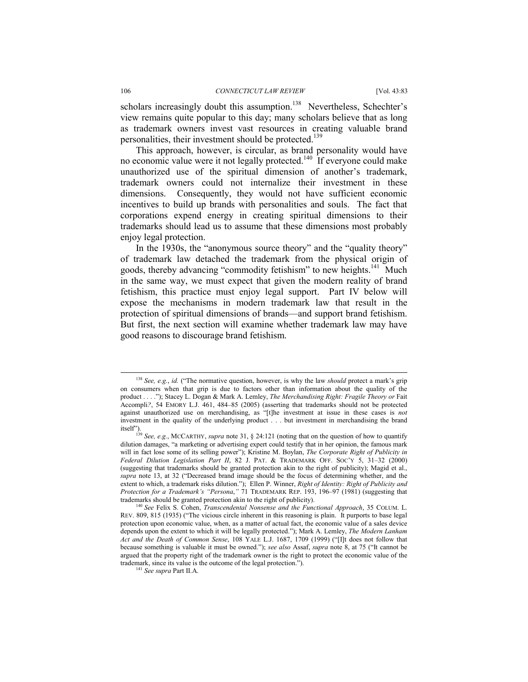scholars increasingly doubt this assumption.<sup>138</sup> Nevertheless, Schechter's view remains quite popular to this day; many scholars believe that as long as trademark owners invest vast resources in creating valuable brand personalities, their investment should be protected.<sup>139</sup>

This approach, however, is circular, as brand personality would have no economic value were it not legally protected.<sup>140</sup> If everyone could make unauthorized use of the spiritual dimension of another's trademark, trademark owners could not internalize their investment in these dimensions. Consequently, they would not have sufficient economic incentives to build up brands with personalities and souls. The fact that corporations expend energy in creating spiritual dimensions to their trademarks should lead us to assume that these dimensions most probably enjoy legal protection.

In the 1930s, the "anonymous source theory" and the "quality theory" of trademark law detached the trademark from the physical origin of goods, thereby advancing "commodity fetishism" to new heights.<sup>141</sup> Much in the same way, we must expect that given the modern reality of brand fetishism, this practice must enjoy legal support. Part IV below will expose the mechanisms in modern trademark law that result in the protection of spiritual dimensions of brands—and support brand fetishism. But first, the next section will examine whether trademark law may have good reasons to discourage brand fetishism.

 <sup>138</sup> *See, e.g.*, *id.* ("The normative question, however, is why the law *should* protect a mark's grip on consumers when that grip is due to factors other than information about the quality of the product . . . ."); Stacey L. Dogan & Mark A. Lemley, *The Merchandising Right: Fragile Theory or* Fait Accompli*?*, 54 EMORY L.J. 461, 484–85 (2005) (asserting that trademarks should not be protected against unauthorized use on merchandising, as "[t]he investment at issue in these cases is *not* investment in the quality of the underlying product . . . but investment in merchandising the brand

itself"). 139 *See, e.g.*, MCCARTHY, *supra* note 31, § 24:121 (noting that on the question of how to quantify dilution damages, "a marketing or advertising expert could testify that in her opinion, the famous mark will in fact lose some of its selling power"); Kristine M. Boylan, *The Corporate Right of Publicity in Federal Dilution Legislation Part II*, 82 J. PAT. & TRADEMARK OFF. SOC'Y 5, 31–32 (2000) (suggesting that trademarks should be granted protection akin to the right of publicity); Magid et al., *supra* note 13, at 32 ("Decreased brand image should be the focus of determining whether, and the extent to which, a trademark risks dilution."); Ellen P. Winner, *Right of Identity: Right of Publicity and Protection for a Trademark's "Persona*,*"* 71 TRADEMARK REP. 193, 196–97 (1981) (suggesting that

trademarks should be granted protection akin to the right of publicity). 140 *See* Felix S. Cohen, *Transcendental Nonsense and the Functional Approach*, 35 COLUM. L. REV. 809, 815 (1935) ("The vicious circle inherent in this reasoning is plain. It purports to base legal protection upon economic value, when, as a matter of actual fact, the economic value of a sales device depends upon the extent to which it will be legally protected."); Mark A. Lemley, *The Modern Lanham Act and the Death of Common Sense*, 108 YALE L.J. 1687, 1709 (1999) ("[I]t does not follow that because something is valuable it must be owned."); *see also* Assaf, *supra* note 8, at 75 ("It cannot be argued that the property right of the trademark owner is the right to protect the economic value of the trademark, since its value is the outcome of the legal protection."). 141 *See supra* Part II.A.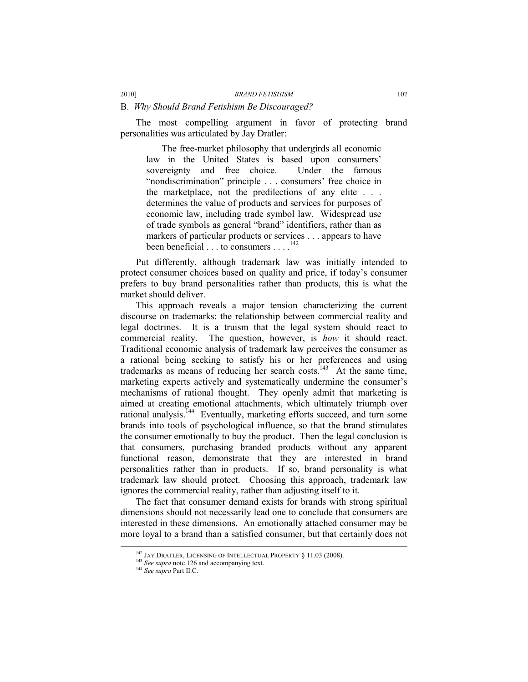#### B. *Why Should Brand Fetishism Be Discouraged?*

The most compelling argument in favor of protecting brand personalities was articulated by Jay Dratler:

The free-market philosophy that undergirds all economic law in the United States is based upon consumers' sovereignty and free choice. Under the famous "nondiscrimination" principle . . . consumers' free choice in the marketplace, not the predilections of any elite . . . determines the value of products and services for purposes of economic law, including trade symbol law. Widespread use of trade symbols as general "brand" identifiers, rather than as markers of particular products or services . . . appears to have been beneficial . . . to consumers . . . .<sup>142</sup>

Put differently, although trademark law was initially intended to protect consumer choices based on quality and price, if today's consumer prefers to buy brand personalities rather than products, this is what the market should deliver.

This approach reveals a major tension characterizing the current discourse on trademarks: the relationship between commercial reality and legal doctrines. It is a truism that the legal system should react to commercial reality. The question, however, is *how* it should react. Traditional economic analysis of trademark law perceives the consumer as a rational being seeking to satisfy his or her preferences and using trademarks as means of reducing her search costs.<sup>143</sup> At the same time, marketing experts actively and systematically undermine the consumer's mechanisms of rational thought. They openly admit that marketing is aimed at creating emotional attachments, which ultimately triumph over rational analysis.144Eventually, marketing efforts succeed, and turn some brands into tools of psychological influence, so that the brand stimulates the consumer emotionally to buy the product. Then the legal conclusion is that consumers, purchasing branded products without any apparent functional reason, demonstrate that they are interested in brand personalities rather than in products. If so, brand personality is what trademark law should protect. Choosing this approach, trademark law ignores the commercial reality, rather than adjusting itself to it.

The fact that consumer demand exists for brands with strong spiritual dimensions should not necessarily lead one to conclude that consumers are interested in these dimensions. An emotionally attached consumer may be more loyal to a brand than a satisfied consumer, but that certainly does not

<sup>&</sup>lt;sup>142</sup> JAY DRATLER, LICENSING OF INTELLECTUAL PROPERTY § 11.03 (2008).<br><sup>143</sup> *See supra* note 126 and accompanying text.<br><sup>144</sup> *See supra* Part II.C.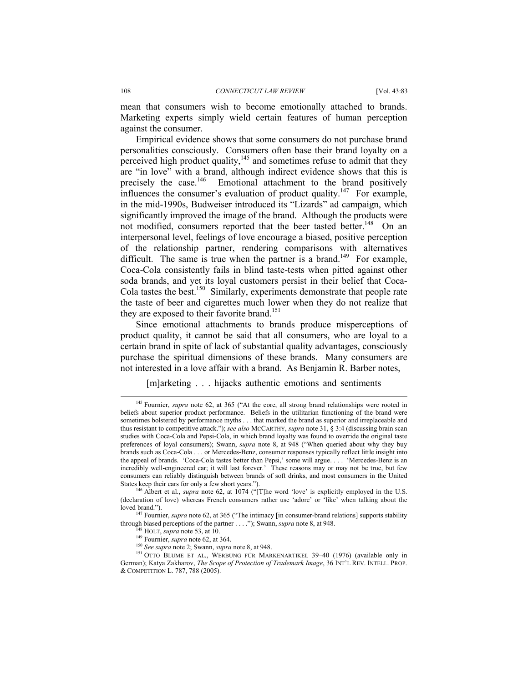mean that consumers wish to become emotionally attached to brands. Marketing experts simply wield certain features of human perception against the consumer.

Empirical evidence shows that some consumers do not purchase brand personalities consciously. Consumers often base their brand loyalty on a perceived high product quality, $145$  and sometimes refuse to admit that they are "in love" with a brand, although indirect evidence shows that this is precisely the case. $146$  Emotional attachment to the brand positively influences the consumer's evaluation of product quality.<sup>147</sup> For example, in the mid-1990s, Budweiser introduced its "Lizards" ad campaign, which significantly improved the image of the brand. Although the products were not modified, consumers reported that the beer tasted better.<sup>148</sup> On an interpersonal level, feelings of love encourage a biased, positive perception of the relationship partner, rendering comparisons with alternatives difficult. The same is true when the partner is a brand.<sup>149</sup> For example, Coca-Cola consistently fails in blind taste-tests when pitted against other soda brands, and yet its loyal customers persist in their belief that Coca-Cola tastes the best.<sup>150</sup> Similarly, experiments demonstrate that people rate the taste of beer and cigarettes much lower when they do not realize that they are exposed to their favorite brand.<sup>151</sup>

Since emotional attachments to brands produce misperceptions of product quality, it cannot be said that all consumers, who are loyal to a certain brand in spite of lack of substantial quality advantages, consciously purchase the spiritual dimensions of these brands. Many consumers are not interested in a love affair with a brand. As Benjamin R. Barber notes,

[m]arketing . . . hijacks authentic emotions and sentiments

<sup>&</sup>lt;sup>145</sup> Fournier, *supra* note 62, at 365 ("At the core, all strong brand relationships were rooted in beliefs about superior product performance. Beliefs in the utilitarian functioning of the brand were sometimes bolstered by performance myths . . . that marked the brand as superior and irreplaceable and thus resistant to competitive attack."); *see also* MCCARTHY, *supra* note 31, § 3:4 (discussing brain scan studies with Coca-Cola and Pepsi-Cola, in which brand loyalty was found to override the original taste preferences of loyal consumers); Swann, *supra* note 8, at 948 ("When queried about why they buy brands such as Coca-Cola . . . or Mercedes-Benz, consumer responses typically reflect little insight into the appeal of brands. 'Coca-Cola tastes better than Pepsi,' some will argue. . . . 'Mercedes-Benz is an incredibly well-engineered car; it will last forever.' These reasons may or may not be true, but few consumers can reliably distinguish between brands of soft drinks, and most consumers in the United States keep their cars for only a few short years."). 146 Albert et al., *supra* note 62, at 1074 ("[T]he word 'love' is explicitly employed in the U.S.

<sup>(</sup>declaration of love) whereas French consumers rather use 'adore' or 'like' when talking about the loved brand."). 147 Fournier, *supra* note 62, at 365 ("The intimacy [in consumer-brand relations] supports stability

through biased perceptions of the partner . . . . "); Swann, *supra* note 8, at 948.<br><sup>148</sup> HOLT, *supra* note 53, at 10.<br><sup>149</sup> Fournier, *supra* note 62, at 364.<br><sup>150</sup> *See supra* note 2; Swann, *supra* note 8, at 948.<br><sup>1</sup>

German); Katya Zakharov, *The Scope of Protection of Trademark Image*, 36 INT'L REV. INTELL. PROP. & COMPETITION L. 787, 788 (2005).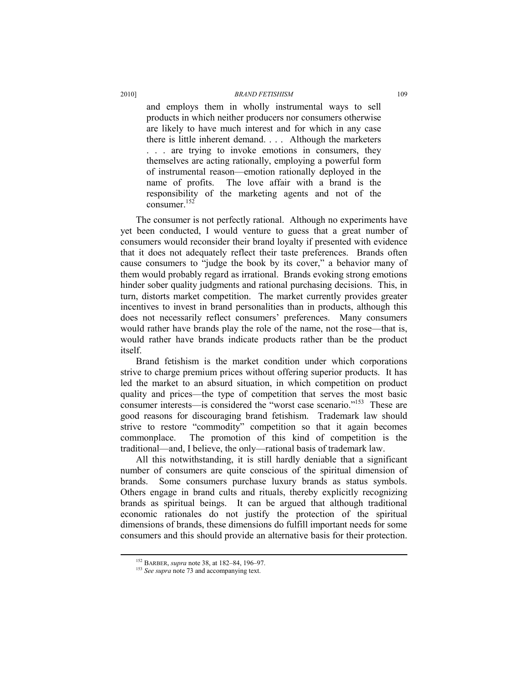and employs them in wholly instrumental ways to sell products in which neither producers nor consumers otherwise are likely to have much interest and for which in any case there is little inherent demand. . . . Although the marketers . . . are trying to invoke emotions in consumers, they themselves are acting rationally, employing a powerful form of instrumental reason—emotion rationally deployed in the name of profits. The love affair with a brand is the responsibility of the marketing agents and not of the consumer.<sup>152</sup>

The consumer is not perfectly rational. Although no experiments have yet been conducted, I would venture to guess that a great number of consumers would reconsider their brand loyalty if presented with evidence that it does not adequately reflect their taste preferences. Brands often cause consumers to "judge the book by its cover," a behavior many of them would probably regard as irrational. Brands evoking strong emotions hinder sober quality judgments and rational purchasing decisions. This, in turn, distorts market competition. The market currently provides greater incentives to invest in brand personalities than in products, although this does not necessarily reflect consumers' preferences. Many consumers would rather have brands play the role of the name, not the rose—that is, would rather have brands indicate products rather than be the product itself.

Brand fetishism is the market condition under which corporations strive to charge premium prices without offering superior products. It has led the market to an absurd situation, in which competition on product quality and prices—the type of competition that serves the most basic consumer interests—is considered the "worst case scenario."153These are good reasons for discouraging brand fetishism. Trademark law should strive to restore "commodity" competition so that it again becomes commonplace. The promotion of this kind of competition is the traditional—and, I believe, the only—rational basis of trademark law.

All this notwithstanding, it is still hardly deniable that a significant number of consumers are quite conscious of the spiritual dimension of brands. Some consumers purchase luxury brands as status symbols. Others engage in brand cults and rituals, thereby explicitly recognizing brands as spiritual beings. It can be argued that although traditional economic rationales do not justify the protection of the spiritual dimensions of brands, these dimensions do fulfill important needs for some consumers and this should provide an alternative basis for their protection.

<sup>&</sup>lt;sup>152</sup> BARBER, *supra* note 38, at 182–84, 196–97.<br><sup>153</sup> *See supra* note 73 and accompanying text.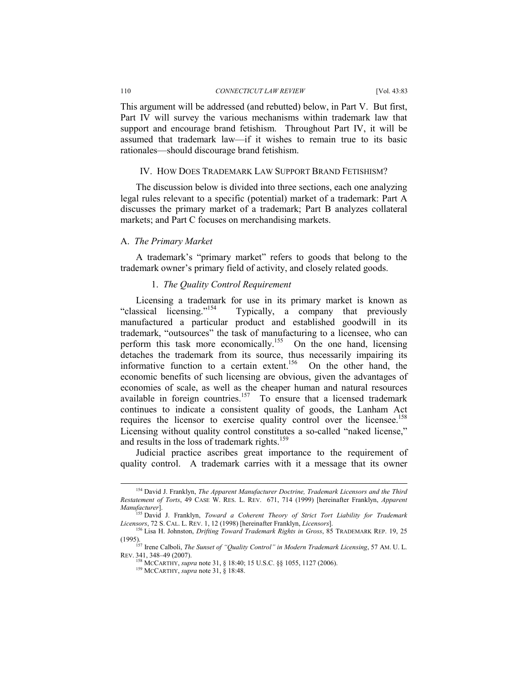#### 110 *CONNECTICUT LAW REVIEW* [Vol. 43:83

This argument will be addressed (and rebutted) below, in Part V. But first, Part IV will survey the various mechanisms within trademark law that support and encourage brand fetishism. Throughout Part IV, it will be assumed that trademark law—if it wishes to remain true to its basic rationales—should discourage brand fetishism.

# IV. HOW DOES TRADEMARK LAW SUPPORT BRAND FETISHISM?

The discussion below is divided into three sections, each one analyzing legal rules relevant to a specific (potential) market of a trademark: Part A discusses the primary market of a trademark; Part B analyzes collateral markets; and Part C focuses on merchandising markets.

### A. *The Primary Market*

A trademark's "primary market" refers to goods that belong to the trademark owner's primary field of activity, and closely related goods.

# 1. *The Quality Control Requirement*

Licensing a trademark for use in its primary market is known as "classical licensing."<sup>154</sup> Typically, a company that previously manufactured a particular product and established goodwill in its trademark, "outsources" the task of manufacturing to a licensee, who can perform this task more economically.<sup>155</sup> On the one hand, licensing detaches the trademark from its source, thus necessarily impairing its informative function to a certain extent.<sup>156</sup> On the other hand, the economic benefits of such licensing are obvious, given the advantages of economies of scale, as well as the cheaper human and natural resources available in foreign countries.<sup>157</sup> To ensure that a licensed trademark continues to indicate a consistent quality of goods, the Lanham Act requires the licensor to exercise quality control over the licensee.<sup>158</sup> Licensing without quality control constitutes a so-called "naked license," and results in the loss of trademark rights.<sup>159</sup>

Judicial practice ascribes great importance to the requirement of quality control. A trademark carries with it a message that its owner

 <sup>154</sup> David J. Franklyn, *The Apparent Manufacturer Doctrine, Trademark Licensors and the Third Restatement of Torts*, 49 CASE W. RES. L. REV. 671, 714 (1999) [hereinafter Franklyn, *Apparent Manufacturer*]. 155 David J. Franklyn, *Toward a Coherent Theory of Strict Tort Liability for Trademark* 

*Licensors*, 72 S. CAL. L. REV. 1, 12 (1998) [hereinafter Franklyn, *Licensors*]. 156 Lisa H. Johnston, *Drifting Toward Trademark Rights in Gross*, 85 TRADEMARK REP. 19, 25

<sup>(1995). 157</sup> Irene Calboli, *The Sunset of "Quality Control" in Modern Trademark Licensing*, 57 AM. U. L. REV. 341, 348–49 (2007).

<sup>158</sup> MCCARTHY, *supra* note 31, § 18:40; 15 U.S.C. §§ 1055, 1127 (2006). 159 MCCARTHY, *supra* note 31, § 18:48.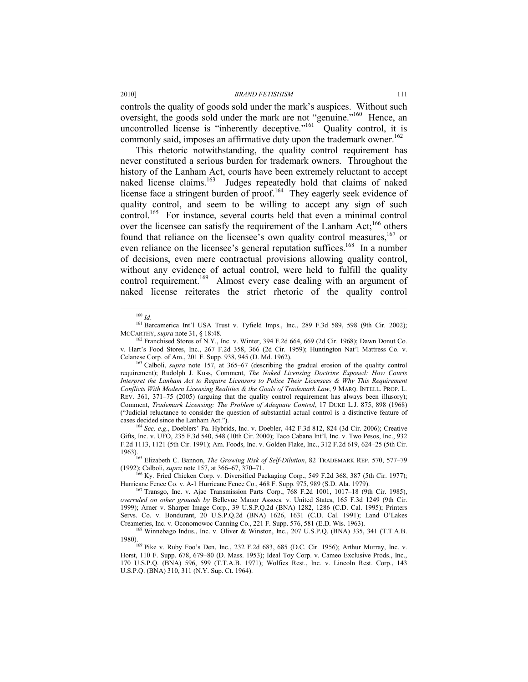controls the quality of goods sold under the mark's auspices. Without such oversight, the goods sold under the mark are not "genuine."<sup>160</sup> Hence, an uncontrolled license is "inherently deceptive."<sup>161</sup> Quality control, it is commonly said, imposes an affirmative duty upon the trademark owner.<sup>162</sup>

This rhetoric notwithstanding, the quality control requirement has never constituted a serious burden for trademark owners. Throughout the history of the Lanham Act, courts have been extremely reluctant to accept naked license claims.163 Judges repeatedly hold that claims of naked license face a stringent burden of proof.<sup>164</sup> They eagerly seek evidence of quality control, and seem to be willing to accept any sign of such control.<sup>165</sup> For instance, several courts held that even a minimal control over the licensee can satisfy the requirement of the Lanham Act;<sup>166</sup> others found that reliance on the licensee's own quality control measures,<sup>167</sup> or even reliance on the licensee's general reputation suffices.<sup>168</sup> In a number of decisions, even mere contractual provisions allowing quality control, without any evidence of actual control, were held to fulfill the quality control requirement.<sup>169</sup> Almost every case dealing with an argument of naked license reiterates the strict rhetoric of the quality control

<sup>k</sup> See, e.g., Doeblers' Pa. Hybrids, Inc. v. Doebler, 442 F.3d 812, 824 (3d Cir. 2006); Creative Gifts, Inc. v. UFO, 235 F.3d 540, 548 (10th Cir. 2000); Taco Cabana Int'l, Inc. v. Two Pesos, Inc., 932 F.2d 1113, 1121 (5th Cir. 1991); Am. Foods, Inc. v. Golden Flake, Inc., 312 F.2d 619, 624–25 (5th Cir.

1963). 165 Elizabeth C. Bannon, *The Growing Risk of Self-Dilution*, 82 TRADEMARK REP. 570, 577–79

<sup>166</sup> Ky. Fried Chicken Corp. v. Diversified Packaging Corp., 549 F.2d 368, 387 (5th Cir. 1977); Hurricane Fence Co. v. A-1 Hurricane Fence Co., 468 F. Supp. 975, 989 (S.D. Ala. 1979). <sup>167</sup> Transgo, Inc. v. Ajac Transmission Parts Corp., 768 F.2d 1001, 1017–18 (9th Cir. 1985),

*overruled on other grounds by* Bellevue Manor Assocs. v. United States, 165 F.3d 1249 (9th Cir. 1999); Arner v. Sharper Image Corp., 39 U.S.P.Q.2d (BNA) 1282, 1286 (C.D. Cal. 1995); Printers Servs. Co. v. Bondurant, 20 U.S.P.Q.2d (BNA) 1626, 1631 (C.D. Cal. 1991); Land O'Lakes Creameries, Inc. v. Oconomowoc Canning Co., 221 F. Supp. 576, 581 (E.D. Wis. 1963). 168 Winnebago Indus., Inc. v. Oliver & Winston, Inc., 207 U.S.P.Q. (BNA) 335, 341 (T.T.A.B.

<sup>&</sup>lt;sup>160</sup> *Id*. <sup>161</sup> Barcamerica Int'l USA Trust v. Tyfield Imps., Inc., 289 F.3d 589, 598 (9th Cir. 2002); MCCARTHY, *supra* note 31, § 18:48.

<sup>&</sup>lt;sup>62</sup> Franchised Stores of N.Y., Inc. v. Winter, 394 F.2d 664, 669 (2d Cir. 1968); Dawn Donut Co. v. Hart's Food Stores, Inc., 267 F.2d 358, 366 (2d Cir. 1959); Huntington Nat'l Mattress Co. v. Celanese Corp. of Am., 201 F. Supp. 938, 945 (D. Md. 1962). 163 Calboli, *supra* note 157, at 365–67 (describing the gradual erosion of the quality control

requirement); Rudolph J. Kuss, Comment, *The Naked Licensing Doctrine Exposed: How Courts Interpret the Lanham Act to Require Licensors to Police Their Licensees & Why This Requirement Conflicts With Modern Licensing Realities & the Goals of Trademark Law*, 9 MARQ. INTELL. PROP. L. REV. 361, 371–75 (2005) (arguing that the quality control requirement has always been illusory); Comment, *Trademark Licensing: The Problem of Adequate Control*, 17 DUKE L.J. 875, 898 (1968) ("Judicial reluctance to consider the question of substantial actual control is a distinctive feature of

<sup>1980).&</sup>lt;br><sup>169</sup> Pike v. Ruby Foo's Den, Inc., 232 F.2d 683, 685 (D.C. Cir. 1956); Arthur Murray, Inc. v. Horst, 110 F. Supp. 678, 679–80 (D. Mass. 1953); Ideal Toy Corp. v. Cameo Exclusive Prods., Inc., 170 U.S.P.Q. (BNA) 596, 599 (T.T.A.B. 1971); Wolfies Rest., Inc. v. Lincoln Rest. Corp., 143 U.S.P.Q. (BNA) 310, 311 (N.Y. Sup. Ct. 1964).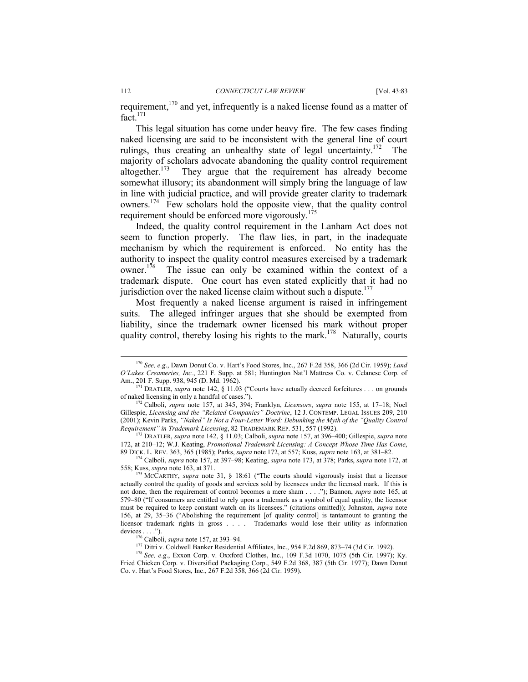requirement,<sup>170</sup> and yet, infrequently is a naked license found as a matter of  $fact.<sup>171</sup>$ 

This legal situation has come under heavy fire. The few cases finding naked licensing are said to be inconsistent with the general line of court rulings, thus creating an unhealthy state of legal uncertainty.<sup>172</sup> The majority of scholars advocate abandoning the quality control requirement altogether.<sup>173</sup> They argue that the requirement has already become somewhat illusory; its abandonment will simply bring the language of law in line with judicial practice, and will provide greater clarity to trademark owners.174 Few scholars hold the opposite view, that the quality control requirement should be enforced more vigorously.<sup>175</sup>

Indeed, the quality control requirement in the Lanham Act does not seem to function properly. The flaw lies, in part, in the inadequate mechanism by which the requirement is enforced. No entity has the authority to inspect the quality control measures exercised by a trademark owner.<sup>176</sup> The issue can only be examined within the context of a trademark dispute. One court has even stated explicitly that it had no jurisdiction over the naked license claim without such a dispute.<sup>177</sup>

Most frequently a naked license argument is raised in infringement suits. The alleged infringer argues that she should be exempted from liability, since the trademark owner licensed his mark without proper quality control, thereby losing his rights to the mark.<sup>178</sup> Naturally, courts

 <sup>170</sup> *See, e.g*., Dawn Donut Co. v. Hart's Food Stores, Inc., 267 F.2d 358, 366 (2d Cir. 1959); *Land O'Lakes Creameries, Inc.*, 221 F. Supp. at 581; Huntington Nat'l Mattress Co. v. Celanese Corp. of

 $A_{171}^{191}$  DRATLER, *supra* note 142, § 11.03 ("Courts have actually decreed forfeitures . . . on grounds of naked licensing in only a handful of cases."). 172 Calboli, *supra* note 157, at 345, 394; Franklyn, *Licensors*, *supra* note 155, at 17–18; Noel

Gillespie, *Licensing and the "Related Companies" Doctrine*, 12 J. CONTEMP. LEGAL ISSUES 209, 210 (2001); Kevin Parks, *"Naked" Is Not a Four-Letter Word: Debunking the Myth of the "Quality Control Requirement" in Trademark Licensing*, 82 TRADEMARK REP. 531, 557 (1992). 173 DRATLER, *supra* note 142, § 11.03; Calboli, *supra* note 157, at 396–400; Gillespie, *supra* note

<sup>172,</sup> at 210–12; W.J. Keating, *Promotional Trademark Licensing: A Concept Whose Time Has Come*,

<sup>89</sup> DICK. L. REV. 363, 365 (1985); Parks, *supra* note 172, at 557; Kuss, *supra* note 163, at 381–82.<br><sup>174</sup> Calboli, *supra* note 157, at 397–98; Keating, *supra* note 173, at 378; Parks, *supra* note 172, at 558; Kuss, *s* 

<sup>&</sup>lt;sup>175</sup> MCCARTHY, *supra* note 31, § 18:61 ("The courts should vigorously insist that a licensor actually control the quality of goods and services sold by licensees under the licensed mark. If this is not done, then the requirement of control becomes a mere sham . . . ."); Bannon, *supra* note 165, at 579–80 ("If consumers are entitled to rely upon a trademark as a symbol of equal quality, the licensor must be required to keep constant watch on its licensees." (citations omitted)); Johnston, *supra* note 156, at 29, 35–36 ("Abolishing the requirement [of quality control] is tantamount to granting the licensor trademark rights in gross . . . . Trademarks would lose their utility as information

devices ....").<br><sup>176</sup> Calboli, *supra* note 157, at 393–94.<br><sup>177</sup> Ditri v. Coldwell Banker Residential Affiliates, Inc., 954 F.2d 869, 873–74 (3d Cir. 1992).<br><sup>178</sup> *See, e.g.*, Exxon Corp. v. Oxxford Clothes, Inc., 109 F.3

Fried Chicken Corp. v. Diversified Packaging Corp., 549 F.2d 368, 387 (5th Cir. 1977); Dawn Donut Co. v. Hart's Food Stores, Inc., 267 F.2d 358, 366 (2d Cir. 1959).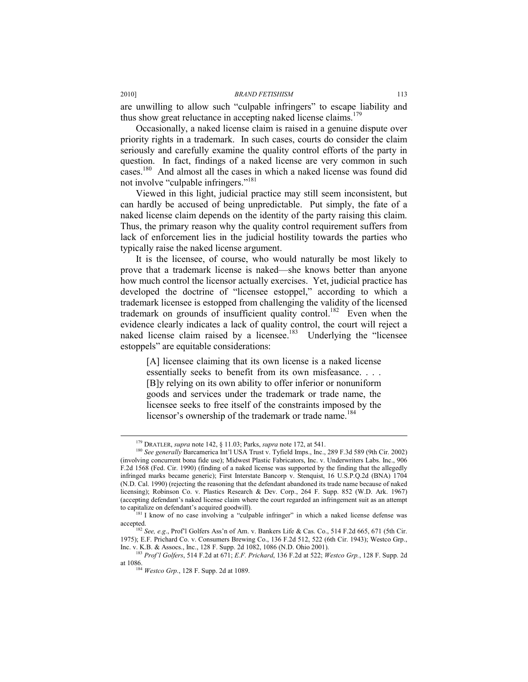are unwilling to allow such "culpable infringers" to escape liability and thus show great reluctance in accepting naked license claims. $179$ 

Occasionally, a naked license claim is raised in a genuine dispute over priority rights in a trademark. In such cases, courts do consider the claim seriously and carefully examine the quality control efforts of the party in question. In fact, findings of a naked license are very common in such cases.180 And almost all the cases in which a naked license was found did not involve "culpable infringers."<sup>181</sup>

Viewed in this light, judicial practice may still seem inconsistent, but can hardly be accused of being unpredictable. Put simply, the fate of a naked license claim depends on the identity of the party raising this claim. Thus, the primary reason why the quality control requirement suffers from lack of enforcement lies in the judicial hostility towards the parties who typically raise the naked license argument.

It is the licensee, of course, who would naturally be most likely to prove that a trademark license is naked—she knows better than anyone how much control the licensor actually exercises. Yet, judicial practice has developed the doctrine of "licensee estoppel," according to which a trademark licensee is estopped from challenging the validity of the licensed trademark on grounds of insufficient quality control.<sup>182</sup> Even when the evidence clearly indicates a lack of quality control, the court will reject a naked license claim raised by a licensee.<sup>183</sup> Underlying the "licensee" estoppels" are equitable considerations:

[A] licensee claiming that its own license is a naked license essentially seeks to benefit from its own misfeasance. . . . [B]y relying on its own ability to offer inferior or nonuniform goods and services under the trademark or trade name, the licensee seeks to free itself of the constraints imposed by the licensor's ownership of the trademark or trade name.<sup>184</sup>

<sup>&</sup>lt;sup>179</sup> DRATLER, *supra* note 142, § 11.03; Parks, *supra* note 172, at 541.<br><sup>180</sup> *See generally* Barcamerica Int'l USA Trust v. Tyfield Imps., Inc., 289 F.3d 589 (9th Cir. 2002) (involving concurrent bona fide use); Midwest Plastic Fabricators, Inc. v. Underwriters Labs. Inc., 906 F.2d 1568 (Fed. Cir. 1990) (finding of a naked license was supported by the finding that the allegedly infringed marks became generic); First Interstate Bancorp v. Stenquist, 16 U.S.P.Q.2d (BNA) 1704 (N.D. Cal. 1990) (rejecting the reasoning that the defendant abandoned its trade name because of naked licensing); Robinson Co. v. Plastics Research & Dev. Corp., 264 F. Supp. 852 (W.D. Ark. 1967) (accepting defendant's naked license claim where the court regarded an infringement suit as an attempt

to capitalize on defendant's acquired goodwill).<br><sup>181</sup> I know of no case involving a "culpable infringer" in which a naked license defense was

accepted. 182 *See, e.g*., Prof'l Golfers Ass'n of Am. v. Bankers Life & Cas. Co., 514 F.2d 665, 671 (5th Cir. 1975); E.F. Prichard Co. v. Consumers Brewing Co., 136 F.2d 512, 522 (6th Cir. 1943); Westco Grp., Inc. v. K.B. & Assocs., Inc., 128 F. Supp. 2d 1082, 1086 (N.D. Ohio 2001). 183 *Prof'l Golfers*, 514 F.2d at 671; *E.F. Prichard*, 136 F.2d at 522; *Westco Grp.*, 128 F. Supp. 2d

at 1086. 184 *Westco Grp.*, 128 F. Supp. 2d at 1089.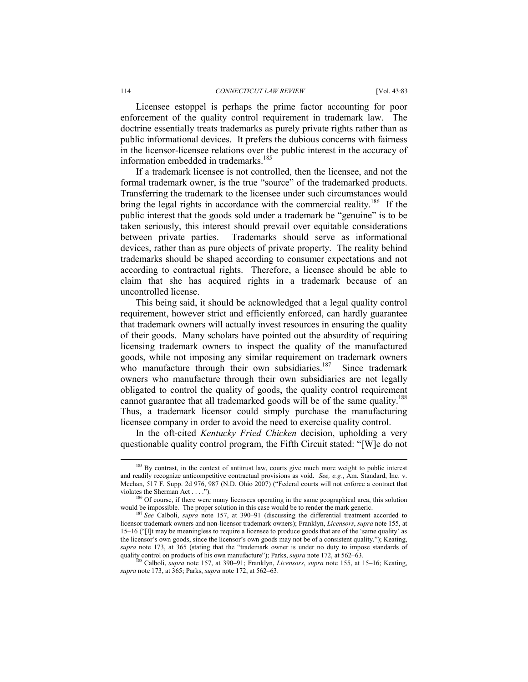Licensee estoppel is perhaps the prime factor accounting for poor enforcement of the quality control requirement in trademark law. The doctrine essentially treats trademarks as purely private rights rather than as public informational devices. It prefers the dubious concerns with fairness in the licensor-licensee relations over the public interest in the accuracy of information embedded in trademarks.<sup>185</sup>

If a trademark licensee is not controlled, then the licensee, and not the formal trademark owner, is the true "source" of the trademarked products. Transferring the trademark to the licensee under such circumstances would bring the legal rights in accordance with the commercial reality.<sup>186</sup> If the public interest that the goods sold under a trademark be "genuine" is to be taken seriously, this interest should prevail over equitable considerations between private parties. Trademarks should serve as informational devices, rather than as pure objects of private property. The reality behind trademarks should be shaped according to consumer expectations and not according to contractual rights. Therefore, a licensee should be able to claim that she has acquired rights in a trademark because of an uncontrolled license.

This being said, it should be acknowledged that a legal quality control requirement, however strict and efficiently enforced, can hardly guarantee that trademark owners will actually invest resources in ensuring the quality of their goods. Many scholars have pointed out the absurdity of requiring licensing trademark owners to inspect the quality of the manufactured goods, while not imposing any similar requirement on trademark owners who manufacture through their own subsidiaries.<sup>187</sup> Since trademark owners who manufacture through their own subsidiaries are not legally obligated to control the quality of goods, the quality control requirement cannot guarantee that all trademarked goods will be of the same quality.<sup>188</sup> Thus, a trademark licensor could simply purchase the manufacturing licensee company in order to avoid the need to exercise quality control.

In the oft-cited *Kentucky Fried Chicken* decision, upholding a very questionable quality control program, the Fifth Circuit stated: "[W]e do not

<sup>&</sup>lt;sup>185</sup> By contrast, in the context of antitrust law, courts give much more weight to public interest and readily recognize anticompetitive contractual provisions as void. *See, e.g.*, Am. Standard, Inc. v. Meehan, 517 F. Supp. 2d 976, 987 (N.D. Ohio 2007) ("Federal courts will not enforce a contract that violates the Sherman Act . . . ."). 186 Of course, if there were many licensees operating in the same geographical area, this solution

would be impossible. The proper solution in this case would be to render the mark generic.<br><sup>187</sup> *See* Calboli, *supra* note 157, at 390–91 (discussing the differential treatment accorded to licensor trademark owners and non-licensor trademark owners); Franklyn, *Licensors*, *supra* note 155, at 15–16 ("[I]t may be meaningless to require a licensee to produce goods that are of the 'same quality' as the licensor's own goods, since the licensor's own goods may not be of a consistent quality."); Keating, *supra* note 173, at 365 (stating that the "trademark owner is under no duty to impose standards of quality control on products of his own manufacture"); Parks, *supra* note 172, at 562–63.

<sup>&</sup>lt;sup>188</sup> Calboli, *supra* note 157, at 390–91; Franklyn, *Licensors*, *supra* note 155, at 15–16; Keating, *supra* note 173, at 365; Parks, *supra* note 172, at 562–63.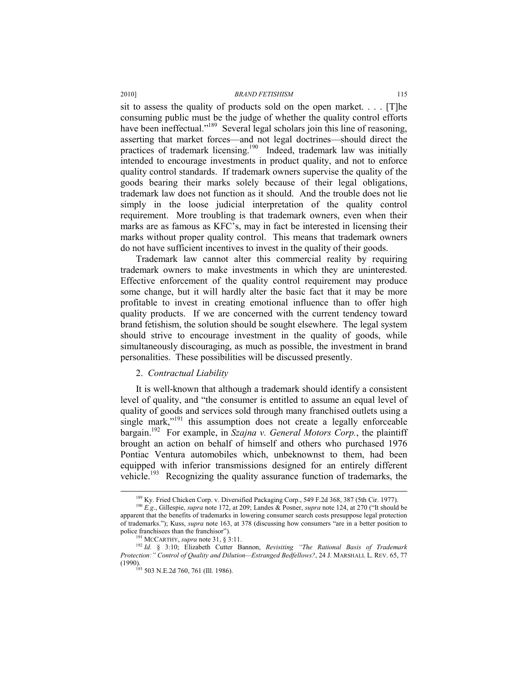sit to assess the quality of products sold on the open market. . . . [T]he consuming public must be the judge of whether the quality control efforts have been ineffectual."<sup>189</sup> Several legal scholars join this line of reasoning, asserting that market forces—and not legal doctrines—should direct the practices of trademark licensing.190 Indeed, trademark law was initially intended to encourage investments in product quality, and not to enforce quality control standards. If trademark owners supervise the quality of the goods bearing their marks solely because of their legal obligations, trademark law does not function as it should. And the trouble does not lie simply in the loose judicial interpretation of the quality control requirement. More troubling is that trademark owners, even when their marks are as famous as KFC's, may in fact be interested in licensing their marks without proper quality control. This means that trademark owners do not have sufficient incentives to invest in the quality of their goods.

Trademark law cannot alter this commercial reality by requiring trademark owners to make investments in which they are uninterested. Effective enforcement of the quality control requirement may produce some change, but it will hardly alter the basic fact that it may be more profitable to invest in creating emotional influence than to offer high quality products. If we are concerned with the current tendency toward brand fetishism, the solution should be sought elsewhere. The legal system should strive to encourage investment in the quality of goods, while simultaneously discouraging, as much as possible, the investment in brand personalities. These possibilities will be discussed presently.

# 2. *Contractual Liability*

It is well-known that although a trademark should identify a consistent level of quality, and "the consumer is entitled to assume an equal level of quality of goods and services sold through many franchised outlets using a single mark,"<sup>191</sup> this assumption does not create a legally enforceable bargain.192 For example, in *Szajna v. General Motors Corp.*, the plaintiff brought an action on behalf of himself and others who purchased 1976 Pontiac Ventura automobiles which, unbeknownst to them, had been equipped with inferior transmissions designed for an entirely different vehicle.<sup>193</sup> Recognizing the quality assurance function of trademarks, the

<sup>&</sup>lt;sup>189</sup> Ky. Fried Chicken Corp. v. Diversified Packaging Corp., 549 F.2d 368, 387 (5th Cir. 1977).<br><sup>190</sup> *E.g.*, Gillespie, *supra* note 172, at 209; Landes & Posner, *supra* note 124, at 270 ("It should be

apparent that the benefits of trademarks in lowering consumer search costs presuppose legal protection of trademarks."); Kuss, *supra* note 163, at 378 (discussing how consumers "are in a better position to police franchisees than the franchisor").<br><sup>191</sup> MCCARTHY, *supra* note 31, § 3:11.<br><sup>192</sup> *Id.* § 3:10; Elizabeth Cutter Bannon, *Revisiting "The Rational Basis of Trademark* 

*Protection:" Control of Quality and Dilution—Estranged Bedfellows?*, 24 J. MARSHALL L. REV. 65, 77  $(1990)$ .<br><sup>193</sup> 503 N.E.2d 760, 761 (Ill. 1986).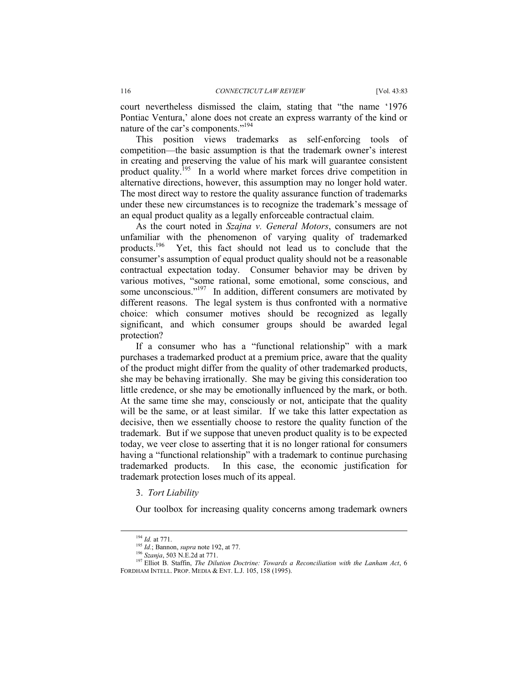court nevertheless dismissed the claim, stating that "the name '1976 Pontiac Ventura,' alone does not create an express warranty of the kind or nature of the car's components."194

This position views trademarks as self-enforcing tools of competition—the basic assumption is that the trademark owner's interest in creating and preserving the value of his mark will guarantee consistent product quality.<sup>195</sup> In a world where market forces drive competition in alternative directions, however, this assumption may no longer hold water. The most direct way to restore the quality assurance function of trademarks under these new circumstances is to recognize the trademark's message of an equal product quality as a legally enforceable contractual claim.

As the court noted in *Szajna v. General Motors*, consumers are not unfamiliar with the phenomenon of varying quality of trademarked products.196 Yet, this fact should not lead us to conclude that the consumer's assumption of equal product quality should not be a reasonable contractual expectation today. Consumer behavior may be driven by various motives, "some rational, some emotional, some conscious, and some unconscious."<sup>197</sup> In addition, different consumers are motivated by different reasons. The legal system is thus confronted with a normative choice: which consumer motives should be recognized as legally significant, and which consumer groups should be awarded legal protection?

If a consumer who has a "functional relationship" with a mark purchases a trademarked product at a premium price, aware that the quality of the product might differ from the quality of other trademarked products, she may be behaving irrationally. She may be giving this consideration too little credence, or she may be emotionally influenced by the mark, or both. At the same time she may, consciously or not, anticipate that the quality will be the same, or at least similar. If we take this latter expectation as decisive, then we essentially choose to restore the quality function of the trademark. But if we suppose that uneven product quality is to be expected today, we veer close to asserting that it is no longer rational for consumers having a "functional relationship" with a trademark to continue purchasing trademarked products. In this case, the economic justification for trademark protection loses much of its appeal.

#### 3. *Tort Liability*

Our toolbox for increasing quality concerns among trademark owners

<sup>&</sup>lt;sup>194</sup> *Id.* at 771.<br><sup>195</sup> *Id.*; Bannon, *supra* note 192, at 77.<br><sup>196</sup> *Szanja*, 503 N.E.2d at 771.<br><sup>197</sup> Elliot B. Staffin, *The Dilution Doctrine: Towards a Reconciliation with the Lanham Act*, 6 FORDHAM INTELL. PROP. MEDIA & ENT. L.J. 105, 158 (1995).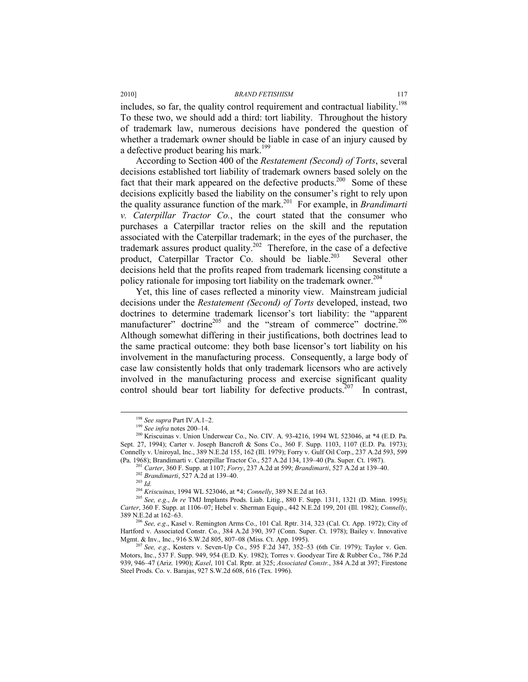includes, so far, the quality control requirement and contractual liability.<sup>198</sup> To these two, we should add a third: tort liability. Throughout the history of trademark law, numerous decisions have pondered the question of whether a trademark owner should be liable in case of an injury caused by a defective product bearing his mark.<sup>199</sup>

According to Section 400 of the *Restatement (Second) of Torts*, several decisions established tort liability of trademark owners based solely on the fact that their mark appeared on the defective products.<sup>200</sup> Some of these decisions explicitly based the liability on the consumer's right to rely upon the quality assurance function of the mark.201 For example, in *Brandimarti v. Caterpillar Tractor Co.*, the court stated that the consumer who purchases a Caterpillar tractor relies on the skill and the reputation associated with the Caterpillar trademark; in the eyes of the purchaser, the trademark assures product quality.202 Therefore, in the case of a defective product, Caterpillar Tractor Co. should be liable.<sup>203</sup> Several other decisions held that the profits reaped from trademark licensing constitute a policy rationale for imposing tort liability on the trademark owner.<sup>204</sup>

Yet, this line of cases reflected a minority view. Mainstream judicial decisions under the *Restatement (Second) of Torts* developed, instead, two doctrines to determine trademark licensor's tort liability: the "apparent manufacturer" doctrine<sup>205</sup> and the "stream of commerce" doctrine.<sup>206</sup> Although somewhat differing in their justifications, both doctrines lead to the same practical outcome: they both base licensor's tort liability on his involvement in the manufacturing process. Consequently, a large body of case law consistently holds that only trademark licensors who are actively involved in the manufacturing process and exercise significant quality control should bear tort liability for defective products.<sup>207</sup> In contrast,

<sup>&</sup>lt;sup>198</sup> *See supra Part IV.A.1–2.*<br><sup>199</sup> *See infra* notes 200–14.<br><sup>200</sup> Kriscuinas v. Union Underwear Co., No. CIV. A. 93-4216, 1994 WL 523046, at \*4 (E.D. Pa. Sept. 27, 1994); Carter v. Joseph Bancroft & Sons Co., 360 F. Supp. 1103, 1107 (E.D. Pa. 1973); Connelly v. Uniroyal, Inc., 389 N.E.2d 155, 162 (Ill. 1979); Forry v. Gulf Oil Corp., 237 A.2d 593, 599 (Pa. 1968); Brandimarti v. Caterpillar Tractor Co., 527 A.2d 134, 139–40 (Pa. Super. Ct. 1987).<br><sup>201</sup> Carter, 360 F. Supp. at 1107; *Forry*, 237 A.2d at 599; *Brandimarti*, 527 A.2d at 139–40.<br><sup>202</sup> *Brandimarti*, 527 A.2d

<sup>&</sup>lt;sup>205</sup> See, e.g., *In re* TMJ Implants Prods. Liab. Litig., 880 F. Supp. 1311, 1321 (D. Minn. 1995); *Carter*, 360 F. Supp. at 1106–07; Hebel v. Sherman Equip., 442 N.E.2d 199, 201 (Ill. 1982); *Connelly*,

 $6$  See, e.g., Kasel v. Remington Arms Co., 101 Cal. Rptr. 314, 323 (Cal. Ct. App. 1972); City of Hartford v. Associated Constr. Co., 384 A.2d 390, 397 (Conn. Super. Ct. 1978); Bailey v. Innovative Mgmt. & Inv., Inc., 916 S.W.2d 805, 807-08 (Miss. Ct. App. 1995).

Mgmt. & Inv., Inc., 916 S.W.2d 805, 807–08 (Miss. Ct. App. 1995). 207 *See, e.g*., Kosters v. Seven-Up Co., 595 F.2d 347, 352–53 (6th Cir. 1979); Taylor v. Gen. Motors, Inc., 537 F. Supp. 949, 954 (E.D. Ky. 1982); Torres v. Goodyear Tire & Rubber Co., 786 P.2d 939, 946–47 (Ariz. 1990); *Kasel*, 101 Cal. Rptr. at 325; *Associated Constr.*, 384 A.2d at 397; Firestone Steel Prods. Co. v. Barajas, 927 S.W.2d 608, 616 (Tex. 1996).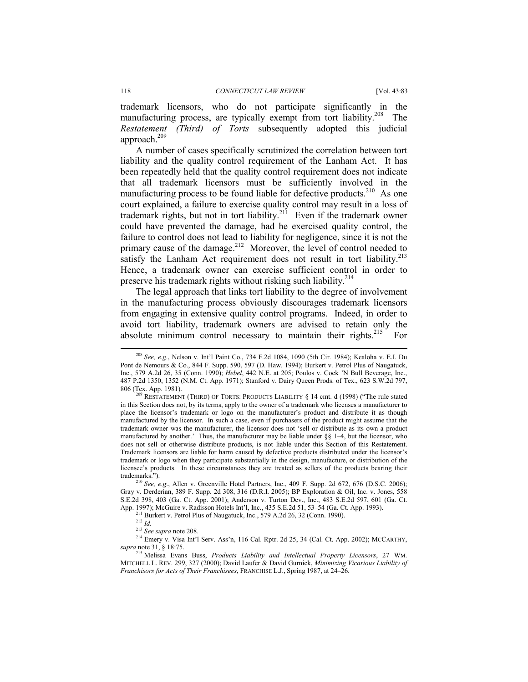trademark licensors, who do not participate significantly in the manufacturing process, are typically exempt from tort liability.<sup>208</sup> The *Restatement (Third) of Torts* subsequently adopted this judicial approach.209

A number of cases specifically scrutinized the correlation between tort liability and the quality control requirement of the Lanham Act. It has been repeatedly held that the quality control requirement does not indicate that all trademark licensors must be sufficiently involved in the manufacturing process to be found liable for defective products.<sup>210</sup> As one court explained, a failure to exercise quality control may result in a loss of trademark rights, but not in tort liability.<sup>211</sup> Even if the trademark owner could have prevented the damage, had he exercised quality control, the failure to control does not lead to liability for negligence, since it is not the primary cause of the damage.<sup>212</sup> Moreover, the level of control needed to satisfy the Lanham Act requirement does not result in tort liability.<sup>213</sup> Hence, a trademark owner can exercise sufficient control in order to preserve his trademark rights without risking such liability.214

The legal approach that links tort liability to the degree of involvement in the manufacturing process obviously discourages trademark licensors from engaging in extensive quality control programs. Indeed, in order to avoid tort liability, trademark owners are advised to retain only the absolute minimum control necessary to maintain their rights.<sup>215</sup> For

 <sup>208</sup> *See, e.g*., Nelson v. Int'l Paint Co., 734 F.2d 1084, 1090 (5th Cir. 1984); Kealoha v. E.I. Du Pont de Nemours & Co., 844 F. Supp. 590, 597 (D. Haw. 1994); Burkert v. Petrol Plus of Naugatuck, Inc., 579 A.2d 26, 35 (Conn. 1990); *Hebel*, 442 N.E. at 205; Poulos v. Cock 'N Bull Beverage, Inc., 487 P.2d 1350, 1352 (N.M. Ct. App. 1971); Stanford v. Dairy Queen Prods. of Tex., 623 S.W.2d 797,

RESTATEMENT (THIRD) OF TORTS: PRODUCTS LIABILITY § 14 cmt. d (1998) ("The rule stated in this Section does not, by its terms, apply to the owner of a trademark who licenses a manufacturer to place the licensor's trademark or logo on the manufacturer's product and distribute it as though manufactured by the licensor. In such a case, even if purchasers of the product might assume that the trademark owner was the manufacturer, the licensor does not 'sell or distribute as its own a product manufactured by another.' Thus, the manufacturer may be liable under  $\S$ § 1–4, but the licensor, who does not sell or otherwise distribute products, is not liable under this Section of this Restatement. Trademark licensors are liable for harm caused by defective products distributed under the licensor's trademark or logo when they participate substantially in the design, manufacture, or distribution of the licensee's products. In these circumstances they are treated as sellers of the products bearing their trademarks."). 210 *See, e.g*., Allen v. Greenville Hotel Partners, Inc., 409 F. Supp. 2d 672, 676 (D.S.C. 2006);

Gray v. Derderian, 389 F. Supp. 2d 308, 316 (D.R.I. 2005); BP Exploration & Oil, Inc. v. Jones, 558 S.E.2d 398, 403 (Ga. Ct. App. 2001); Anderson v. Turton Dev., Inc., 483 S.E.2d 597, 601 (Ga. Ct.

<sup>&</sup>lt;sup>211</sup> Burkert v. Petrol Plus of Naugatuck, Inc., 579 A.2d 26, 32 (Conn. 1990). <sup>212</sup> *Id.* <sup>213</sup> See supra note 208.

<sup>&</sup>lt;sup>214</sup> Emery v. Visa Int'l Serv. Ass'n, 116 Cal. Rptr. 2d 25, 34 (Cal. Ct. App. 2002); MCCARTHY, *supra* note 31, § 18:75.

<sup>215</sup> Melissa Evans Buss, *Products Liability and Intellectual Property Licensors*, 27 WM. MITCHELL L. REV. 299, 327 (2000); David Laufer & David Gurnick, *Minimizing Vicarious Liability of Franchisors for Acts of Their Franchisees*, FRANCHISE L.J., Spring 1987, at 24–26.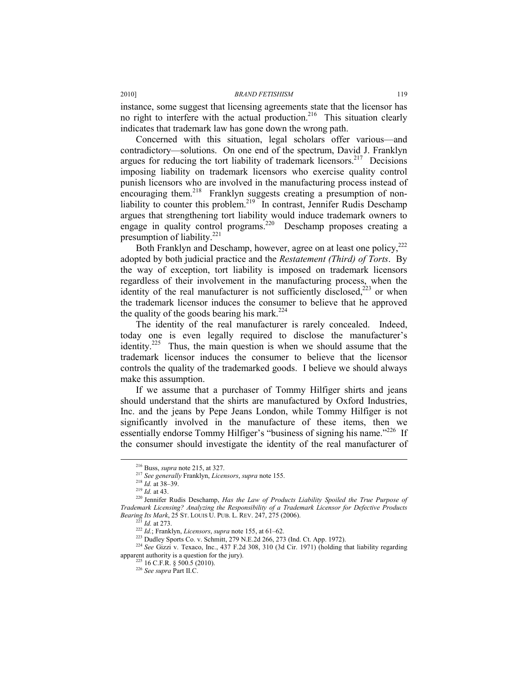instance, some suggest that licensing agreements state that the licensor has no right to interfere with the actual production.<sup>216</sup> This situation clearly indicates that trademark law has gone down the wrong path.

Concerned with this situation, legal scholars offer various—and contradictory—solutions. On one end of the spectrum, David J. Franklyn argues for reducing the tort liability of trademark licensors.<sup>217</sup> Decisions imposing liability on trademark licensors who exercise quality control punish licensors who are involved in the manufacturing process instead of encouraging them.218 Franklyn suggests creating a presumption of nonliability to counter this problem.<sup>219</sup> In contrast, Jennifer Rudis Deschamp argues that strengthening tort liability would induce trademark owners to engage in quality control programs.<sup>220</sup> Deschamp proposes creating a presumption of liability.<sup>221</sup>

Both Franklyn and Deschamp, however, agree on at least one policy,<sup>222</sup> adopted by both judicial practice and the *Restatement (Third) of Torts*. By the way of exception, tort liability is imposed on trademark licensors regardless of their involvement in the manufacturing process, when the identity of the real manufacturer is not sufficiently disclosed,<sup>223</sup> or when the trademark licensor induces the consumer to believe that he approved the quality of the goods bearing his mark.<sup>224</sup>

The identity of the real manufacturer is rarely concealed. Indeed, today one is even legally required to disclose the manufacturer's identity.<sup>225</sup> Thus, the main question is when we should assume that the trademark licensor induces the consumer to believe that the licensor controls the quality of the trademarked goods. I believe we should always make this assumption.

If we assume that a purchaser of Tommy Hilfiger shirts and jeans should understand that the shirts are manufactured by Oxford Industries, Inc. and the jeans by Pepe Jeans London, while Tommy Hilfiger is not significantly involved in the manufacture of these items, then we essentially endorse Tommy Hilfiger's "business of signing his name."<sup>226</sup> If the consumer should investigate the identity of the real manufacturer of

<sup>&</sup>lt;sup>216</sup> Buss, *supra* note 215, at 327.<br><sup>217</sup> See generally Franklyn, *Licensors*, *supra* note 155.<br><sup>218</sup> Id. at 38–39.<br><sup>219</sup> Id. at 43.<br><sup>220</sup> Jennifer Rudis Deschamp, *Has the Law of Products Liability Spoiled the True Pu Trademark Licensing? Analyzing the Responsibility of a Trademark Licensor for Defective Products* 

<sup>&</sup>lt;sup>221</sup> *Id.* at 273.<br><sup>222</sup> *Id.*; Franklyn, *Licensors*, *supra* note 155, at 61–62.<br><sup>223</sup> Dudley Sports Co. v. Schmitt, 279 N.E.2d 266, 273 (Ind. Ct. App. 1972).<br><sup>224</sup> *See* Gizzi v. Texaco, Inc., 437 F.2d 308, 310 (3d Ci apparent authority is a question for the jury). 225 16 C.F.R. § 500.5 (2010). 226 *See supra* Part II.C.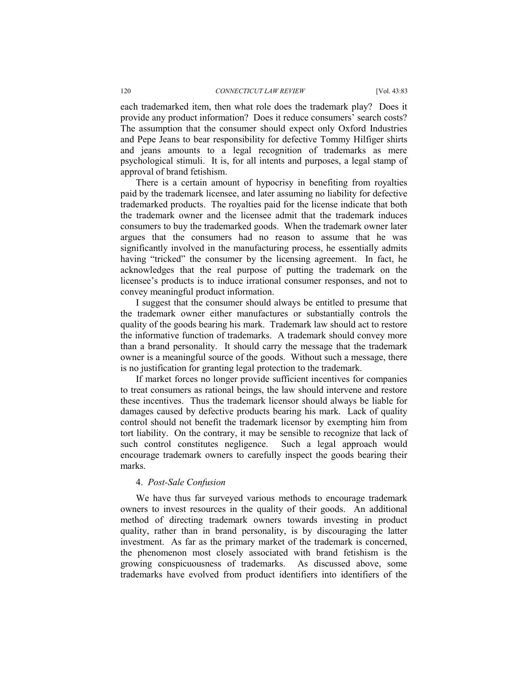#### 120 *CONNECTICUT LAW REVIEW* [Vol. 43:83

each trademarked item, then what role does the trademark play? Does it provide any product information? Does it reduce consumers' search costs? The assumption that the consumer should expect only Oxford Industries and Pepe Jeans to bear responsibility for defective Tommy Hilfiger shirts and jeans amounts to a legal recognition of trademarks as mere psychological stimuli. It is, for all intents and purposes, a legal stamp of approval of brand fetishism.

There is a certain amount of hypocrisy in benefiting from royalties paid by the trademark licensee, and later assuming no liability for defective trademarked products. The royalties paid for the license indicate that both the trademark owner and the licensee admit that the trademark induces consumers to buy the trademarked goods. When the trademark owner later argues that the consumers had no reason to assume that he was significantly involved in the manufacturing process, he essentially admits having "tricked" the consumer by the licensing agreement. In fact, he acknowledges that the real purpose of putting the trademark on the licensee's products is to induce irrational consumer responses, and not to convey meaningful product information.

I suggest that the consumer should always be entitled to presume that the trademark owner either manufactures or substantially controls the quality of the goods bearing his mark. Trademark law should act to restore the informative function of trademarks. A trademark should convey more than a brand personality. It should carry the message that the trademark owner is a meaningful source of the goods. Without such a message, there is no justification for granting legal protection to the trademark.

If market forces no longer provide sufficient incentives for companies to treat consumers as rational beings, the law should intervene and restore these incentives. Thus the trademark licensor should always be liable for damages caused by defective products bearing his mark. Lack of quality control should not benefit the trademark licensor by exempting him from tort liability. On the contrary, it may be sensible to recognize that lack of such control constitutes negligence. Such a legal approach would encourage trademark owners to carefully inspect the goods bearing their marks.

### 4. *Post-Sale Confusion*

We have thus far surveyed various methods to encourage trademark owners to invest resources in the quality of their goods. An additional method of directing trademark owners towards investing in product quality, rather than in brand personality, is by discouraging the latter investment. As far as the primary market of the trademark is concerned, the phenomenon most closely associated with brand fetishism is the growing conspicuousness of trademarks. As discussed above, some trademarks have evolved from product identifiers into identifiers of the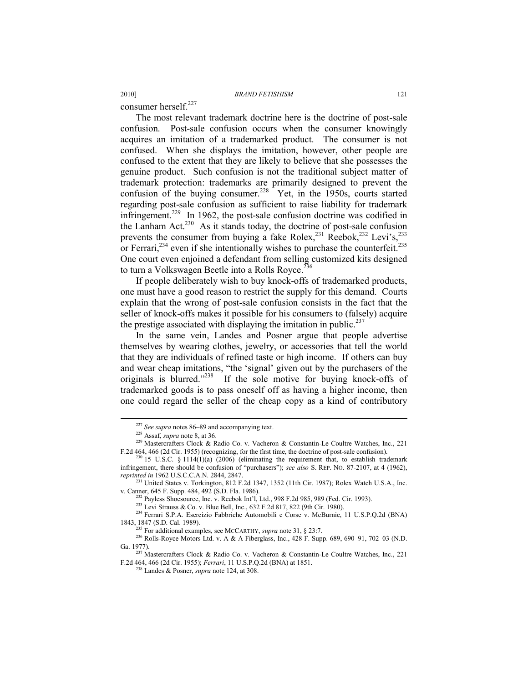consumer herself.<sup>227</sup>

The most relevant trademark doctrine here is the doctrine of post-sale confusion. Post-sale confusion occurs when the consumer knowingly acquires an imitation of a trademarked product. The consumer is not confused. When she displays the imitation, however, other people are confused to the extent that they are likely to believe that she possesses the genuine product. Such confusion is not the traditional subject matter of trademark protection: trademarks are primarily designed to prevent the confusion of the buying consumer.<sup>228</sup> Yet, in the 1950s, courts started regarding post-sale confusion as sufficient to raise liability for trademark infringement.<sup>229</sup> In 1962, the post-sale confusion doctrine was codified in the Lanham Act.<sup>230</sup> As it stands today, the doctrine of post-sale confusion prevents the consumer from buying a fake Rolex, $^{231}$  Reebok, $^{232}$  Levi's, $^{233}$ or Ferrari,<sup>234</sup> even if she intentionally wishes to purchase the counterfeit.<sup>235</sup> One court even enjoined a defendant from selling customized kits designed to turn a Volkswagen Beetle into a Rolls Royce.<sup>236</sup>

If people deliberately wish to buy knock-offs of trademarked products, one must have a good reason to restrict the supply for this demand. Courts explain that the wrong of post-sale confusion consists in the fact that the seller of knock-offs makes it possible for his consumers to (falsely) acquire the prestige associated with displaying the imitation in public. $237$ 

In the same vein, Landes and Posner argue that people advertise themselves by wearing clothes, jewelry, or accessories that tell the world that they are individuals of refined taste or high income. If others can buy and wear cheap imitations, "the 'signal' given out by the purchasers of the originals is blurred."238If the sole motive for buying knock-offs of trademarked goods is to pass oneself off as having a higher income, then one could regard the seller of the cheap copy as a kind of contributory

<sup>227</sup> *See supra* notes 86–89 and accompanying text. 228 Assaf, *supra* note 8, at 36.

<sup>229</sup> Mastercrafters Clock & Radio Co. v. Vacheron & Constantin-Le Coultre Watches, Inc., 221 F.2d 464, 466 (2d Cir. 1955) (recognizing, for the first time, the doctrine of post-sale confusion). <sup>230</sup> 15 U.S.C. § 1114(1)(a) (2006) (eliminating the requirement that, to establish trademark

infringement, there should be confusion of "purchasers"); *see also* S. REP. NO. 87-2107, at 4 (1962),

<sup>&</sup>lt;sup>231</sup> United States v. Torkington, 812 F.2d 1347, 1352 (11th Cir. 1987); Rolex Watch U.S.A., Inc.

v. Canner, 645 F. Supp. 484, 492 (S.D. Fla. 1986).<br><sup>232</sup> Payless Shoesource, Inc. v. Reebok Int'l, Ltd., 998 F.2d 985, 989 (Fed. Cir. 1993).<br><sup>233</sup> Levi Strauss & Co. v. Blue Bell, Inc., 632 F.2d 817, 822 (9th Cir. 1980).<br><sup></sup>

<sup>&</sup>lt;sup>235</sup> For additional examples, see MCCARTHY, *supra* note 31, § 23:7.<br><sup>236</sup> Rolls-Royce Motors Ltd. v. A & A Fiberglass, Inc., 428 F. Supp. 689, 690–91, 702–03 (N.D.

Ga. 1977).<br><sup>237</sup> Mastercrafters Clock & Radio Co. v. Vacheron & Constantin-Le Coultre Watches, Inc., 221 F.2d 464, 466 (2d Cir. 1955); *Ferrari*, 11 U.S.P.Q.2d (BNA) at 1851. 238 Landes & Posner, *supra* note 124, at 308.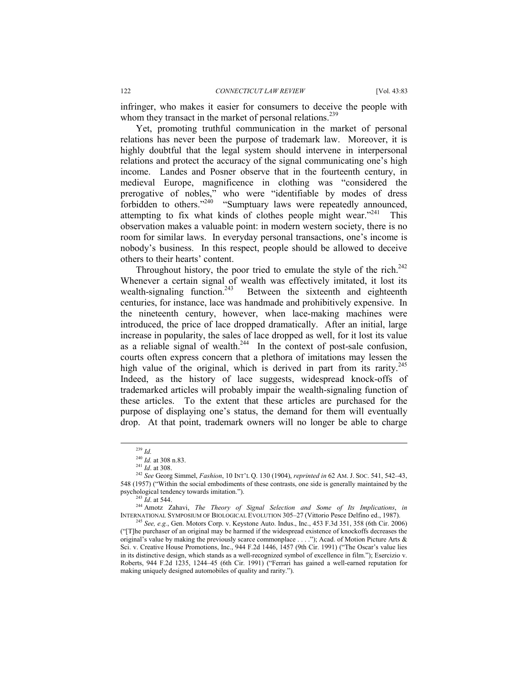infringer, who makes it easier for consumers to deceive the people with whom they transact in the market of personal relations.<sup>239</sup>

Yet, promoting truthful communication in the market of personal relations has never been the purpose of trademark law. Moreover, it is highly doubtful that the legal system should intervene in interpersonal relations and protect the accuracy of the signal communicating one's high income. Landes and Posner observe that in the fourteenth century, in medieval Europe, magnificence in clothing was "considered the prerogative of nobles," who were "identifiable by modes of dress forbidden to others."<sup>240</sup> "Sumptuary laws were repeatedly announced, attempting to fix what kinds of clothes people might wear. $1241$  This observation makes a valuable point: in modern western society, there is no room for similar laws. In everyday personal transactions, one's income is nobody's business. In this respect, people should be allowed to deceive others to their hearts' content.

Throughout history, the poor tried to emulate the style of the rich.<sup>242</sup> Whenever a certain signal of wealth was effectively imitated, it lost its wealth-signaling function.<sup>243</sup> Between the sixteenth and eighteenth Between the sixteenth and eighteenth centuries, for instance, lace was handmade and prohibitively expensive. In the nineteenth century, however, when lace-making machines were introduced, the price of lace dropped dramatically. After an initial, large increase in popularity, the sales of lace dropped as well, for it lost its value as a reliable signal of wealth.<sup>244</sup> In the context of post-sale confusion, courts often express concern that a plethora of imitations may lessen the high value of the original, which is derived in part from its rarity.<sup>245</sup> Indeed, as the history of lace suggests, widespread knock-offs of trademarked articles will probably impair the wealth-signaling function of these articles. To the extent that these articles are purchased for the purpose of displaying one's status, the demand for them will eventually drop. At that point, trademark owners will no longer be able to charge

 $^{239}$  *Id.*<br><sup>240</sup> *Id.* at 308 n.83.

<sup>241</sup> *Id.* at 308 n.83.<br><sup>241</sup> *Id.* at 308.<br><sup>242</sup> *See* Georg Simmel, *Fashion*, 10 INT'L Q. 130 (1904), *reprinted in* 62 AM. J. Soc. 541, 542–43, 548 (1957) ("Within the social embodiments of these contrasts, one side is generally maintained by the

psychological tendency towards imitation."). 243 *Id*. at 544. 244 Amotz Zahavi, *The Theory of Signal Selection and Some of Its Implications*, *in* INTERNATIONAL SYMPOSIUM OF BIOLOGICAL EVOLUTION 305–27 (Vittorio Pesce Delfino ed., 1987). 245 *See, e.g.*, Gen. Motors Corp. v. Keystone Auto. Indus., Inc., 453 F.3d 351, 358 (6th Cir. 2006)

<sup>(&</sup>quot;[T]he purchaser of an original may be harmed if the widespread existence of knockoffs decreases the original's value by making the previously scarce commonplace . . . ."); Acad. of Motion Picture Arts & Sci. v. Creative House Promotions, Inc., 944 F.2d 1446, 1457 (9th Cir. 1991) ("The Oscar's value lies in its distinctive design, which stands as a well-recognized symbol of excellence in film."); Esercizio v. Roberts, 944 F.2d 1235, 1244–45 (6th Cir. 1991) ("Ferrari has gained a well-earned reputation for making uniquely designed automobiles of quality and rarity.").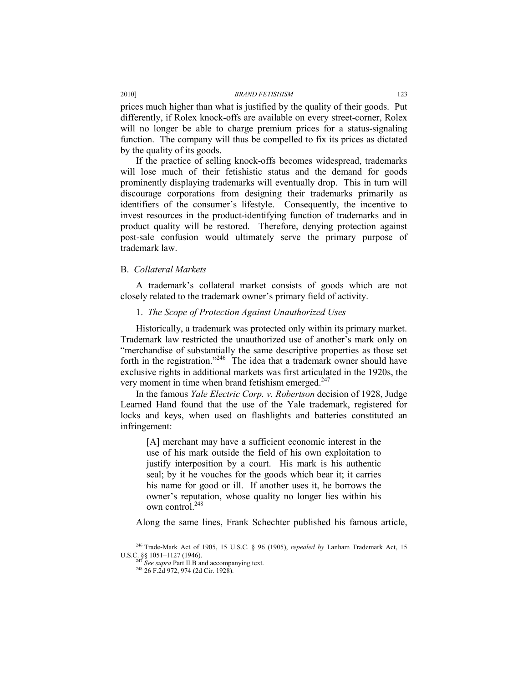prices much higher than what is justified by the quality of their goods. Put differently, if Rolex knock-offs are available on every street-corner, Rolex will no longer be able to charge premium prices for a status-signaling function. The company will thus be compelled to fix its prices as dictated by the quality of its goods.

If the practice of selling knock-offs becomes widespread, trademarks will lose much of their fetishistic status and the demand for goods prominently displaying trademarks will eventually drop. This in turn will discourage corporations from designing their trademarks primarily as identifiers of the consumer's lifestyle. Consequently, the incentive to invest resources in the product-identifying function of trademarks and in product quality will be restored. Therefore, denying protection against post-sale confusion would ultimately serve the primary purpose of trademark law.

# B. *Collateral Markets*

A trademark's collateral market consists of goods which are not closely related to the trademark owner's primary field of activity.

# 1. *The Scope of Protection Against Unauthorized Uses*

Historically, a trademark was protected only within its primary market. Trademark law restricted the unauthorized use of another's mark only on "merchandise of substantially the same descriptive properties as those set forth in the registration."<sup>246</sup> The idea that a trademark owner should have exclusive rights in additional markets was first articulated in the 1920s, the very moment in time when brand fetishism emerged. $247$ 

In the famous *Yale Electric Corp. v. Robertson* decision of 1928, Judge Learned Hand found that the use of the Yale trademark, registered for locks and keys, when used on flashlights and batteries constituted an infringement:

[A] merchant may have a sufficient economic interest in the use of his mark outside the field of his own exploitation to justify interposition by a court. His mark is his authentic seal; by it he vouches for the goods which bear it; it carries his name for good or ill. If another uses it, he borrows the owner's reputation, whose quality no longer lies within his own control.<sup>248</sup>

Along the same lines, Frank Schechter published his famous article,

<sup>&</sup>lt;sup>246</sup> Trade-Mark Act of 1905, 15 U.S.C. § 96 (1905), *repealed by* Lanham Trademark Act, 15<br>U.S.C. §§ 1051–1127 (1946).

<sup>&</sup>lt;sup>247</sup> See supra Part II.B and accompanying text.<br><sup>248</sup> 26 F.2d 972, 974 (2d Cir. 1928).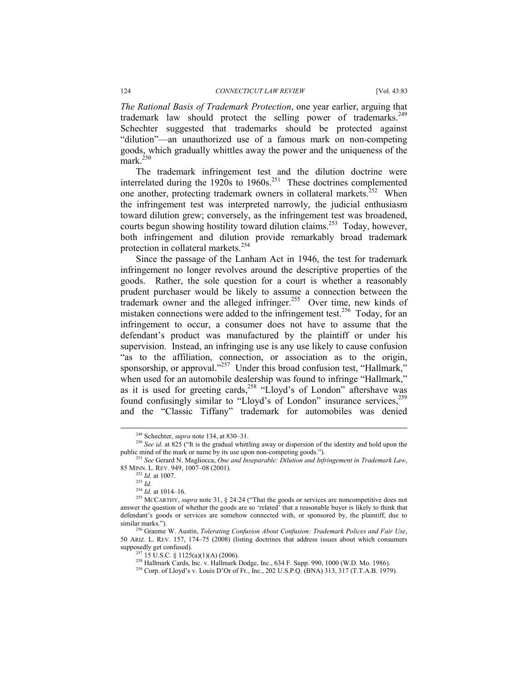#### 124 *CONNECTICUT LAW REVIEW* [Vol. 43:83

*The Rational Basis of Trademark Protection*, one year earlier, arguing that trademark law should protect the selling power of trademarks.<sup>249</sup> Schechter suggested that trademarks should be protected against "dilution"—an unauthorized use of a famous mark on non-competing goods, which gradually whittles away the power and the uniqueness of the mark.<sup>250</sup>

The trademark infringement test and the dilution doctrine were interrelated during the  $1920s$  to  $1960s$ <sup>251</sup> These doctrines complemented one another, protecting trademark owners in collateral markets.<sup>252</sup> When the infringement test was interpreted narrowly, the judicial enthusiasm toward dilution grew; conversely, as the infringement test was broadened, courts begun showing hostility toward dilution claims.<sup>253</sup> Today, however, both infringement and dilution provide remarkably broad trademark protection in collateral markets.<sup>254</sup>

Since the passage of the Lanham Act in 1946, the test for trademark infringement no longer revolves around the descriptive properties of the goods. Rather, the sole question for a court is whether a reasonably prudent purchaser would be likely to assume a connection between the trademark owner and the alleged infringer.<sup>255</sup> Over time, new kinds of mistaken connections were added to the infringement test.<sup>256</sup> Today, for an infringement to occur, a consumer does not have to assume that the defendant's product was manufactured by the plaintiff or under his supervision. Instead, an infringing use is any use likely to cause confusion "as to the affiliation, connection, or association as to the origin, sponsorship, or approval."<sup>257</sup> Under this broad confusion test, "Hallmark," when used for an automobile dealership was found to infringe "Hallmark," as it is used for greeting cards,  $258$  "Lloyd's of London" aftershave was found confusingly similar to "Lloyd's of London" insurance services,<sup>259</sup> and the "Classic Tiffany" trademark for automobiles was denied

<sup>&</sup>lt;sup>249</sup> Schechter, *supra* note 134, at 830–31.<br><sup>250</sup> *See id.* at 825 ("It is the gradual whittling away or dispersion of the identity and hold upon the public mind of the mark or name by its use upon non-competing goods."). 251 *See* Gerard N. Magliocca, *One and Inseparable: Dilution and Infringement in Trademark Law*,

<sup>85</sup> MINN. L. REV. 949, 1007–08 (2001). 252 *Id.* at 1007. 253 *Id.*

<sup>&</sup>lt;sup>255</sup> MCCARTHY, *supra* note 31, § 24:24 ("That the goods or services are noncompetitive does not answer the question of whether the goods are so 'related' that a reasonable buyer is likely to think that defendant's goods or services are somehow connected with, or sponsored by, the plaintiff, due to similar marks."). 256 Graeme W. Austin, *Tolerating Confusion About Confusion: Trademark Polices and Fair Use*,

<sup>50</sup> ARIZ. L. REV. 157, 174–75 (2008) (listing doctrines that address issues about which consumers supposedly get confused).<br><sup>257</sup> 15 U.S.C. § 1125(a)(1)(A) (2006).<br><sup>258</sup> Hallmark Cards, Inc. v. Hallmark Dodge, Inc., 634 F. Supp. 990, 1000 (W.D. Mo. 1986).<br><sup>259</sup> Corp. of Lloyd's v. Louis D'Or of Fr., Inc., 202 U.S.P.Q.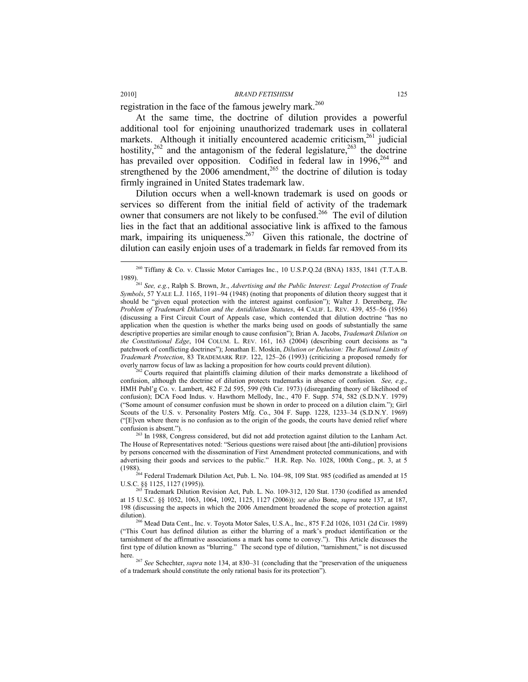registration in the face of the famous jewelry mark.<sup>260</sup>

At the same time, the doctrine of dilution provides a powerful additional tool for enjoining unauthorized trademark uses in collateral markets. Although it initially encountered academic criticism, $261$  judicial hostility,<sup>262</sup> and the antagonism of the federal legislature,<sup>263</sup> the doctrine has prevailed over opposition. Codified in federal law in 1996,<sup>264</sup> and strengthened by the  $2006$  amendment,<sup>265</sup> the doctrine of dilution is today firmly ingrained in United States trademark law.

Dilution occurs when a well-known trademark is used on goods or services so different from the initial field of activity of the trademark owner that consumers are not likely to be confused.<sup>266</sup> The evil of dilution lies in the fact that an additional associative link is affixed to the famous mark, impairing its uniqueness.<sup>267</sup> Given this rationale, the doctrine of dilution can easily enjoin uses of a trademark in fields far removed from its

confusion, although the doctrine of dilution protects trademarks in absence of confusion*. See, e.g*., HMH Publ'g Co. v. Lambert, 482 F.2d 595, 599 (9th Cir. 1973) (disregarding theory of likelihood of confusion); DCA Food Indus. v. Hawthorn Mellody, Inc., 470 F. Supp. 574, 582 (S.D.N.Y. 1979) ("Some amount of consumer confusion must be shown in order to proceed on a dilution claim."); Girl Scouts of the U.S. v. Personality Posters Mfg. Co., 304 F. Supp. 1228, 1233–34 (S.D.N.Y. 1969) ("[E]ven where there is no confusion as to the origin of the goods, the courts have denied relief where confusion is absent.").  $^{263}$  In 1988, Congress considered, but did not add protection against dilution to the Lanham Act.

The House of Representatives noted: "Serious questions were raised about [the anti-dilution] provisions by persons concerned with the dissemination of First Amendment protected communications, and with advertising their goods and services to the public." H.R. Rep. No. 1028, 100th Cong., pt. 3, at 5

(1988). <sup>264</sup> Federal Trademark Dilution Act, Pub. L. No. 104–98, 109 Stat. 985 (codified as amended at 15 U.S.C. §§ 1125, 1127 (1995)).

Trademark Dilution Revision Act, Pub. L. No. 109-312, 120 Stat. 1730 (codified as amended at 15 U.S.C. §§ 1052, 1063, 1064, 1092, 1125, 1127 (2006)); *see also* Bone, *supra* note 137, at 187, 198 (discussing the aspects in which the 2006 Amendment broadened the scope of protection against dilution). 266 Mead Data Cent., Inc. v. Toyota Motor Sales, U.S.A., Inc., 875 F.2d 1026, 1031 (2d Cir. 1989)

("This Court has defined dilution as either the blurring of a mark's product identification or the tarnishment of the affirmative associations a mark has come to convey."). This Article discusses the first type of dilution known as "blurring." The second type of dilution, "tarnishment," is not discussed

here. 267 *See* Schechter, *supra* note 134, at 830–31 (concluding that the "preservation of the uniqueness of a trademark should constitute the only rational basis for its protection").

 <sup>260</sup> Tiffany & Co. v. Classic Motor Carriages Inc., 10 U.S.P.Q.2d (BNA) 1835, 1841 (T.T.A.B.

<sup>1989). 261</sup> *See, e.g.*, Ralph S. Brown, Jr., *Advertising and the Public Interest: Legal Protection of Trade Symbols*, 57 YALE L.J. 1165, 1191–94 (1948) (noting that proponents of dilution theory suggest that it should be "given equal protection with the interest against confusion"); Walter J. Derenberg, *The Problem of Trademark Dilution and the Antidilution Statutes*, 44 CALIF. L. REV. 439, 455–56 (1956) (discussing a First Circuit Court of Appeals case, which contended that dilution doctrine "has no application when the question is whether the marks being used on goods of substantially the same descriptive properties are similar enough to cause confusion"); Brian A. Jacobs, *Trademark Dilution on the Constitutional Edge*, 104 COLUM. L. REV. 161, 163 (2004) (describing court decisions as "a patchwork of conflicting doctrines"); Jonathan E. Moskin, *Dilution or Delusion: The Rational Limits of Trademark Protection*, 83 TRADEMARK REP. 122, 125–26 (1993) (criticizing a proposed remedy for overly narrow focus of law as lacking a proposition for how courts could prevent dilution).<br><sup>262</sup> Courts required that plaintiffs claiming dilution of their marks demonstrate a likelihood of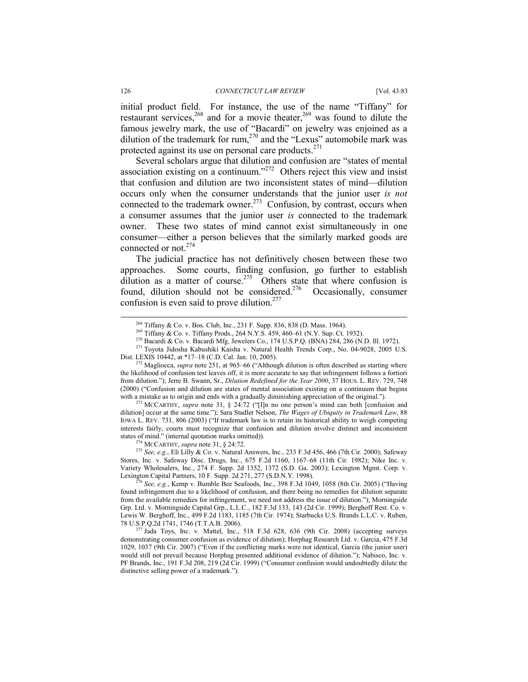initial product field. For instance, the use of the name "Tiffany" for restaurant services,<sup>268</sup> and for a movie theater,<sup>269</sup> was found to dilute the famous jewelry mark, the use of "Bacardi" on jewelry was enjoined as a dilution of the trademark for rum,<sup>270</sup> and the "Lexus" automobile mark was protected against its use on personal care products.<sup> $271$ </sup>

Several scholars argue that dilution and confusion are "states of mental association existing on a continuum."<sup>272</sup> Others reject this view and insist that confusion and dilution are two inconsistent states of mind—dilution occurs only when the consumer understands that the junior user *is not* connected to the trademark owner.<sup>273</sup> Confusion, by contrast, occurs when a consumer assumes that the junior user *is* connected to the trademark owner. These two states of mind cannot exist simultaneously in one consumer—either a person believes that the similarly marked goods are connected or not.274

The judicial practice has not definitively chosen between these two approaches. Some courts, finding confusion, go further to establish dilution as a matter of course.<sup>275</sup> Others state that where confusion is found, dilution should not be considered.<sup>276</sup> Occasionally, consumer confusion is even said to prove dilution. $277$ 

dilution] occur at the same time."); Sara Stadler Nelson, *The Wages of Ubiquity in Trademark Law*, 88 IOWA L. REV. 731, 806 (2003) ("If trademark law is to retain its historical ability to weigh competing interests fairly, courts must recognize that confusion and dilution involve distinct and inconsistent

<sup>274</sup> MCCARTHY, *supra* note 31, § 24:72. <sup>275</sup> *See, e.g.*, Eli Lilly & Co. v. Natural Answers, Inc., 233 F.3d 456, 466 (7th Cir. 2000); Safeway Stores, Inc. v. Safeway Disc. Drugs, Inc., 675 F.2d 1160, 1167–68 (11th Cir. 1982); Nike Inc. v. Variety Wholesalers, Inc., 274 F. Supp. 2d 1352, 1372 (S.D. Ga. 2003); Lexington Mgmt. Corp. v. Lexington Capital Partners, 10 F. Supp. 2d 271, 277 (S.D.N.Y. 1998). 276 *See, e.g.*, Kemp v. Bumble Bee Seafoods, Inc., 398 F.3d 1049, 1058 (8th Cir. 2005) ("Having

<sup>&</sup>lt;sup>268</sup> Tiffany & Co. v. Bos. Club, Inc., 231 F. Supp. 836, 838 (D. Mass. 1964).<br><sup>269</sup> Tiffany & Co. v. Tiffany Prods., 264 N.Y.S. 459, 460–61 (N.Y. Sup. Ct. 1932).<br><sup>270</sup> Bacardi & Co. v. Bacardi Mfg. Jewelers Co., 174 U.S.

<sup>&</sup>lt;sup>2</sup> Magliocca, *supra* note 251, at 965–66 ("Although dilution is often described as starting where the likelihood of confusion test leaves off, it is more accurate to say that infringement follows a fortiori from dilution."); Jerre B. Swann, Sr., *Dilution Redefined for the Year 2000*, 37 HOUS. L. REV. 729, 748 (2000) ("Confusion and dilution are states of mental association existing on a continuum that begins with a mistake as to origin and ends with a gradually diminishing appreciation of the original.").<br><sup>273</sup> MCCARTHY, *supra* note 31, § 24:72 ("[I]n no one person's mind can both [confusion and

found infringement due to a likelihood of confusion, and there being no remedies for dilution separate from the available remedies for infringement, we need not address the issue of dilution."); Morningside Grp. Ltd. v. Morningside Capital Grp., L.L.C., 182 F.3d 133, 143 (2d Cir. 1999); Berghoff Rest. Co. v. Lewis W. Berghoff, Inc., 499 F.2d 1183, 1185 (7th Cir. 1974); Starbucks U.S. Brands L.L.C. v. Ruben, 78 U.S.P.Q.2d 1741, 1746 (T.T.A.B. 2006). 277 Jada Toys, Inc. v. Mattel, Inc., 518 F.3d 628, 636 (9th Cir. 2008) (accepting surveys

demonstrating consumer confusion as evidence of dilution); Horphag Research Ltd. v. Garcia, 475 F.3d 1029, 1037 (9th Cir. 2007) ("Even if the conflicting marks were not identical, Garcia (the junior user) would still not prevail because Horphag presented additional evidence of dilution."); Nabisco, Inc. v. PF Brands, Inc., 191 F.3d 208, 219 (2d Cir. 1999) ("Consumer confusion would undoubtedly dilute the distinctive selling power of a trademark.").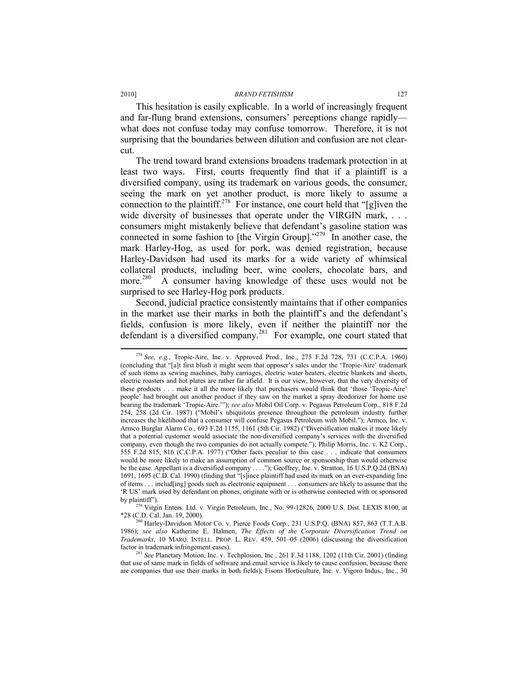This hesitation is easily explicable. In a world of increasingly frequent and far-flung brand extensions, consumers' perceptions change rapidly what does not confuse today may confuse tomorrow. Therefore, it is not surprising that the boundaries between dilution and confusion are not clearcut.

The trend toward brand extensions broadens trademark protection in at least two ways. First, courts frequently find that if a plaintiff is a diversified company, using its trademark on various goods, the consumer, seeing the mark on yet another product, is more likely to assume a connection to the plaintiff.<sup>278</sup> For instance, one court held that "[g]iven the wide diversity of businesses that operate under the VIRGIN mark, ... consumers might mistakenly believe that defendant's gasoline station was connected in some fashion to [the Virgin Group]."279 In another case, the mark Harley-Hog, as used for pork, was denied registration, because Harley-Davidson had used its marks for a wide variety of whimsical collateral products, including beer, wine coolers, chocolate bars, and more.<sup>280</sup> A consumer having knowledge of these uses would not be surprised to see Harley-Hog pork products.

Second, judicial practice consistently maintains that if other companies in the market use their marks in both the plaintiff's and the defendant's fields, confusion is more likely, even if neither the plaintiff nor the defendant is a diversified company.<sup>281</sup> For example, one court stated that

 <sup>278</sup> *See, e.g.*, Tropic-Aire, Inc. v. Approved Prod., Inc., 275 F.2d 728, 731 (C.C.P.A. 1960) (concluding that "[a]t first blush it might seem that opposer's sales under the 'Tropie-Aire' trademark of such items as sewing machines, baby carriages, electric water heaters, electric blankets and sheets, electric roasters and hot plates are rather far afield. It is our view, however, that the very diversity of these products . . . make it all the more likely that purchasers would think that 'those 'Tropic-Aire' people' had brought out another product if they saw on the market a spray deodorizer for home use bearing the trademark 'Tropic-Aire.'"); *see also* Mobil Oil Corp. v. Pegasus Petroleum Corp., 818 F.2d 254, 258 (2d Cir. 1987) ("Mobil's ubiquitous presence throughout the petroleum industry further increases the likelihood that a consumer will confuse Pegasus Petroleum with Mobil."); Armco, Inc. v. Armco Burglar Alarm Co., 693 F.2d 1155, 1161 (5th Cir. 1982) ("Diversification makes it more likely that a potential customer would associate the non-diversified company's services with the diversified company, even though the two companies do not actually compete."); Philip Morris, Inc. v. K2 Corp., 555 F.2d 815, 816 (C.C.P.A. 1977) ("Other facts peculiar to this case . . . indicate that consumers would be more likely to make an assumption of common source or sponsorship than would otherwise be the case. Appellant is a diversified company . . . ."); Geoffrey, Inc. v. Stratton, 16 U.S.P.Q.2d (BNA) 1691, 1695 (C.D. Cal. 1990) (finding that "[s]ince plaintiff had used its mark on an ever-expanding line of items . . . includ[ing] goods such as electronic equipment . . . consumers are likely to assume that the 'R US' mark used by defendant on phones, originate with or is otherwise connected with or sponsored

by plaintiff"). <sup>279</sup> Virgin Enters. Ltd. v. Virgin Petroleum, Inc., No. 99-12826, 2000 U.S. Dist. LEXIS 8100, at \*28 (C.D. Cal. Jan. 19, 2000).  $\frac{280}{280}$  Harley-Davidson Motor Co. v. Pierce Foods Corp., 231 U.S.P.Q. (BNA) 857, 863 (T.T.A.B.

<sup>1986);</sup> *see also* Katherine E. Halmen, *The Effects of the Corporate Diversification Trend on Trademarks*, 10 MARQ. INTELL. PROP. L. REV. 459, 501–05 (2006) (discussing the diversification factor in trademark infringement cases). 281 *See* Planetary Motion, Inc. v. Techplosion, Inc., 261 F.3d 1188, 1202 (11th Cir. 2001) (finding

that use of same mark in fields of software and email service is likely to cause confusion, because there are companies that use their marks in both fields); Fisons Horticulture, Inc. v. Vigoro Indus., Inc., 30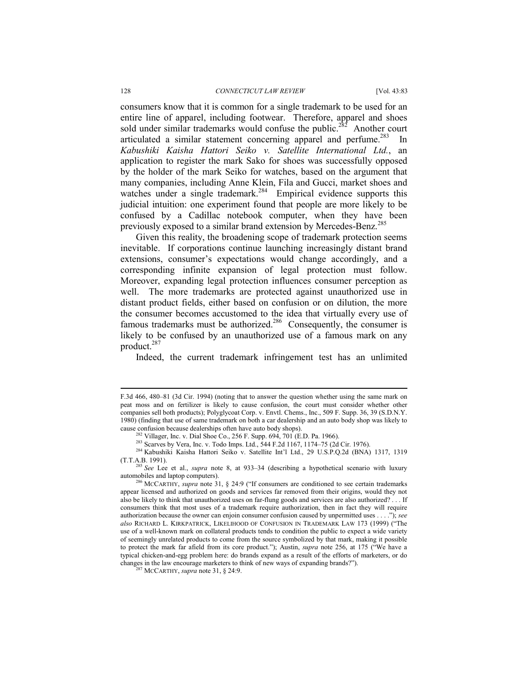#### 128 *CONNECTICUT LAW REVIEW* [Vol. 43:83

consumers know that it is common for a single trademark to be used for an entire line of apparel, including footwear. Therefore, apparel and shoes sold under similar trademarks would confuse the public.<sup>282</sup> Another court articulated a similar statement concerning apparel and perfume.<sup>283</sup> In *Kabushiki Kaisha Hattori Seiko v. Satellite International Ltd.*, an application to register the mark Sako for shoes was successfully opposed by the holder of the mark Seiko for watches, based on the argument that many companies, including Anne Klein, Fila and Gucci, market shoes and watches under a single trademark.<sup>284</sup> Empirical evidence supports this judicial intuition: one experiment found that people are more likely to be confused by a Cadillac notebook computer, when they have been previously exposed to a similar brand extension by Mercedes-Benz.<sup>285</sup>

Given this reality, the broadening scope of trademark protection seems inevitable. If corporations continue launching increasingly distant brand extensions, consumer's expectations would change accordingly, and a corresponding infinite expansion of legal protection must follow. Moreover, expanding legal protection influences consumer perception as well. The more trademarks are protected against unauthorized use in distant product fields, either based on confusion or on dilution, the more the consumer becomes accustomed to the idea that virtually every use of famous trademarks must be authorized.<sup>286</sup> Consequently, the consumer is likely to be confused by an unauthorized use of a famous mark on any product.<sup>287</sup>

Indeed, the current trademark infringement test has an unlimited

l

F.3d 466, 480–81 (3d Cir. 1994) (noting that to answer the question whether using the same mark on peat moss and on fertilizer is likely to cause confusion, the court must consider whether other companies sell both products); Polyglycoat Corp. v. Envtl. Chems., Inc., 509 F. Supp. 36, 39 (S.D.N.Y. 1980) (finding that use of same trademark on both a car dealership and an auto body shop was likely to

cause confusion because dealerships often have auto body shops).<br>
<sup>282</sup> Villager, Inc. v. Dial Shoe Co., 256 F. Supp. 694, 701 (E.D. Pa. 1966).<br>
<sup>283</sup> Scarves by Vera, Inc. v. Todo Imps. Ltd., 544 F.2d 1167, 1174–75 (2d C (T.T.A.B. 1991). 285 *See* Lee et al., *supra* note 8, at 933–34 (describing a hypothetical scenario with luxury

automobiles and laptop computers). 286 MCCARTHY, *supra* note 31, § 24:9 ("If consumers are conditioned to see certain trademarks

appear licensed and authorized on goods and services far removed from their origins, would they not also be likely to think that unauthorized uses on far-flung goods and services are also authorized? . . . If consumers think that most uses of a trademark require authorization, then in fact they will require authorization because the owner can enjoin consumer confusion caused by unpermitted uses . . . ."); *see also* RICHARD L. KIRKPATRICK, LIKELIHOOD OF CONFUSION IN TRADEMARK LAW 173 (1999) ("The use of a well-known mark on collateral products tends to condition the public to expect a wide variety of seemingly unrelated products to come from the source symbolized by that mark, making it possible to protect the mark far afield from its core product."); Austin, *supra* note 256, at 175 ("We have a typical chicken-and-egg problem here: do brands expand as a result of the efforts of marketers, or do changes in the law encourage marketers to think of new ways of expanding brands?"). 287 MCCARTHY, *supra* note 31, § 24:9.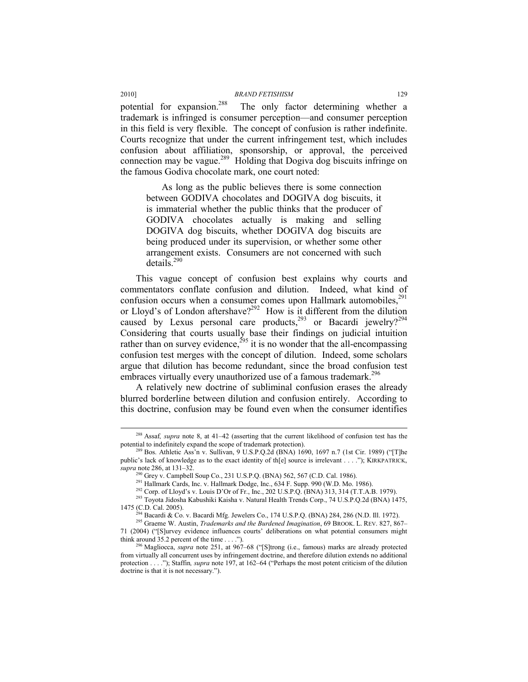potential for expansion.<sup>288</sup> The only factor determining whether a trademark is infringed is consumer perception—and consumer perception in this field is very flexible. The concept of confusion is rather indefinite. Courts recognize that under the current infringement test, which includes confusion about affiliation, sponsorship, or approval, the perceived connection may be vague.<sup>289</sup> Holding that Dogiva dog biscuits infringe on the famous Godiva chocolate mark, one court noted:

As long as the public believes there is some connection between GODIVA chocolates and DOGIVA dog biscuits, it is immaterial whether the public thinks that the producer of GODIVA chocolates actually is making and selling DOGIVA dog biscuits, whether DOGIVA dog biscuits are being produced under its supervision, or whether some other arrangement exists. Consumers are not concerned with such details.<sup>290</sup>

This vague concept of confusion best explains why courts and commentators conflate confusion and dilution. Indeed, what kind of confusion occurs when a consumer comes upon Hallmark automobiles, $291$ or Lloyd's of London aftershave?<sup>292</sup> How is it different from the dilution caused by Lexus personal care products,<sup>293</sup> or Bacardi jewelry?<sup>294</sup> Considering that courts usually base their findings on judicial intuition rather than on survey evidence,<sup> $295$ </sup> it is no wonder that the all-encompassing confusion test merges with the concept of dilution. Indeed, some scholars argue that dilution has become redundant, since the broad confusion test embraces virtually every unauthorized use of a famous trademark.<sup>296</sup>

A relatively new doctrine of subliminal confusion erases the already blurred borderline between dilution and confusion entirely. According to this doctrine, confusion may be found even when the consumer identifies

<sup>&</sup>lt;sup>288</sup> Assaf, *supra* note 8, at 41–42 (asserting that the current likelihood of confusion test has the potential to indefinitely expand the scope of trademark protection).

<sup>&</sup>lt;sup>289</sup> Bos. Athletic Ass'n v. Sullivan, 9 U.S.P.Q.2d (BNA) 1690, 1697 n.7 (1st Cir. 1989) ("[T]he public's lack of knowledge as to the exact identity of th[e] source is irrelevant . . . ."); KIRKPATRICK, *supra* note 286, at 131–32.<br><sup>290</sup> Grey v. Campbell Soup Co., 231 U.S.P.Q. (BNA) 562, 567 (C.D. Cal. 1986).

<sup>&</sup>lt;sup>291</sup> Hallmark Cards, Inc. v. Hallmark Dodge, Inc., 634 F. Supp. 990 (W.D. Mo. 1986).<br><sup>292</sup> Corp. of Lloyd's v. Louis D'Or of Fr., Inc., 202 U.S.P.Q. (BNA) 313, 314 (T.T.A.B. 1979).<br><sup>293</sup> Toyota Jidosha Kabushiki Kaisha v

<sup>&</sup>lt;sup>294</sup> Bacardi & Co. v. Bacardi Mfg. Jewelers Co., 174 U.S.P.Q. (BNA) 284, 286 (N.D. Ill. 1972).<br><sup>295</sup> Graeme W. Austin, *Trademarks and the Burdened Imagination*, 69 BROOK. L. REV. 827, 867–

<sup>71 (2004) (&</sup>quot;[S]urvey evidence influences courts' deliberations on what potential consumers might

<sup>&</sup>lt;sup>5</sup> Magliocca, *supra* note 251, at 967–68 ("[S]trong (i.e., famous) marks are already protected from virtually all concurrent uses by infringement doctrine, and therefore dilution extends no additional protection . . . ."); Staffin*, supra* note 197, at 162–64 ("Perhaps the most potent criticism of the dilution doctrine is that it is not necessary.").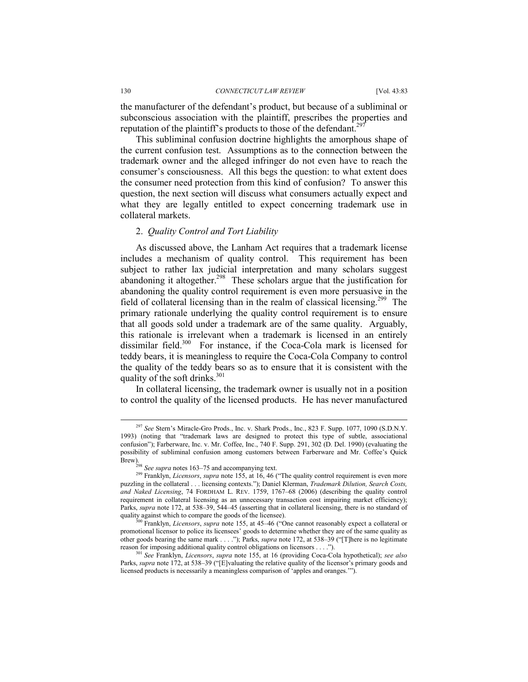the manufacturer of the defendant's product, but because of a subliminal or subconscious association with the plaintiff, prescribes the properties and reputation of the plaintiff's products to those of the defendant.<sup>297</sup>

This subliminal confusion doctrine highlights the amorphous shape of the current confusion test. Assumptions as to the connection between the trademark owner and the alleged infringer do not even have to reach the consumer's consciousness. All this begs the question: to what extent does the consumer need protection from this kind of confusion? To answer this question, the next section will discuss what consumers actually expect and what they are legally entitled to expect concerning trademark use in collateral markets.

#### 2. *Quality Control and Tort Liability*

As discussed above, the Lanham Act requires that a trademark license includes a mechanism of quality control. This requirement has been subject to rather lax judicial interpretation and many scholars suggest abandoning it altogether.<sup>298</sup> These scholars argue that the justification for abandoning the quality control requirement is even more persuasive in the field of collateral licensing than in the realm of classical licensing.299 The primary rationale underlying the quality control requirement is to ensure that all goods sold under a trademark are of the same quality. Arguably, this rationale is irrelevant when a trademark is licensed in an entirely dissimilar field.<sup>300</sup> For instance, if the Coca-Cola mark is licensed for teddy bears, it is meaningless to require the Coca-Cola Company to control the quality of the teddy bears so as to ensure that it is consistent with the quality of the soft drinks.<sup>301</sup>

In collateral licensing, the trademark owner is usually not in a position to control the quality of the licensed products. He has never manufactured

 <sup>297</sup> *See* Stern's Miracle-Gro Prods., Inc. v. Shark Prods., Inc., 823 F. Supp. 1077, 1090 (S.D.N.Y. 1993) (noting that "trademark laws are designed to protect this type of subtle, associational confusion"); Farberware, Inc. v. Mr. Coffee, Inc., 740 F. Supp. 291, 302 (D. Del. 1990) (evaluating the possibility of subliminal confusion among customers between Farberware and Mr. Coffee's Quick Brew).<br><sup>298</sup> *See supra* notes 163–75 and accompanying text.<br><sup>299</sup> Franklyn, *Licensors*, *supra* note 155, at 16, 46 ("The quality control requirement is even more

puzzling in the collateral . . . licensing contexts."); Daniel Klerman, *Trademark Dilution, Search Costs, and Naked Licensing*, 74 FORDHAM L. REV. 1759, 1767–68 (2006) (describing the quality control requirement in collateral licensing as an unnecessary transaction cost impairing market efficiency); Parks, *supra* note 172, at 538–39, 544–45 (asserting that in collateral licensing, there is no standard of quality against which to compare the goods of the licensee).

Franklyn, *Licensors*, *supra* note 155, at 45–46 ("One cannot reasonably expect a collateral or promotional licensor to police its licensees' goods to determine whether they are of the same quality as other goods bearing the same mark . . . ."); Parks, *supra* note 172, at 538–39 ("[T]here is no legitimate reason for imposing additional quality control obligations on licensors . . . .").

<sup>&</sup>lt;sup>501</sup> See Franklyn, *Licensors*, *supra* note 155, at 16 (providing Coca-Cola hypothetical); *see also* Parks, *supra* note 172, at 538–39 ("[E]valuating the relative quality of the licensor's primary goods and licensed products is necessarily a meaningless comparison of 'apples and oranges.'").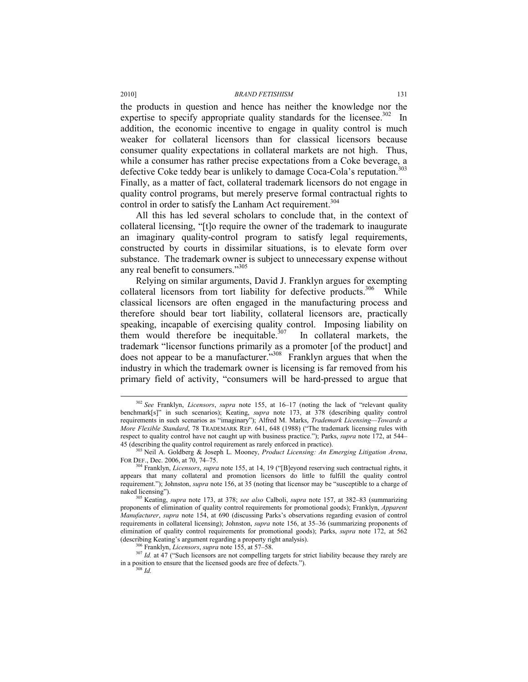the products in question and hence has neither the knowledge nor the expertise to specify appropriate quality standards for the licensee.<sup>302</sup> In addition, the economic incentive to engage in quality control is much weaker for collateral licensors than for classical licensors because consumer quality expectations in collateral markets are not high. Thus, while a consumer has rather precise expectations from a Coke beverage, a defective Coke teddy bear is unlikely to damage Coca-Cola's reputation.<sup>303</sup> Finally, as a matter of fact, collateral trademark licensors do not engage in quality control programs, but merely preserve formal contractual rights to control in order to satisfy the Lanham Act requirement.<sup>304</sup>

All this has led several scholars to conclude that, in the context of collateral licensing, "[t]o require the owner of the trademark to inaugurate an imaginary quality-control program to satisfy legal requirements, constructed by courts in dissimilar situations, is to elevate form over substance. The trademark owner is subject to unnecessary expense without any real benefit to consumers."305

Relying on similar arguments, David J. Franklyn argues for exempting collateral licensors from tort liability for defective products.<sup>306</sup> While classical licensors are often engaged in the manufacturing process and therefore should bear tort liability, collateral licensors are, practically speaking, incapable of exercising quality control. Imposing liability on them would therefore be inequitable.<sup>307</sup> In collateral markets, the trademark "licensor functions primarily as a promoter [of the product] and does not appear to be a manufacturer.<sup>3308</sup> Franklyn argues that when the industry in which the trademark owner is licensing is far removed from his primary field of activity, "consumers will be hard-pressed to argue that

 <sup>302</sup> *See* Franklyn, *Licensors*, *supra* note 155, at 16–17 (noting the lack of "relevant quality benchmark[s]" in such scenarios); Keating, *supra* note 173, at 378 (describing quality control requirements in such scenarios as "imaginary"); Alfred M. Marks, *Trademark Licensing—Towards a More Flexible Standard*, 78 TRADEMARK REP. 641, 648 (1988) ("The trademark licensing rules with respect to quality control have not caught up with business practice."); Parks, *supra* note 172, at 544–45 (describing the quality control requirement as rarely enforced in practice).

<sup>&</sup>lt;sup>303</sup> Neil A. Goldberg & Joseph L. Mooney, *Product Licensing: An Emerging Litigation Arena*, For DEF., Dec. 2006, at 70, 74–75.

<sup>&</sup>lt;sup>304</sup> Franklyn, *Licensors*, *supra* note 155, at 14, 19 ("[B]eyond reserving such contractual rights, it appears that many collateral and promotion licensors do little to fulfill the quality control requirement."); Johnston, *supra* note 156, at 35 (noting that licensor may be "susceptible to a charge of naked licensing"). 305 Keating, *supra* note 173, at 378; *see also* Calboli, *supra* note 157, at 382–83 (summarizing

proponents of elimination of quality control requirements for promotional goods); Franklyn, *Apparent Manufacturer*, *supra* note 154, at 690 (discussing Parks's observations regarding evasion of control requirements in collateral licensing); Johnston, *supra* note 156, at 35–36 (summarizing proponents of elimination of quality control requirements for promotional goods); Parks, *supra* note 172, at 562 (describing Keating's argument regarding a property right analysis).<br>  $\frac{306}{100}$  Franklyn, *Licensors*, *supra* note 155, at 57–58.<br>  $\frac{307}{100}$  *Id.* at 47 ("Such licensors are not compelling targets for strict liab

in a position to ensure that the licensed goods are free of defects."). 308 *Id.*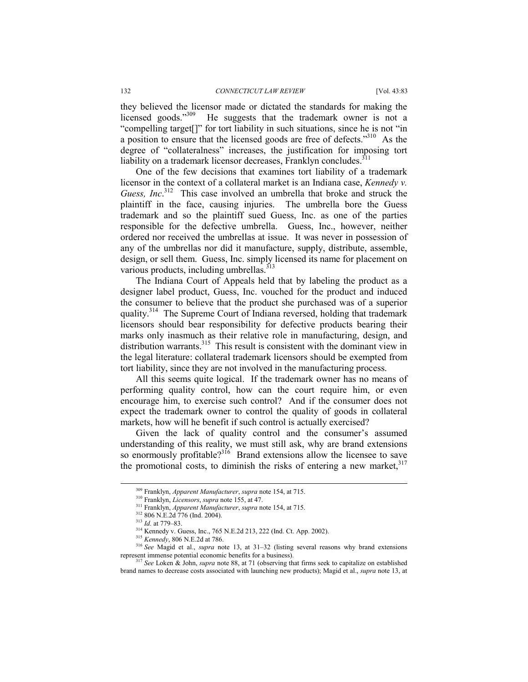they believed the licensor made or dictated the standards for making the licensed goods."309 He suggests that the trademark owner is not a "compelling target[]" for tort liability in such situations, since he is not "in a position to ensure that the licensed goods are free of defects."310 As the degree of "collateralness" increases, the justification for imposing tort liability on a trademark licensor decreases, Franklyn concludes.<sup>311</sup>

One of the few decisions that examines tort liability of a trademark licensor in the context of a collateral market is an Indiana case, *Kennedy v. Guess, Inc*. 312 This case involved an umbrella that broke and struck the plaintiff in the face, causing injuries. The umbrella bore the Guess trademark and so the plaintiff sued Guess, Inc. as one of the parties responsible for the defective umbrella. Guess, Inc., however, neither ordered nor received the umbrellas at issue. It was never in possession of any of the umbrellas nor did it manufacture, supply, distribute, assemble, design, or sell them. Guess, Inc. simply licensed its name for placement on various products, including umbrellas. $3^{313}$ 

The Indiana Court of Appeals held that by labeling the product as a designer label product, Guess, Inc. vouched for the product and induced the consumer to believe that the product she purchased was of a superior quality.<sup>314</sup> The Supreme Court of Indiana reversed, holding that trademark licensors should bear responsibility for defective products bearing their marks only inasmuch as their relative role in manufacturing, design, and distribution warrants.<sup>315</sup> This result is consistent with the dominant view in the legal literature: collateral trademark licensors should be exempted from tort liability, since they are not involved in the manufacturing process.

All this seems quite logical. If the trademark owner has no means of performing quality control, how can the court require him, or even encourage him, to exercise such control? And if the consumer does not expect the trademark owner to control the quality of goods in collateral markets, how will he benefit if such control is actually exercised?

Given the lack of quality control and the consumer's assumed understanding of this reality, we must still ask, why are brand extensions so enormously profitable?<sup>316</sup> Brand extensions allow the licensee to save the promotional costs, to diminish the risks of entering a new market,  $317$ 

<sup>&</sup>lt;sup>309</sup> Franklyn, *Apparent Manufacturer*, *supra* note 154, at 715.<br><sup>310</sup> Franklyn, *Licensors*, *supra* note 155, at 47.<br><sup>311</sup> Franklyn, *Apparent Manufacturer*, *supra* note 154, at 715.<br><sup>312</sup> 806 N.E.2d 776 (Ind. 2004).

<sup>317</sup> *See* Loken & John, *supra* note 88, at 71 (observing that firms seek to capitalize on established brand names to decrease costs associated with launching new products); Magid et al., *supra* note 13, at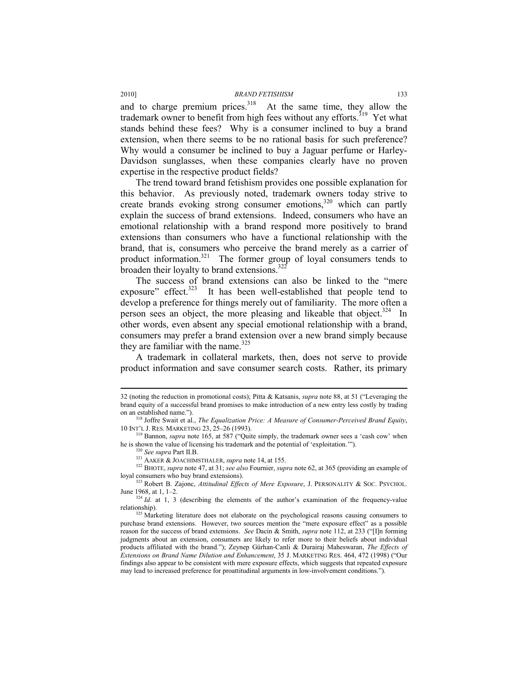and to charge premium prices. $318$  At the same time, they allow the trademark owner to benefit from high fees without any efforts.<sup>319</sup> Yet what stands behind these fees? Why is a consumer inclined to buy a brand extension, when there seems to be no rational basis for such preference? Why would a consumer be inclined to buy a Jaguar perfume or Harley-Davidson sunglasses, when these companies clearly have no proven expertise in the respective product fields?

The trend toward brand fetishism provides one possible explanation for this behavior. As previously noted, trademark owners today strive to create brands evoking strong consumer emotions,<sup>320</sup> which can partly explain the success of brand extensions. Indeed, consumers who have an emotional relationship with a brand respond more positively to brand extensions than consumers who have a functional relationship with the brand, that is, consumers who perceive the brand merely as a carrier of product information.<sup>321</sup> The former group of loyal consumers tends to broaden their loyalty to brand extensions.<sup>322</sup>

The success of brand extensions can also be linked to the "mere exposure" effect.<sup>323</sup> It has been well-established that people tend to develop a preference for things merely out of familiarity. The more often a person sees an object, the more pleasing and likeable that object.<sup>324</sup> In other words, even absent any special emotional relationship with a brand, consumers may prefer a brand extension over a new brand simply because they are familiar with the name. $325$ 

A trademark in collateral markets, then, does not serve to provide product information and save consumer search costs. Rather, its primary

l

<sup>32 (</sup>noting the reduction in promotional costs); Pitta & Katsanis, *supra* note 88, at 51 ("Leveraging the brand equity of a successful brand promises to make introduction of a new entry less costly by trading

on an established name.").<br><sup>318</sup> Joffre Swait et al., *The Equalization Price: A Measure of Consumer-Perceived Brand Equity*,<br>10 INT'L J. RES. MARKETING 23, 25–26 (1993).

<sup>&</sup>lt;sup>319</sup> Bannon, *supra* note 165, at 587 ("Quite simply, the trademark owner sees a 'cash cow' when he is shown the value of licensing his trademark and the potential of 'exploitation."").

<sup>&</sup>lt;sup>320</sup> See supra Part II.B.<br><sup>321</sup> AAKER & JOACHIMSTHALER, supra note 14, at 155.<br><sup>322</sup> BHOTE, supra note 47, at 31; see also Fournier, supra note 62, at 365 (providing an example of

loyal consumers who buy brand extensions).<br><sup>323</sup> Robert B. Zajonc, *Attitudinal Effects of Mere Exposure*, J. PERSONALITY & SOC. PSYCHOL.<br>June 1968, at 1, 1–2.

 $J<sup>324</sup>$  *Id.* at 1, 3 (describing the elements of the author's examination of the frequency-value

relationship). 325 Marketing literature does not elaborate on the psychological reasons causing consumers to purchase brand extensions. However, two sources mention the "mere exposure effect" as a possible reason for the success of brand extensions. *See* Dacin & Smith, *supra* note 112, at 233 ("[I]n forming judgments about an extension, consumers are likely to refer more to their beliefs about individual products affiliated with the brand."); Zeynep Gürhan-Canli & Durairaj Maheswaran, *The Effects of Extensions on Brand Name Dilution and Enhancement*, 35 J. MARKETING RES. 464, 472 (1998) ("Our findings also appear to be consistent with mere exposure effects, which suggests that repeated exposure may lead to increased preference for proattitudinal arguments in low-involvement conditions.").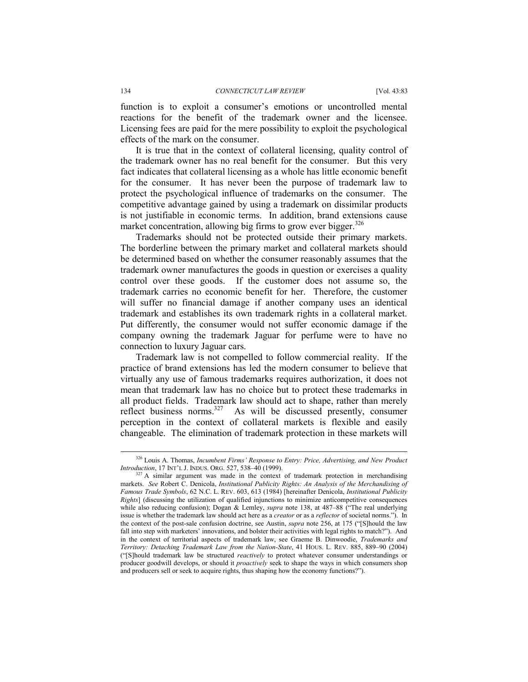function is to exploit a consumer's emotions or uncontrolled mental reactions for the benefit of the trademark owner and the licensee. Licensing fees are paid for the mere possibility to exploit the psychological effects of the mark on the consumer.

It is true that in the context of collateral licensing, quality control of the trademark owner has no real benefit for the consumer. But this very fact indicates that collateral licensing as a whole has little economic benefit for the consumer. It has never been the purpose of trademark law to protect the psychological influence of trademarks on the consumer. The competitive advantage gained by using a trademark on dissimilar products is not justifiable in economic terms. In addition, brand extensions cause market concentration, allowing big firms to grow ever bigger. $326$ 

Trademarks should not be protected outside their primary markets. The borderline between the primary market and collateral markets should be determined based on whether the consumer reasonably assumes that the trademark owner manufactures the goods in question or exercises a quality control over these goods. If the customer does not assume so, the trademark carries no economic benefit for her. Therefore, the customer will suffer no financial damage if another company uses an identical trademark and establishes its own trademark rights in a collateral market. Put differently, the consumer would not suffer economic damage if the company owning the trademark Jaguar for perfume were to have no connection to luxury Jaguar cars.

Trademark law is not compelled to follow commercial reality. If the practice of brand extensions has led the modern consumer to believe that virtually any use of famous trademarks requires authorization, it does not mean that trademark law has no choice but to protect these trademarks in all product fields. Trademark law should act to shape, rather than merely reflect business norms.<sup>327</sup> As will be discussed presently, consumer perception in the context of collateral markets is flexible and easily changeable. The elimination of trademark protection in these markets will

<sup>&</sup>lt;sup>326</sup> Louis A. Thomas, *Incumbent Firms' Response to Entry: Price, Advertising, and New Product Introduction, 17 INT'L J. INDUS. ORG. 527, 538–40 (1999).* 

<sup>&</sup>lt;sup>327</sup> A similar argument was made in the context of trademark protection in merchandising markets. *See* Robert C. Denicola, *Institutional Publicity Rights: An Analysis of the Merchandising of Famous Trade Symbols*, 62 N.C. L. REV. 603, 613 (1984) [hereinafter Denicola, *Institutional Publicity Rights*] (discussing the utilization of qualified injunctions to minimize anticompetitive consequences while also reducing confusion); Dogan & Lemley, *supra* note 138, at 487–88 ("The real underlying issue is whether the trademark law should act here as a *creator* or as a *reflector* of societal norms."). In the context of the post-sale confusion doctrine, see Austin, *supra* note 256, at 175 ("[S]hould the law fall into step with marketers' innovations, and bolster their activities with legal rights to match?"). And in the context of territorial aspects of trademark law, see Graeme B. Dinwoodie, *Trademarks and Territory: Detaching Trademark Law from the Nation-State*, 41 HOUS. L. REV. 885, 889–90 (2004) ("[S]hould trademark law be structured *reactively* to protect whatever consumer understandings or producer goodwill develops, or should it *proactively* seek to shape the ways in which consumers shop and producers sell or seek to acquire rights, thus shaping how the economy functions?").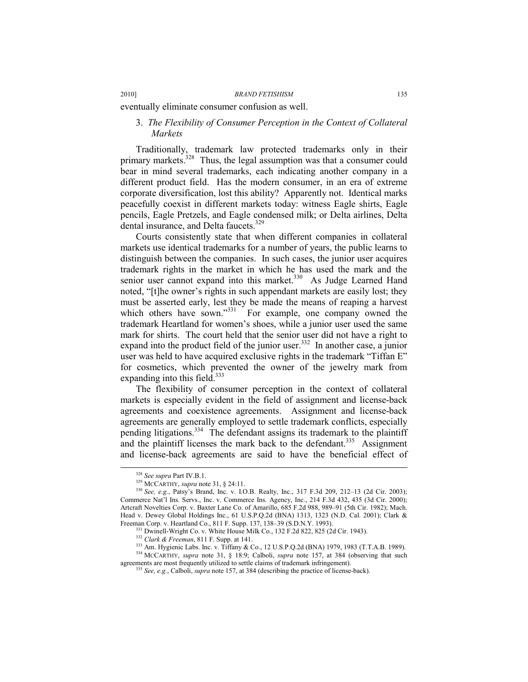eventually eliminate consumer confusion as well.

# 3. *The Flexibility of Consumer Perception in the Context of Collateral Markets*

Traditionally, trademark law protected trademarks only in their primary markets.<sup>328</sup> Thus, the legal assumption was that a consumer could bear in mind several trademarks, each indicating another company in a different product field. Has the modern consumer, in an era of extreme corporate diversification, lost this ability? Apparently not. Identical marks peacefully coexist in different markets today: witness Eagle shirts, Eagle pencils, Eagle Pretzels, and Eagle condensed milk; or Delta airlines, Delta dental insurance, and Delta faucets.<sup>329</sup>

Courts consistently state that when different companies in collateral markets use identical trademarks for a number of years, the public learns to distinguish between the companies. In such cases, the junior user acquires trademark rights in the market in which he has used the mark and the senior user cannot expand into this market.<sup>330</sup> As Judge Learned Hand noted, "[t]he owner's rights in such appendant markets are easily lost; they must be asserted early, lest they be made the means of reaping a harvest which others have sown."<sup>331</sup> For example, one company owned the trademark Heartland for women's shoes, while a junior user used the same mark for shirts. The court held that the senior user did not have a right to expand into the product field of the junior user. $332$  In another case, a junior user was held to have acquired exclusive rights in the trademark "Tiffan E" for cosmetics, which prevented the owner of the jewelry mark from expanding into this field.<sup>333</sup>

The flexibility of consumer perception in the context of collateral markets is especially evident in the field of assignment and license-back agreements and coexistence agreements. Assignment and license-back agreements are generally employed to settle trademark conflicts, especially pending litigations.<sup>334</sup> The defendant assigns its trademark to the plaintiff and the plaintiff licenses the mark back to the defendant.<sup>335</sup> Assignment and license-back agreements are said to have the beneficial effect of

<sup>331</sup> Dwinell-Wright Co. v. White House Milk Co., 132 F.2d 822, 825 (2d Cir. 1943).<br><sup>332</sup> Clark & Freeman, 811 F. Supp. at 141.<br><sup>333</sup> Am. Hygienic Labs. Inc. v. Tiffany & Co., 12 U.S.P.Q.2d (BNA) 1979, 1983 (T.T.A.B. 1989

<sup>328</sup> *See supra* Part IV.B.1. 329 MCCARTHY, *supra* note 31, § 24:11. 330 *See, e.g.*, Patsy's Brand, Inc. v. I.O.B. Realty, Inc., 317 F.3d 209, 212–13 (2d Cir. 2003); Commerce Nat'l Ins. Servs., Inc. v. Commerce Ins. Agency, Inc., 214 F.3d 432, 435 (3d Cir. 2000); Artcraft Novelties Corp. v. Baxter Lane Co. of Amarillo, 685 F.2d 988, 989–91 (5th Cir. 1982); Mach. Head v. Dewey Global Holdings Inc., 61 U.S.P.Q.2d (BNA) 1313, 1323 (N.D. Cal. 2001); Clark & Freeman Corp. v. Heartland Co., 811 F. Supp. 137, 138–39 (S.D.N.Y. 1993).

<sup>&</sup>lt;sup>335</sup> *See, e.g.*, Calboli, *supra* note 157, at 384 (describing the practice of license-back).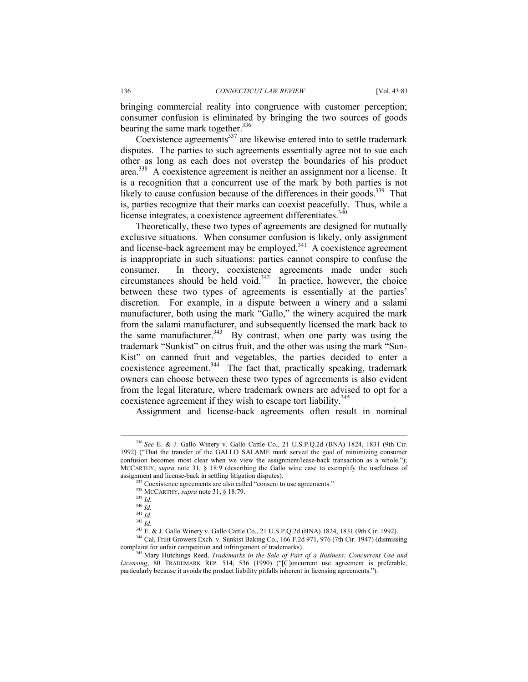bringing commercial reality into congruence with customer perception; consumer confusion is eliminated by bringing the two sources of goods bearing the same mark together.<sup>336</sup>

Coexistence agreements $^{337}$  are likewise entered into to settle trademark disputes. The parties to such agreements essentially agree not to sue each other as long as each does not overstep the boundaries of his product area.338 A coexistence agreement is neither an assignment nor a license. It is a recognition that a concurrent use of the mark by both parties is not likely to cause confusion because of the differences in their goods.<sup>339</sup> That is, parties recognize that their marks can coexist peacefully. Thus, while a license integrates, a coexistence agreement differentiates.<sup>340</sup>

Theoretically, these two types of agreements are designed for mutually exclusive situations. When consumer confusion is likely, only assignment and license-back agreement may be employed. $341$  A coexistence agreement is inappropriate in such situations: parties cannot conspire to confuse the consumer. In theory, coexistence agreements made under such circumstances should be held void. $342$  In practice, however, the choice between these two types of agreements is essentially at the parties' discretion. For example, in a dispute between a winery and a salami manufacturer, both using the mark "Gallo," the winery acquired the mark from the salami manufacturer, and subsequently licensed the mark back to the same manufacturer.<sup>343</sup> By contrast, when one party was using the trademark "Sunkist" on citrus fruit, and the other was using the mark "Sun-Kist" on canned fruit and vegetables, the parties decided to enter a coexistence agreement.<sup>344</sup> The fact that, practically speaking, trademark owners can choose between these two types of agreements is also evident from the legal literature, where trademark owners are advised to opt for a coexistence agreement if they wish to escape tort liability.<sup>345</sup>

Assignment and license-back agreements often result in nominal

 <sup>336</sup> *See* E. & J. Gallo Winery v. Gallo Cattle Co., 21 U.S.P.Q.2d (BNA) 1824, 1831 (9th Cir. 1992) ("That the transfer of the GALLO SALAME mark served the goal of minimizing consumer confusion becomes most clear when we view the assignment/lease-back transaction as a whole."); MCCARTHY, *supra* note 31, § 18:9 (describing the Gallo wine case to exemplify the usefulness of

assignment and license-back in settling litigation disputes).<br><sup>337</sup> Coexistence agreements are also called "consent to use agreements."<br><sup>338</sup> MCCARTHY, *supra* note 31, § 18:79.

<sup>340</sup> *Id.*

<sup>341</sup> *Id.*

*<sup>1</sup>a.*<br><sup>342</sup> *Id.*<br><sup>343</sup> E. & J. Gallo Winery v. Gallo Cattle Co., 21 U.S.P.Q.2d (BNA) 1824, 1831 (9th Cir. 1992).

<sup>&</sup>lt;sup>344</sup> Cal. Fruit Growers Exch. v. Sunkist Baking Co., 166 F.2d 971, 976 (7th Cir. 1947) (dismissing complaint for unfair competition and infringement of trademarks). 345 Mary Hutchings Reed, *Trademarks in the Sale of Part of a Business: Concurrent Use and* 

*Licensing*, 80 TRADEMARK REP. 514, 536 (1990) ("[C]oncurrent use agreement is preferable, particularly because it avoids the product liability pitfalls inherent in licensing agreements.").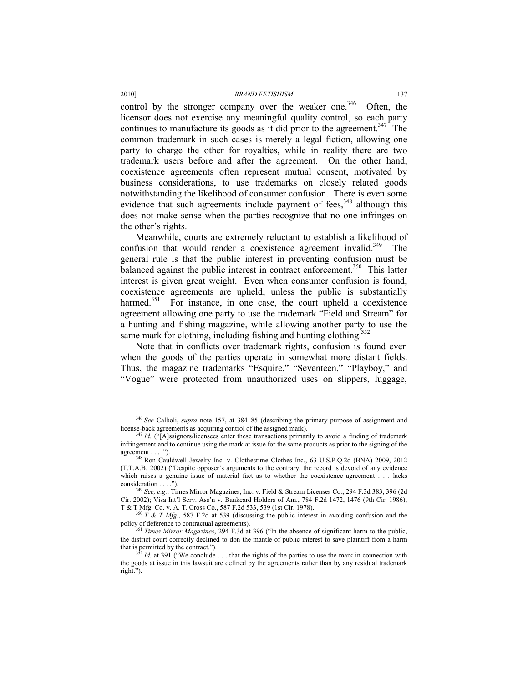control by the stronger company over the weaker one.<sup>346</sup> Often, the licensor does not exercise any meaningful quality control, so each party continues to manufacture its goods as it did prior to the agreement.<sup>347</sup> The common trademark in such cases is merely a legal fiction, allowing one party to charge the other for royalties, while in reality there are two trademark users before and after the agreement. On the other hand, coexistence agreements often represent mutual consent, motivated by business considerations, to use trademarks on closely related goods notwithstanding the likelihood of consumer confusion. There is even some evidence that such agreements include payment of fees, $348$  although this does not make sense when the parties recognize that no one infringes on the other's rights.

Meanwhile, courts are extremely reluctant to establish a likelihood of confusion that would render a coexistence agreement invalid.<sup>349</sup> The general rule is that the public interest in preventing confusion must be balanced against the public interest in contract enforcement.<sup>350</sup> This latter interest is given great weight. Even when consumer confusion is found, coexistence agreements are upheld, unless the public is substantially harmed.<sup>351</sup> For instance, in one case, the court upheld a coexistence agreement allowing one party to use the trademark "Field and Stream" for a hunting and fishing magazine, while allowing another party to use the same mark for clothing, including fishing and hunting clothing.<sup>352</sup>

Note that in conflicts over trademark rights, confusion is found even when the goods of the parties operate in somewhat more distant fields. Thus, the magazine trademarks "Esquire," "Seventeen," "Playboy," and "Vogue" were protected from unauthorized uses on slippers, luggage,

<sup>&</sup>lt;sup>346</sup> *See* Calboli, *supra* note 157, at 384–85 (describing the primary purpose of assignment and license-back agreements as acquiring control of the assigned mark).

<sup>347</sup> *Id.* ("[A]ssignors/licensees enter these transactions primarily to avoid a finding of trademark infringement and to continue using the mark at issue for the same products as prior to the signing of the agreement . . . ."). 348 Ron Cauldwell Jewelry Inc. v. Clothestime Clothes Inc., 63 U.S.P.Q.2d (BNA) 2009, 2012

<sup>(</sup>T.T.A.B. 2002) ("Despite opposer's arguments to the contrary, the record is devoid of any evidence which raises a genuine issue of material fact as to whether the coexistence agreement . . . lacks consideration . . . ."). 349 *See, e.g.*, Times Mirror Magazines, Inc. v. Field & Stream Licenses Co., 294 F.3d 383, 396 (2d

Cir. 2002); Visa Int'l Serv. Ass'n v. Bankcard Holders of Am., 784 F.2d 1472, 1476 (9th Cir. 1986); T & T Mfg. Co. v. A. T. Cross Co., 587 F.2d 533, 539 (1st Cir. 1978).

 $7^{350}$  T & T Mfg., 587 F.2d at 539 (discussing the public interest in avoiding confusion and the policy of deference to contractual agreements).<br><sup>351</sup> *Times Mirror Magazines*, 294 F.3d at 396 ("In the absence of significant harm to the public,

the district court correctly declined to don the mantle of public interest to save plaintiff from a harm that is permitted by the contract.").<br><sup>352</sup> *Id.* at 391 ("We conclude . . . that the rights of the parties to use the mark in connection with

the goods at issue in this lawsuit are defined by the agreements rather than by any residual trademark right.").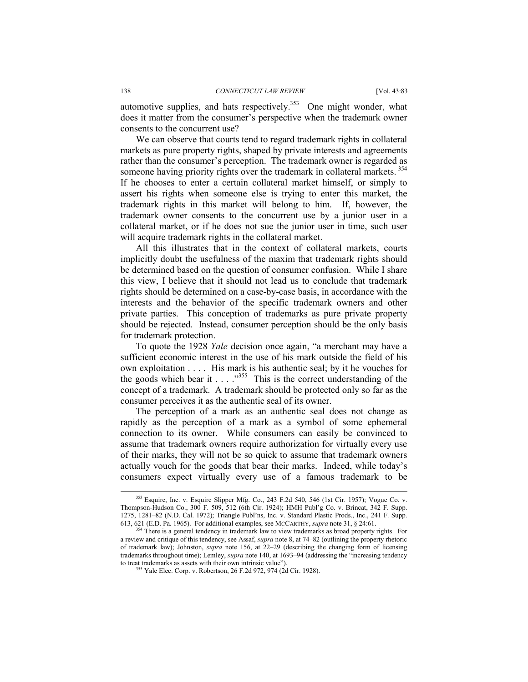automotive supplies, and hats respectively.<sup>353</sup> One might wonder, what does it matter from the consumer's perspective when the trademark owner consents to the concurrent use?

We can observe that courts tend to regard trademark rights in collateral markets as pure property rights, shaped by private interests and agreements rather than the consumer's perception. The trademark owner is regarded as someone having priority rights over the trademark in collateral markets.<sup>354</sup> If he chooses to enter a certain collateral market himself, or simply to assert his rights when someone else is trying to enter this market, the trademark rights in this market will belong to him. If, however, the trademark owner consents to the concurrent use by a junior user in a collateral market, or if he does not sue the junior user in time, such user will acquire trademark rights in the collateral market.

All this illustrates that in the context of collateral markets, courts implicitly doubt the usefulness of the maxim that trademark rights should be determined based on the question of consumer confusion. While I share this view, I believe that it should not lead us to conclude that trademark rights should be determined on a case-by-case basis, in accordance with the interests and the behavior of the specific trademark owners and other private parties. This conception of trademarks as pure private property should be rejected. Instead, consumer perception should be the only basis for trademark protection.

To quote the 1928 *Yale* decision once again, "a merchant may have a sufficient economic interest in the use of his mark outside the field of his own exploitation . . . . His mark is his authentic seal; by it he vouches for the goods which bear it  $\ldots$  . . . .<sup>3555</sup> This is the correct understanding of the concept of a trademark. A trademark should be protected only so far as the consumer perceives it as the authentic seal of its owner.

The perception of a mark as an authentic seal does not change as rapidly as the perception of a mark as a symbol of some ephemeral connection to its owner. While consumers can easily be convinced to assume that trademark owners require authorization for virtually every use of their marks, they will not be so quick to assume that trademark owners actually vouch for the goods that bear their marks. Indeed, while today's consumers expect virtually every use of a famous trademark to be

 <sup>353</sup> Esquire, Inc. v. Esquire Slipper Mfg. Co., 243 F.2d 540, 546 (1st Cir. 1957); Vogue Co. v. Thompson-Hudson Co., 300 F. 509, 512 (6th Cir. 1924); HMH Publ'g Co. v. Brincat, 342 F. Supp. 1275, 1281–82 (N.D. Cal. 1972); Triangle Publ'ns, Inc. v. Standard Plastic Prods., Inc., 241 F. Supp. 613, 621 (E.D. Pa. 1965). For additional examples, see MCCARTHY, *supra* note 31, § 24:61.

<sup>&</sup>lt;sup>354</sup> There is a general tendency in trademark law to view trademarks as broad property rights. For a review and critique of this tendency, see Assaf, *supra* note 8, at 74–82 (outlining the property rhetoric of trademark law); Johnston, *supra* note 156, at 22–29 (describing the changing form of licensing trademarks throughout time); Lemley, *supra* note 140, at 1693–94 (addressing the "increasing tendency to treat trademarks as assets with their own intrinsic value").<br><sup>355</sup> Yale Elec. Corp. v. Robertson, 26 F.2d 972, 974 (2d Cir. 1928).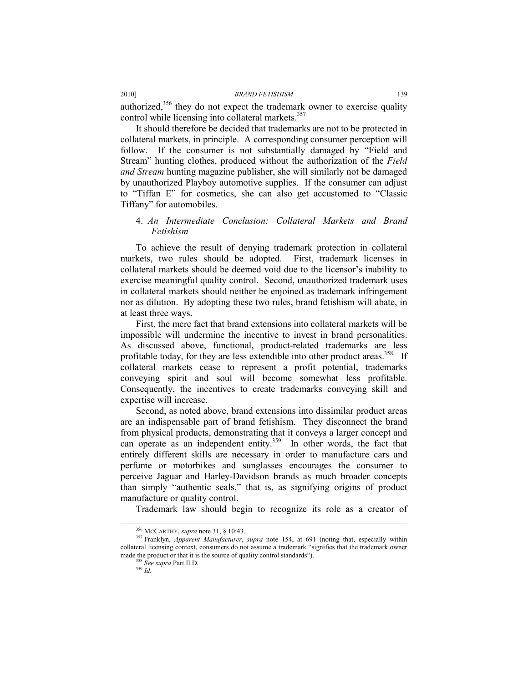authorized,<sup>356</sup> they do not expect the trademark owner to exercise quality control while licensing into collateral markets.<sup>357</sup>

It should therefore be decided that trademarks are not to be protected in collateral markets, in principle. A corresponding consumer perception will follow. If the consumer is not substantially damaged by "Field and Stream" hunting clothes, produced without the authorization of the *Field and Stream* hunting magazine publisher, she will similarly not be damaged by unauthorized Playboy automotive supplies. If the consumer can adjust to "Tiffan E" for cosmetics, she can also get accustomed to "Classic Tiffany" for automobiles.

# 4. *An Intermediate Conclusion: Collateral Markets and Brand Fetishism*

To achieve the result of denying trademark protection in collateral markets, two rules should be adopted. First, trademark licenses in collateral markets should be deemed void due to the licensor's inability to exercise meaningful quality control. Second, unauthorized trademark uses in collateral markets should neither be enjoined as trademark infringement nor as dilution. By adopting these two rules, brand fetishism will abate, in at least three ways.

First, the mere fact that brand extensions into collateral markets will be impossible will undermine the incentive to invest in brand personalities. As discussed above, functional, product-related trademarks are less profitable today, for they are less extendible into other product areas.<sup>358</sup> If collateral markets cease to represent a profit potential, trademarks conveying spirit and soul will become somewhat less profitable. Consequently, the incentives to create trademarks conveying skill and expertise will increase.

Second, as noted above, brand extensions into dissimilar product areas are an indispensable part of brand fetishism. They disconnect the brand from physical products, demonstrating that it conveys a larger concept and can operate as an independent entity.<sup>359</sup> In other words, the fact that entirely different skills are necessary in order to manufacture cars and perfume or motorbikes and sunglasses encourages the consumer to perceive Jaguar and Harley-Davidson brands as much broader concepts than simply "authentic seals," that is, as signifying origins of product manufacture or quality control.

Trademark law should begin to recognize its role as a creator of

<sup>&</sup>lt;sup>356</sup> McCARTHY, *supra* note 31, § 10:43.<br><sup>357</sup> Franklyn, *Apparent Manufacturer*, *supra* note 154, at 691 (noting that, especially within collateral licensing context, consumers do not assume a trademark "signifies that the trademark owner made the product or that it is the source of quality control standards"). 358 *See supra* Part II.D. 359 *Id.*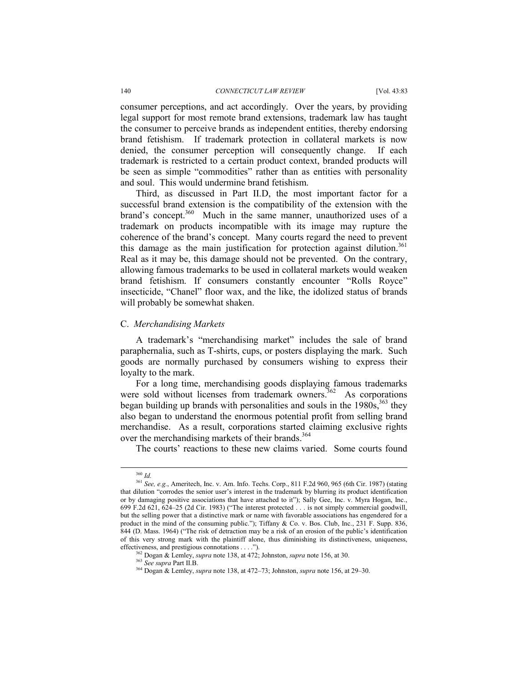#### 140 *CONNECTICUT LAW REVIEW* [Vol. 43:83

consumer perceptions, and act accordingly. Over the years, by providing legal support for most remote brand extensions, trademark law has taught the consumer to perceive brands as independent entities, thereby endorsing brand fetishism. If trademark protection in collateral markets is now denied, the consumer perception will consequently change. If each trademark is restricted to a certain product context, branded products will be seen as simple "commodities" rather than as entities with personality and soul. This would undermine brand fetishism.

Third, as discussed in Part II.D, the most important factor for a successful brand extension is the compatibility of the extension with the brand's concept.<sup>360</sup> Much in the same manner, unauthorized uses of a trademark on products incompatible with its image may rupture the coherence of the brand's concept. Many courts regard the need to prevent this damage as the main justification for protection against dilution.<sup>361</sup> Real as it may be, this damage should not be prevented. On the contrary, allowing famous trademarks to be used in collateral markets would weaken brand fetishism. If consumers constantly encounter "Rolls Royce" insecticide, "Chanel" floor wax, and the like, the idolized status of brands will probably be somewhat shaken.

#### C. *Merchandising Markets*

A trademark's "merchandising market" includes the sale of brand paraphernalia, such as T-shirts, cups, or posters displaying the mark. Such goods are normally purchased by consumers wishing to express their loyalty to the mark.

For a long time, merchandising goods displaying famous trademarks were sold without licenses from trademark owners.<sup>362</sup> As corporations began building up brands with personalities and souls in the  $1980s$ ,  $363$  they also began to understand the enormous potential profit from selling brand merchandise. As a result, corporations started claiming exclusive rights over the merchandising markets of their brands.<sup>364</sup>

The courts' reactions to these new claims varied. Some courts found

 <sup>360</sup> *Id.*

<sup>361</sup> *See, e.g.*, Ameritech, Inc. v. Am. Info. Techs. Corp., 811 F.2d 960, 965 (6th Cir. 1987) (stating that dilution "corrodes the senior user's interest in the trademark by blurring its product identification or by damaging positive associations that have attached to it"); Sally Gee, Inc. v. Myra Hogan, Inc., 699 F.2d 621, 624–25 (2d Cir. 1983) ("The interest protected . . . is not simply commercial goodwill, but the selling power that a distinctive mark or name with favorable associations has engendered for a product in the mind of the consuming public."); Tiffany & Co. v. Bos. Club, Inc., 231 F. Supp. 836, 844 (D. Mass. 1964) ("The risk of detraction may be a risk of an erosion of the public's identification of this very strong mark with the plaintiff alone, thus diminishing its distinctiveness, uniqueness, effectiveness, and prestigious connotations . . . .").<br>
<sup>362</sup> Dogan & Lemley, *supra* note 138, at 472; Johnston, *supra* note 156, at 30.<br>
<sup>363</sup> See *supra* Part II.B.<br>
<sup>364</sup> Dogan & Lemley, *supra* note 138, at 472–73;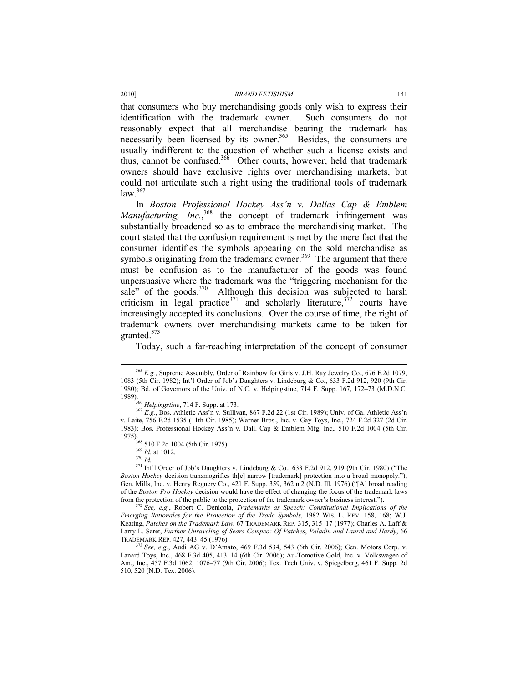that consumers who buy merchandising goods only wish to express their identification with the trademark owner. Such consumers do not reasonably expect that all merchandise bearing the trademark has necessarily been licensed by its owner.<sup>365</sup> Besides, the consumers are usually indifferent to the question of whether such a license exists and thus, cannot be confused.<sup>366</sup> Other courts, however, held that trademark owners should have exclusive rights over merchandising markets, but could not articulate such a right using the traditional tools of trademark law.<sup>367</sup>

In *Boston Professional Hockey Ass'n v. Dallas Cap & Emblem*  Manufacturing, Inc.,<sup>368</sup> the concept of trademark infringement was substantially broadened so as to embrace the merchandising market. The court stated that the confusion requirement is met by the mere fact that the consumer identifies the symbols appearing on the sold merchandise as symbols originating from the trademark owner.<sup>369</sup> The argument that there must be confusion as to the manufacturer of the goods was found unpersuasive where the trademark was the "triggering mechanism for the sale" of the goods.<sup>370</sup> Although this decision was subjected to harsh criticism in legal practice<sup>371</sup> and scholarly literature,  $372$  courts have increasingly accepted its conclusions. Over the course of time, the right of trademark owners over merchandising markets came to be taken for granted. $373$ 

Today, such a far-reaching interpretation of the concept of consumer

 <sup>365</sup> *E.g.*, Supreme Assembly, Order of Rainbow for Girls v. J.H. Ray Jewelry Co., 676 F.2d 1079, 1083 (5th Cir. 1982); Int'l Order of Job's Daughters v. Lindeburg & Co., 633 F.2d 912, 920 (9th Cir. 1980); Bd. of Governors of the Univ. of N.C. v. Helpingstine,  $\overline{714}$  F. Supp. 167, 172–73 (M.D.N.C. 1989).<br><sup>366</sup> Helpingstine, 714 F. Supp. at 173.

<sup>&</sup>lt;sup>367</sup> E.g., Bos. Athletic Ass'n v. Sullivan, 867 F.2d 22 (1st Cir. 1989); Univ. of Ga. Athletic Ass'n v. Laite, 756 F.2d 1535 (11th Cir. 1985); Warner Bros., Inc. v. Gay Toys, Inc., 724 F.2d 327 (2d Cir. 1983); Bos. Professional Hockey Ass'n v. Dall. Cap & Emblem Mfg, Inc,*,* 510 F.2d 1004 (5th Cir. 1975). 368 510 F.2d 1004 (5th Cir. 1975). 369 *Id.* at 1012. 370 *Id.*

<sup>371</sup> Int'l Order of Job's Daughters v. Lindeburg & Co., 633 F.2d 912, 919 (9th Cir. 1980) ("The *Boston Hockey* decision transmogrifies th[e] narrow [trademark] protection into a broad monopoly."); Gen. Mills, Inc. v. Henry Regnery Co., 421 F. Supp. 359, 362 n.2 (N.D. Ill. 1976) ("[A] broad reading of the *Boston Pro Hockey* decision would have the effect of changing the focus of the trademark laws

from the protection of the public to the protection of the trademark owner's business interest."). 372 *See, e.g.*, Robert C. Denicola, *Trademarks as Speech: Constitutional Implications of the Emerging Rationales for the Protection of the Trade Symbols*, 1982 WIS. L. REV. 158, 168; W.J. Keating, *Patches on the Trademark Law*, 67 TRADEMARK REP. 315, 315–17 (1977); Charles A. Laff & Larry L. Saret, *Further Unraveling of Sears-Compco: Of Patches*, *Paladin and Laurel and Hardy*, 66

<sup>&</sup>lt;sup>3</sup> See, e.g., Audi AG v. D'Amato, 469 F.3d 534, 543 (6th Cir. 2006); Gen. Motors Corp. v. Lanard Toys, Inc., 468 F.3d 405, 413–14 (6th Cir. 2006); Au-Tomotive Gold, Inc. v. Volkswagen of Am., Inc., 457 F.3d 1062, 1076–77 (9th Cir. 2006); Tex. Tech Univ. v. Spiegelberg, 461 F. Supp. 2d 510, 520 (N.D. Tex. 2006).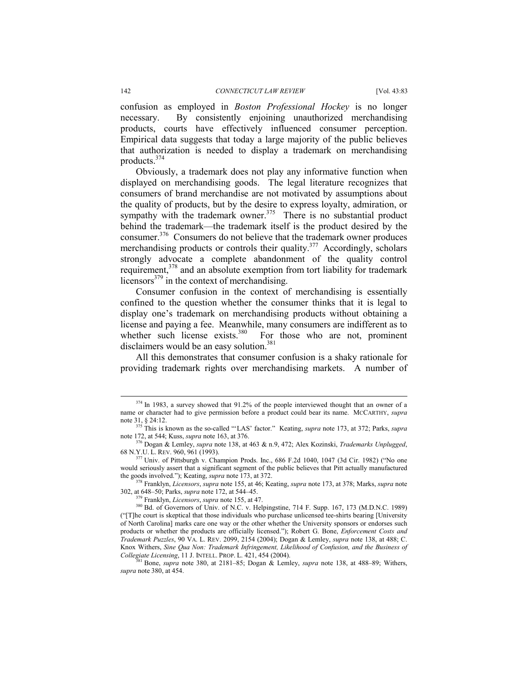#### 142 *CONNECTICUT LAW REVIEW* [Vol. 43:83

confusion as employed in *Boston Professional Hockey* is no longer necessary. By consistently enjoining unauthorized merchandising products, courts have effectively influenced consumer perception. Empirical data suggests that today a large majority of the public believes that authorization is needed to display a trademark on merchandising products.374

Obviously, a trademark does not play any informative function when displayed on merchandising goods. The legal literature recognizes that consumers of brand merchandise are not motivated by assumptions about the quality of products, but by the desire to express loyalty, admiration, or sympathy with the trademark owner.<sup>375</sup> There is no substantial product behind the trademark—the trademark itself is the product desired by the consumer.376 Consumers do not believe that the trademark owner produces merchandising products or controls their quality.<sup>377</sup> Accordingly, scholars strongly advocate a complete abandonment of the quality control requirement,<sup>378</sup> and an absolute exemption from tort liability for trademark licensors<sup> $379$ </sup> in the context of merchandising.

Consumer confusion in the context of merchandising is essentially confined to the question whether the consumer thinks that it is legal to display one's trademark on merchandising products without obtaining a license and paying a fee. Meanwhile, many consumers are indifferent as to whether such license exists. $380$  For those who are not, prominent disclaimers would be an easy solution.<sup>381</sup>

All this demonstrates that consumer confusion is a shaky rationale for providing trademark rights over merchandising markets. A number of

<sup>&</sup>lt;sup>374</sup> In 1983, a survey showed that 91.2% of the people interviewed thought that an owner of a name or character had to give permission before a product could bear its name. MCCARTHY, *supra*

note 31, § 24:12.<br><sup>375</sup> This is known as the so-called "'LAS' factor." Keating, *supra* note 173, at 372; Parks, *supra* note 172, at 544; Kuss, *supra* note 163, at 376.

<sup>&</sup>lt;sup>376</sup> Dogan & Lemley, *supra* note 138, at 463 & n.9, 472; Alex Kozinski, *Trademarks Unplugged*, 68 N.Y.U. L. REV. 960, 961 (1993).

Univ. of Pittsburgh v. Champion Prods. Inc., 686 F.2d 1040, 1047 (3d Cir. 1982) ("No one would seriously assert that a significant segment of the public believes that Pitt actually manufactured

the goods involved."); Keating, *supra* note 173, at 372.<br><sup>378</sup> Franklyn, *Licensors*, *supra* note 155, at 46; Keating, *supra* note 173, at 378; Marks, *supra* note 302, at 648–50; Parks, *supra* note 172, at 544–45.

<sup>&</sup>lt;sup>379</sup> Franklyn, *Licensors*, *supra* note 155, at 47.<br><sup>380</sup> Bd. of Governors of Univ. of N.C. v. Helpingstine, 714 F. Supp. 167, 173 (M.D.N.C. 1989) ("[T]he court is skeptical that those individuals who purchase unlicensed tee-shirts bearing [University of North Carolina] marks care one way or the other whether the University sponsors or endorses such products or whether the products are officially licensed."); Robert G. Bone, *Enforcement Costs and Trademark Puzzles*, 90 VA. L. REV. 2099, 2154 (2004); Dogan & Lemley, *supra* note 138, at 488; C. Knox Withers, *Sine Qua Non: Trademark Infringement, Likelihood of Confusion, and the Business of* 

*Collegiate Licensing*, 11 J. INTELL. PROP. L. 421, 454 (2004). 381 Bone, *supra* note 380, at 2181–85; Dogan & Lemley, *supra* note 138, at 488–89; Withers, *supra* note 380, at 454.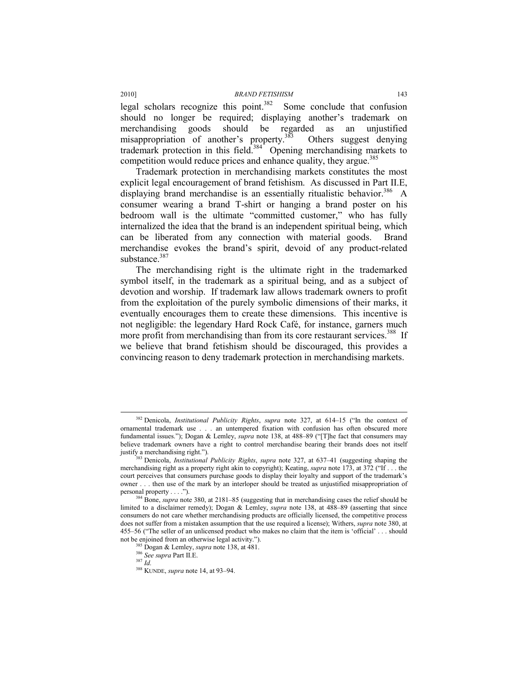legal scholars recognize this point.<sup>382</sup> Some conclude that confusion should no longer be required; displaying another's trademark on merchandising goods should be regarded as an unjustified misappropriation of another's property.<sup>383</sup> Others suggest denying trademark protection in this field.<sup>384</sup> Opening merchandising markets to competition would reduce prices and enhance quality, they argue.<sup>385</sup>

Trademark protection in merchandising markets constitutes the most explicit legal encouragement of brand fetishism. As discussed in Part II.E, displaying brand merchandise is an essentially ritualistic behavior.<sup>386</sup> A consumer wearing a brand T-shirt or hanging a brand poster on his bedroom wall is the ultimate "committed customer," who has fully internalized the idea that the brand is an independent spiritual being, which can be liberated from any connection with material goods. Brand merchandise evokes the brand's spirit, devoid of any product-related substance.<sup>387</sup>

The merchandising right is the ultimate right in the trademarked symbol itself, in the trademark as a spiritual being, and as a subject of devotion and worship. If trademark law allows trademark owners to profit from the exploitation of the purely symbolic dimensions of their marks, it eventually encourages them to create these dimensions. This incentive is not negligible: the legendary Hard Rock Café, for instance, garners much more profit from merchandising than from its core restaurant services.<sup>388</sup> If we believe that brand fetishism should be discouraged, this provides a convincing reason to deny trademark protection in merchandising markets.

 <sup>382</sup> Denicola, *Institutional Publicity Rights*, *supra* note 327, at 614–15 ("In the context of ornamental trademark use . . . an untempered fixation with confusion has often obscured more fundamental issues."); Dogan & Lemley, *supra* note 138, at 488–89 ("[T]he fact that consumers may believe trademark owners have a right to control merchandise bearing their brands does not itself justify a merchandising right."). 383 Denicola, *Institutional Publicity Rights*, *supra* note 327, at 637–41 (suggesting shaping the

merchandising right as a property right akin to copyright); Keating, *supra* note 173, at 372 ("If . . . the court perceives that consumers purchase goods to display their loyalty and support of the trademark's owner . . . then use of the mark by an interloper should be treated as unjustified misappropriation of personal property . . . ."). 384 Bone, *supra* note 380, at 2181–85 (suggesting that in merchandising cases the relief should be

limited to a disclaimer remedy); Dogan & Lemley, *supra* note 138, at 488–89 (asserting that since consumers do not care whether merchandising products are officially licensed, the competitive process does not suffer from a mistaken assumption that the use required a license); Withers, *supra* note 380, at 455–56 ("The seller of an unlicensed product who makes no claim that the item is 'official' . . . should not be enjoined from an otherwise legal activity.").<br><sup>385</sup> Dogan & Lemley, *supra* note 138, at 481.<br><sup>386</sup> *See supra* Part II.E.<br><sup>387</sup> *Id* 

<sup>388</sup> KUNDE, *supra* note 14, at 93–94.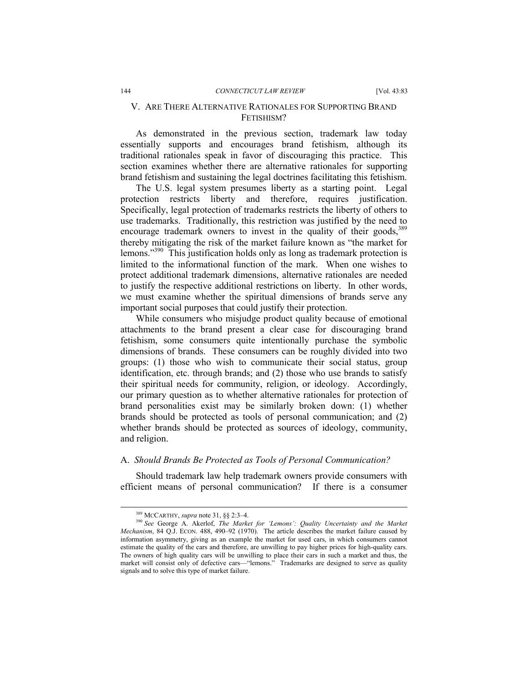# V. ARE THERE ALTERNATIVE RATIONALES FOR SUPPORTING BRAND FETISHISM?

As demonstrated in the previous section, trademark law today essentially supports and encourages brand fetishism, although its traditional rationales speak in favor of discouraging this practice. This section examines whether there are alternative rationales for supporting brand fetishism and sustaining the legal doctrines facilitating this fetishism.

The U.S. legal system presumes liberty as a starting point. Legal protection restricts liberty and therefore, requires justification. Specifically, legal protection of trademarks restricts the liberty of others to use trademarks. Traditionally, this restriction was justified by the need to encourage trademark owners to invest in the quality of their goods,  $389$ thereby mitigating the risk of the market failure known as "the market for lemons."390 This justification holds only as long as trademark protection is limited to the informational function of the mark. When one wishes to protect additional trademark dimensions, alternative rationales are needed to justify the respective additional restrictions on liberty. In other words, we must examine whether the spiritual dimensions of brands serve any important social purposes that could justify their protection.

While consumers who misjudge product quality because of emotional attachments to the brand present a clear case for discouraging brand fetishism, some consumers quite intentionally purchase the symbolic dimensions of brands. These consumers can be roughly divided into two groups: (1) those who wish to communicate their social status, group identification, etc. through brands; and (2) those who use brands to satisfy their spiritual needs for community, religion, or ideology. Accordingly, our primary question as to whether alternative rationales for protection of brand personalities exist may be similarly broken down: (1) whether brands should be protected as tools of personal communication; and (2) whether brands should be protected as sources of ideology, community, and religion.

# A. *Should Brands Be Protected as Tools of Personal Communication?*

Should trademark law help trademark owners provide consumers with efficient means of personal communication? If there is a consumer

<sup>&</sup>lt;sup>389</sup> MCCARTHY, *supra* note 31, §§ 2:3–4.<br><sup>390</sup> *See* George A. Akerlof, *The Market for 'Lemons': Quality Uncertainty and the Market Mechanism*, 84 Q.J. ECON. 488, 490–92 (1970). The article describes the market failure caused by information asymmetry, giving as an example the market for used cars, in which consumers cannot estimate the quality of the cars and therefore, are unwilling to pay higher prices for high-quality cars. The owners of high quality cars will be unwilling to place their cars in such a market and thus, the market will consist only of defective cars—"lemons." Trademarks are designed to serve as quality signals and to solve this type of market failure.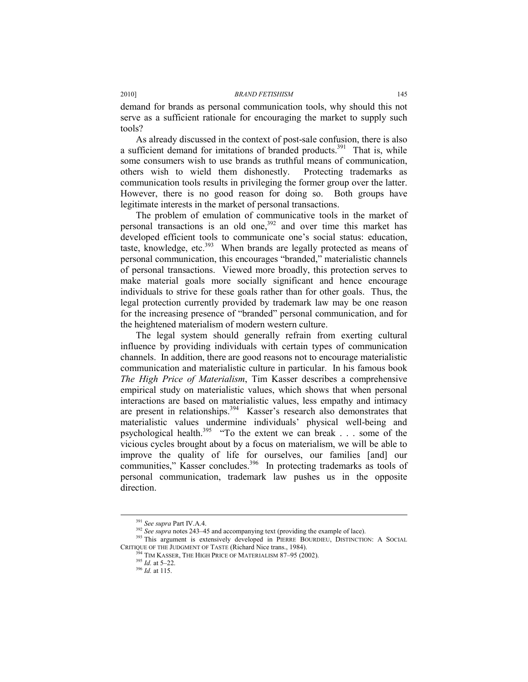demand for brands as personal communication tools, why should this not serve as a sufficient rationale for encouraging the market to supply such tools?

As already discussed in the context of post-sale confusion, there is also a sufficient demand for imitations of branded products.<sup>391</sup> That is, while some consumers wish to use brands as truthful means of communication, others wish to wield them dishonestly. Protecting trademarks as communication tools results in privileging the former group over the latter. However, there is no good reason for doing so. Both groups have legitimate interests in the market of personal transactions.

The problem of emulation of communicative tools in the market of personal transactions is an old one, $392$  and over time this market has developed efficient tools to communicate one's social status: education, taste, knowledge, etc. $393$  When brands are legally protected as means of personal communication, this encourages "branded," materialistic channels of personal transactions. Viewed more broadly, this protection serves to make material goals more socially significant and hence encourage individuals to strive for these goals rather than for other goals. Thus, the legal protection currently provided by trademark law may be one reason for the increasing presence of "branded" personal communication, and for the heightened materialism of modern western culture.

The legal system should generally refrain from exerting cultural influence by providing individuals with certain types of communication channels. In addition, there are good reasons not to encourage materialistic communication and materialistic culture in particular. In his famous book *The High Price of Materialism*, Tim Kasser describes a comprehensive empirical study on materialistic values, which shows that when personal interactions are based on materialistic values, less empathy and intimacy are present in relationships.<sup>394</sup> Kasser's research also demonstrates that materialistic values undermine individuals' physical well-being and psychological health.<sup>395</sup> "To the extent we can break . . . some of the vicious cycles brought about by a focus on materialism, we will be able to improve the quality of life for ourselves, our families [and] our communities," Kasser concludes.<sup>396</sup> In protecting trademarks as tools of personal communication, trademark law pushes us in the opposite direction.

<sup>&</sup>lt;sup>391</sup> *See supra* Part IV.A.4.<br><sup>392</sup> *See supra* notes 243–45 and accompanying text (providing the example of lace).<br><sup>393</sup> This argument is extensively developed in PIERRE BOURDIEU, DISTINCTION: A SOCIAL CRITIQUE OF THE JUDGMENT OF TASTE (Richard Nice trans., 1984).<br><sup>394</sup> TIM KASSER, THE HIGH PRICE OF MATERIALISM 87–95 (2002).<br><sup>395</sup> *Id.* at 5–22.<br><sup>396</sup> *Id.* at 115.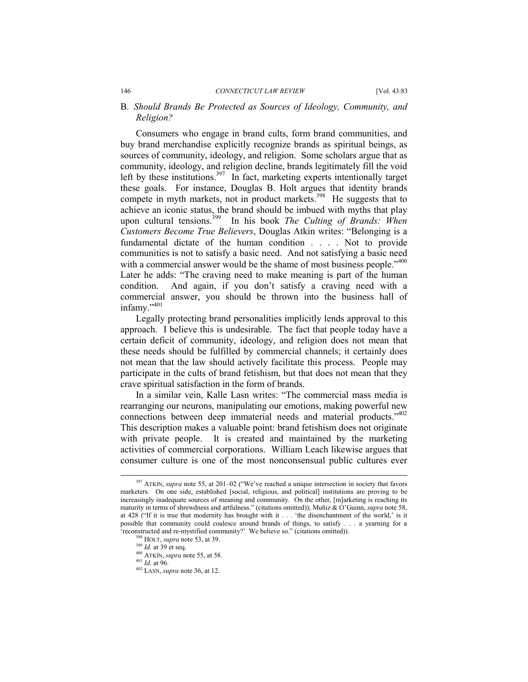### B. *Should Brands Be Protected as Sources of Ideology, Community, and Religion?*

Consumers who engage in brand cults, form brand communities, and buy brand merchandise explicitly recognize brands as spiritual beings, as sources of community, ideology, and religion. Some scholars argue that as community, ideology, and religion decline, brands legitimately fill the void left by these institutions.<sup>397</sup> In fact, marketing experts intentionally target these goals. For instance, Douglas B. Holt argues that identity brands compete in myth markets, not in product markets.<sup>398</sup> He suggests that to achieve an iconic status, the brand should be imbued with myths that play upon cultural tensions.<sup>399</sup> In his book *The Culting of Brands: When Customers Become True Believers*, Douglas Atkin writes: "Belonging is a fundamental dictate of the human condition . . . . Not to provide communities is not to satisfy a basic need. And not satisfying a basic need with a commercial answer would be the shame of most business people."<sup>400</sup> Later he adds: "The craving need to make meaning is part of the human condition. And again, if you don't satisfy a craving need with a commercial answer, you should be thrown into the business hall of infamy."<sup>401</sup>

Legally protecting brand personalities implicitly lends approval to this approach. I believe this is undesirable. The fact that people today have a certain deficit of community, ideology, and religion does not mean that these needs should be fulfilled by commercial channels; it certainly does not mean that the law should actively facilitate this process. People may participate in the cults of brand fetishism, but that does not mean that they crave spiritual satisfaction in the form of brands.

In a similar vein, Kalle Lasn writes: "The commercial mass media is rearranging our neurons, manipulating our emotions, making powerful new connections between deep immaterial needs and material products."402 This description makes a valuable point: brand fetishism does not originate with private people. It is created and maintained by the marketing activities of commercial corporations. William Leach likewise argues that consumer culture is one of the most nonconsensual public cultures ever

<sup>&</sup>lt;sup>397</sup> ATKIN, *supra* note 55, at 201-02 ("We've reached a unique intersection in society that favors marketers. On one side, established [social, religious, and political] institutions are proving to be increasingly inadequate sources of meaning and community. On the other, [m]arketing is reaching its maturity in terms of shrewdness and artfulness." (citations omitted)); Muñiz & O'Guinn, *supra* note 58, at 428 ("If it is true that modernity has brought with it . . . 'the disenchantment of the world,' is it possible that community could coalesce around brands of things, to satisfy . . . a yearning for a <sup>8</sup> reconstructed and re-mystified community?' We believe so." (citations omitted)).<br><sup>398</sup> HOLT, *supra* note 53, at 39. 399 *Id.* at 39 et seq.

<sup>400</sup> ATKIN, *supra* note 55, at 58. 401 *Id.* at 96.

<sup>402</sup> LASN, *supra* note 36, at 12.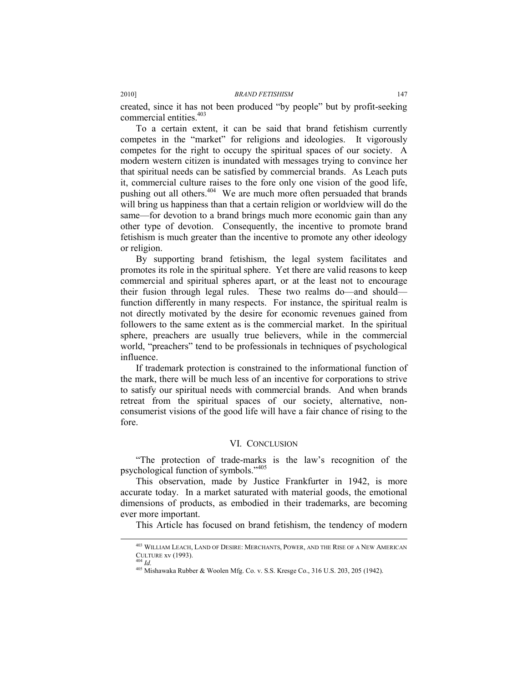created, since it has not been produced "by people" but by profit-seeking commercial entities.<sup>403</sup>

To a certain extent, it can be said that brand fetishism currently competes in the "market" for religions and ideologies. It vigorously competes for the right to occupy the spiritual spaces of our society. A modern western citizen is inundated with messages trying to convince her that spiritual needs can be satisfied by commercial brands. As Leach puts it, commercial culture raises to the fore only one vision of the good life, pushing out all others.<sup>404</sup> We are much more often persuaded that brands will bring us happiness than that a certain religion or worldview will do the same—for devotion to a brand brings much more economic gain than any other type of devotion. Consequently, the incentive to promote brand fetishism is much greater than the incentive to promote any other ideology or religion.

By supporting brand fetishism, the legal system facilitates and promotes its role in the spiritual sphere. Yet there are valid reasons to keep commercial and spiritual spheres apart, or at the least not to encourage their fusion through legal rules. These two realms do—and should function differently in many respects. For instance, the spiritual realm is not directly motivated by the desire for economic revenues gained from followers to the same extent as is the commercial market. In the spiritual sphere, preachers are usually true believers, while in the commercial world, "preachers" tend to be professionals in techniques of psychological influence.

If trademark protection is constrained to the informational function of the mark, there will be much less of an incentive for corporations to strive to satisfy our spiritual needs with commercial brands. And when brands retreat from the spiritual spaces of our society, alternative, nonconsumerist visions of the good life will have a fair chance of rising to the fore.

#### VI. CONCLUSION

"The protection of trade-marks is the law's recognition of the psychological function of symbols."405

This observation, made by Justice Frankfurter in 1942, is more accurate today. In a market saturated with material goods, the emotional dimensions of products, as embodied in their trademarks, are becoming ever more important.

This Article has focused on brand fetishism, the tendency of modern

 <sup>403</sup> WILLIAM LEACH, LAND OF DESIRE: MERCHANTS, POWER, AND THE RISE OF A NEW AMERICAN CULTURE xv (1993). 404 *Id.*

<sup>405</sup> Mishawaka Rubber & Woolen Mfg. Co. v. S.S. Kresge Co., 316 U.S. 203, 205 (1942).